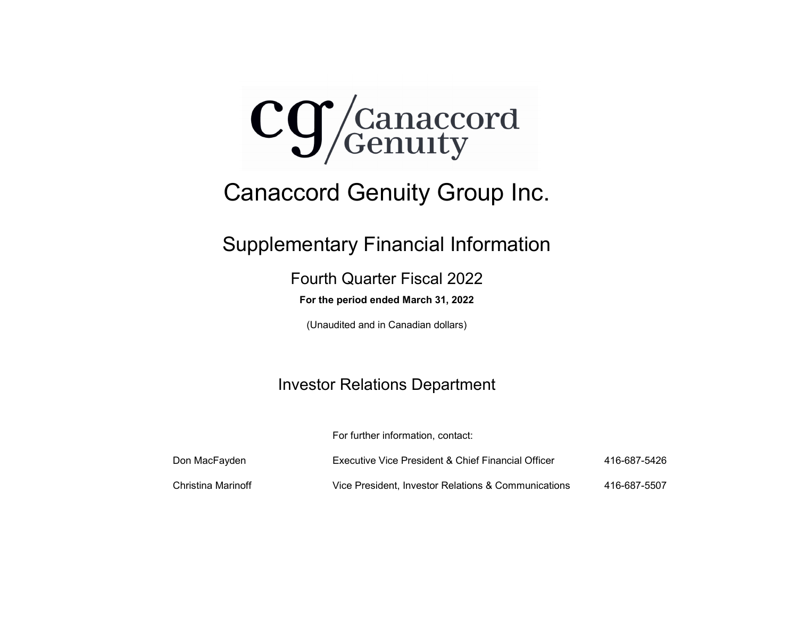

# Canaccord Genuity Group Inc.

Supplementary Financial Information

Fourth Quarter Fiscal 2022

**For the period ended March 31, 2022**

(Unaudited and in Canadian dollars)

# Investor Relations Department

For further information, contact:

| Don MacFayden      | Executive Vice President & Chief Financial Officer  | 416-687-5426 |
|--------------------|-----------------------------------------------------|--------------|
| Christina Marinoff | Vice President. Investor Relations & Communications | 416-687-5507 |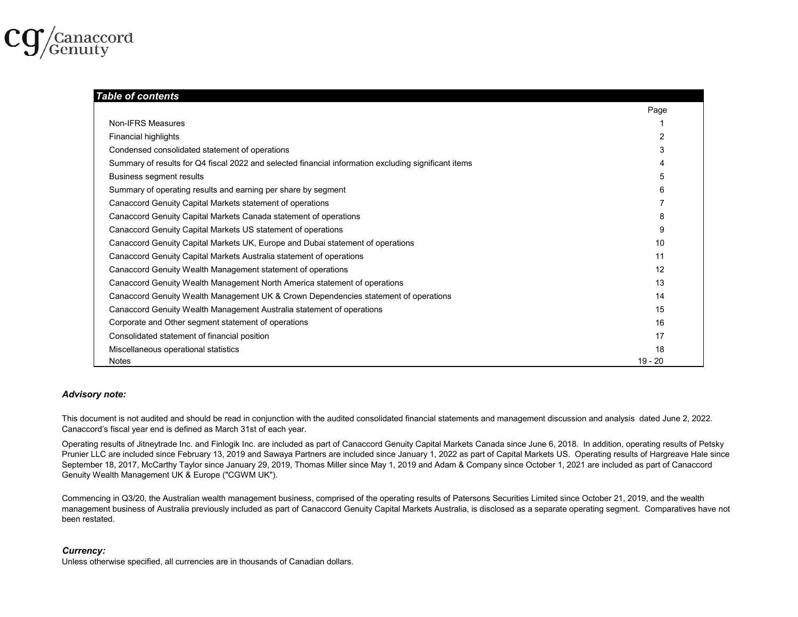

#### *Table of contents*Page Non-IFRS Measures $\sim$  100  $\,$  100  $\,$  100  $\,$  100  $\,$  100  $\,$  100  $\,$  100  $\,$  100  $\,$  100  $\,$  100  $\,$  100  $\,$  100  $\,$  100  $\,$  100  $\,$  100  $\,$  100  $\,$  100  $\,$  100  $\,$  100  $\,$  100  $\,$  100  $\,$  100  $\,$  100  $\,$  100  $\,$   $\mathfrak{p}$ 3 Summary of results for Q4 fiscal 2022 and selected financial information excluding significant items 4 5Summary of operating results and earning per share by segment 6 7Canaccord Genuity Capital Markets Canada statement of operations 8 Canaccord Genuity Capital Markets US statement of operations 9 Canaccord Genuity Capital Markets UK, Europe and Dubai statement of operations 10 Canaccord Genuity Capital Markets Australia statement of operations 11 1213Canaccord Genuity Wealth Management UK & Crown Dependencies statement of operations 14 Canaccord Genuity Wealth Management Australia statement of operations 15 Corporate and Other segment statement of operations 16  $\sim$  16  $\sim$  16  $\sim$  16  $\sim$  16  $\sim$  16  $\sim$  16  $\sim$  16  $\sim$  16  $\sim$  16  $\sim$  16  $\sim$  16  $\sim$  16  $\sim$  16  $\sim$  16  $\sim$  16  $\sim$  16  $\sim$  16  $\sim$  16  $\sim$  16  $\sim$  16  $\sim$  16 171819 - 20Canaccord Genuity Wealth Management North America statement of operations Financial highlights Condensed consolidated statement of operations Canaccord Genuity Capital Markets statement of operations Canaccord Genuity Wealth Management statement of operations Business segment results Consolidated statement of financial position Miscellaneous operational statistics **Notes**

# *Advisory note:*

This document is not audited and should be read in conjunction with the audited consolidated financial statements and management discussion and analysis dated June 2, 2022. Canaccord's fiscal year end is defined as March 31st of each year.

Operating results of Jitneytrade Inc. and Finlogik Inc. are included as part of Canaccord Genuity Capital Markets Canada since June 6, 2018. In addition, operating results of Petsky Prunier LLC are included since February 13, 2019 and Sawaya Partners are included since January 1, 2022 as part of Capital Markets US. Operating results of Hargreave Hale since September 18, 2017, McCarthy Taylor since January 29, 2019, Thomas Miller since May 1, 2019 and Adam & Company since October 1, 2021 are included as part of Canaccord Genuity Wealth Management UK & Europe ("CGWM UK").

Commencing in Q3/20, the Australian wealth management business, comprised of the operating results of Patersons Securities Limited since October 21, 2019, and the wealth management business of Australia previously included as part of Canaccord Genuity Capital Markets Australia, is disclosed as a separate operating segment. Comparatives have not been restated.

### *Currency:*

Unless otherwise specified, all currencies are in thousands of Canadian dollars.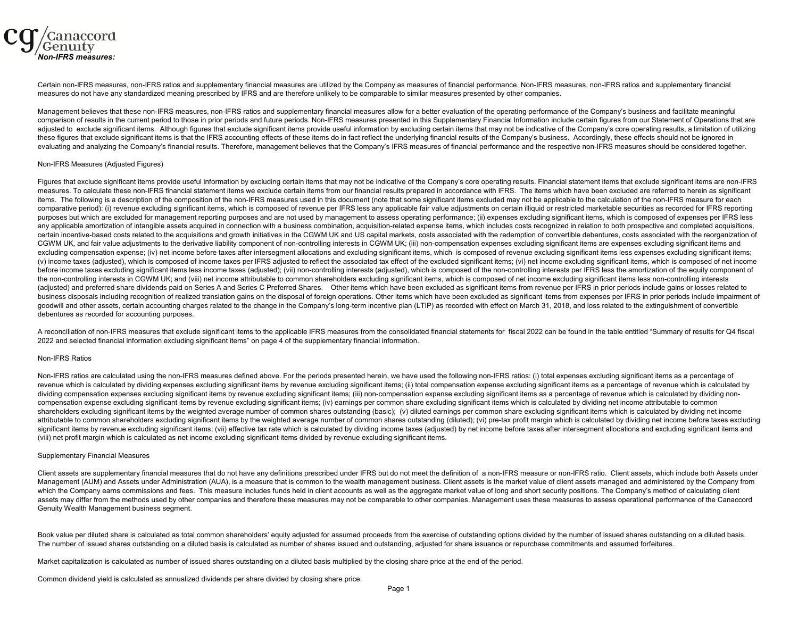

Certain non-IFRS measures, non-IFRS ratios and supplementary financial measures are utilized by the Company as measures of financial performance. Non-IFRS measures, non-IFRS ratios and supplementary financial measures do not have any standardized meaning prescribed by IFRS and are therefore unlikely to be comparable to similar measures presented by other companies.

Management believes that these non-IFRS measures, non-IFRS ratios and supplementary financial measures allow for a better evaluation of the operating performance of the Company's business and facilitate meaningful comparison of results in the current period to those in prior periods and future periods. Non-IFRS measures presented in this Supplementary Financial Information include certain figures from our Statement of Operations tha adjusted to exclude significant items. Although figures that exclude significant items provide useful information by excluding certain items that may not be indicative of the Company's core operating results, a limitation these figures that exclude significant items is that the IFRS accounting effects of these items do in fact reflect the underlying financial results of the Company's business. Accordingly, these effects should not be ignore evaluating and analyzing the Company's financial results. Therefore, management believes that the Company's IFRS measures of financial performance and the respective non-IFRS measures should be considered together.

#### Non-IFRS Measures (Adjusted Figures)

Figures that exclude significant items provide useful information by excluding certain items that may not be indicative of the Company's core operating results. Financial statement items that exclude significant items are measures. To calculate these non-IFRS financial statement items we exclude certain items from our financial results prepared in accordance with IFRS. The items which have been excluded are referred to herein as significant items. The following is a description of the composition of the non-IFRS measures used in this document (note that some significant items excluded may not be applicable to the calculation of the non-IFRS measure for each comparative period): (i) revenue excluding significant items, which is composed of revenue per IFRS less any applicable fair value adjustments on certain illiquid or restricted marketable securities as recorded for IFRS re purposes but which are excluded for management reporting purposes and are not used by management to assess operating performance; (ii) expenses excluding significant items, which is composed of expenses per IFRS less any applicable amortization of intangible assets acquired in connection with a business combination, acquisition-related expense items, which includes costs recognized in relation to both prospective and completed acquisit certain incentive-based costs related to the acquisitions and growth initiatives in the CGWM UK and US capital markets, costs associated with the redemption of convertible debentures, costs associated with the reorganizati CGWM UK, and fair value adjustments to the derivative liability component of non-controlling interests in CGWM UK; (iii) non-compensation expenses excluding significant items are expenses excluding significant items are ex excluding compensation expense; (iv) net income before taxes after intersegment allocations and excluding significant items, which is composed of revenue excluding significant items less expenses excluding significant item (v) income taxes (adjusted), which is composed of income taxes per IFRS adjusted to reflect the associated tax effect of the excluded significant items; (vi) net income excluding significant items, which is composed of net before income taxes excluding significant items less income taxes (adjusted); (vii) non-controlling interests (adjusted), which is composed of the non-controlling interests per IFRS less the amortization of the equity comp the non-controlling interests in CGWM UK; and (viii) net income attributable to common shareholders excluding significant items, which is composed of net income excluding significant items less non-controlling interests (adjusted) and preferred share dividends paid on Series A and Series C Preferred Shares. Other items which have been excluded as significant items from revenue per IFRS in prior periods include gains or losses related to business disposals including recognition of realized translation gains on the disposal of foreign operations. Other items which have been excluded as significant items from expenses per IFRS in prior periods include impair goodwill and other assets, certain accounting charges related to the change in the Company's long-term incentive plan (LTIP) as recorded with effect on March 31, 2018, and loss related to the extinguishment of convertible debentures as recorded for accounting purposes.

A reconciliation of non-IFRS measures that exclude significant items to the applicable IFRS measures from the consolidated financial statements for fiscal 2022 can be found in the table entitled "Summary of results for Q4 2022 and selected financial information excluding significant items" on page 4 of the supplementary financial information.

#### Non-IFRS Ratios

Non-IFRS ratios are calculated using the non-IFRS measures defined above. For the periods presented herein, we have used the following non-IFRS ratios: (i) total expenses excluding significant items as a percentage of revenue which is calculated by dividing expenses excluding significant items by revenue excluding significant items; (ii) total compensation expense excluding significant items as a percentage of revenue which is calculate dividing compensation expenses excluding significant items by revenue excluding significant items; (iii) non-compensation expense excluding significant items as a percentage of revenue which is calculated by dividing noncompensation expense excluding significant items by revenue excluding significant items; (iv) earnings per common share excluding significant items which is calculated by dividing net income attributable to common shareholders excluding significant items by the weighted average number of common shares outstanding (basic); (v) diluted earnings per common share excluding significant items which is calculated by dividing net income attributable to common shareholders excluding significant items by the weighted average number of common shares outstanding (diluted); (vi) pre-tax profit margin which is calculated by dividing net income before taxes excl significant items by revenue excluding significant items; (vii) effective tax rate which is calculated by dividing income taxes (adjusted) by net income before taxes after intersegment allocations and excluding significant (viii) net profit margin which is calculated as net income excluding significant items divided by revenue excluding significant items.

#### Supplementary Financial Measures

Client assets are supplementary financial measures that do not have any definitions prescribed under IFRS but do not meet the definition of a non-IFRS measure or non-IFRS ratio. Client assets, which include both Assets und Management (AUM) and Assets under Administration (AUA), is a measure that is common to the wealth management business. Client assets is the market value of client assets managed and administered by the Company from which the Company earns commissions and fees. This measure includes funds held in client accounts as well as the aggregate market value of long and short security positions. The Company's method of calculating client assets may differ from the methods used by other companies and therefore these measures may not be comparable to other companies. Management uses these measures to assess operational performance of the Canaccord Genuity Wealth Management business segment.

Book value per diluted share is calculated as total common shareholders' equity adjusted for assumed proceeds from the exercise of outstanding options divided by the number of issued shares outstanding on a diluted basis. The number of issued shares outstanding on a diluted basis is calculated as number of shares issued and outstanding, adjusted for share issuance or repurchase commitments and assumed forfeitures.

Market capitalization is calculated as number of issued shares outstanding on a diluted basis multiplied by the closing share price at the end of the period.

Common dividend yield is calculated as annualized dividends per share divided by closing share price.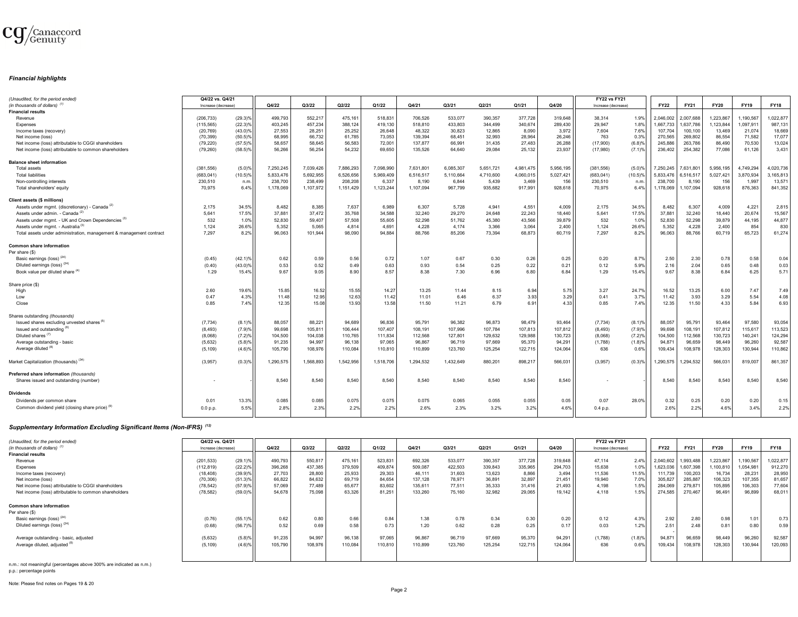

#### *Financial highlights*

| (Unaudited, for the period ended)                                   | Q4/22 vs. Q4/21     |                       |                   |                   |                   |                   |           |                   |                   |           |                   | <b>FY22 vs FY21</b> |                      |                   |                   |                   |                   |             |
|---------------------------------------------------------------------|---------------------|-----------------------|-------------------|-------------------|-------------------|-------------------|-----------|-------------------|-------------------|-----------|-------------------|---------------------|----------------------|-------------------|-------------------|-------------------|-------------------|-------------|
| (in thousands of dollars) <sup>(1)</sup>                            | Increase (decrease) |                       | Q4/22             | Q3/22             | Q2/22             | Q1/22             | Q4/21     | Q3/21             | Q2/21             | Q1/21     | Q4/20             | Increase (decrease) |                      | <b>FY22</b>       | FY21              | <b>FY20</b>       | <b>FY19</b>       | <b>FY18</b> |
| <b>Financial results</b>                                            |                     |                       |                   |                   |                   |                   |           |                   |                   |           |                   |                     |                      |                   |                   |                   |                   |             |
| Revenue                                                             | (206.733)           | $(29.3)\%$            | 499.793           | 552.217           | 475.161           | 518.831           | 706.526   | 533.077           | 390,357           | 377.728   | 319.648           | 38.314              | 1.9%                 | 2.046.002         | 2.007.688         | 1.223.867         | 1.190.567         | 1,022,877   |
| Expenses                                                            | (115, 565)          | $(22.3)$ <sup>9</sup> | 403.245           | 457,234           | 388,124           | 419.130           | 518,810   | 433.803           | 344,499           | 340.674   | 289.430           | 29.947              | 1.8%                 | 1.667.733         | 1.637.786         | 1,123,844         | 1.097.911         | 987,131     |
| Income taxes (recovery)                                             | (20.769)            | $(43.0)$ %            | 27.553            | 28,251            | 25.252            | 26.648            | 48.322    | 30.823            | 12.865            | 8.090     | 3.972             | 7.604               | 7.6%                 | 107.704           | 100,100           | 13.469            | 21.074            | 18,669      |
| Net income (loss)                                                   | (70, 399)           | $(50.5)\%$            | 68,995            | 66,732            | 61,785            | 73,053            | 139,394   | 68,451            | 32,993            | 28,964    | 26,246            | 763                 | 0.3%                 | 270,565           | 269,802           | 86,554            | 71,582            | 17,077      |
| Net income (loss) attributable to CGGI shareholders                 | (79, 220)           | $(57.5)\%$            | 58.657            | 58,645            | 56,583            | 72,001            | 137,877   | 66,991            | 31,435            | 27,483    | 26,288            | (17,900)            | $(6.8)$ %            | 245,886           | 263,786           | 86,490            | 70,530            | 13,024      |
| Net income (loss) attributable to common shareholders               | (79, 260)           | $(58.5)\%$            | 56,266            | 56,254            | 54,232            | 69,650            | 135,526   | 64,640            | 29,084            | 25,132    | 23,937            | (17,980)            | (7.1)                | 236,402           | 254,382           | 77,086            | 61,126            | 3,431       |
|                                                                     |                     |                       |                   |                   |                   |                   |           |                   |                   |           |                   |                     |                      |                   |                   |                   |                   |             |
| <b>Balance sheet information</b>                                    |                     |                       |                   |                   |                   |                   |           |                   |                   |           |                   |                     |                      |                   |                   |                   |                   |             |
| <b>Total assets</b>                                                 | (381, 556)          | (5.0)%                | 7,250,245         | 7,039,426         | 7,886,293         | 7,098,990         | 7.631.801 | 6.085.307         | 5.651.721         | 4.981.475 | 5,956,195         | (381, 556)          | $(5.0)$ <sup>9</sup> | 7,250,245         | 7,631,801         | 5.956.195         | 4,749,294         | 4,020,736   |
| <b>Total liabilities</b>                                            | (683, 041)          | $(10.5)\%$            | 5,833,476         | 5,692,955         | 6,526,656         | 5,969,409         | 6,516,517 | 5,110,664         | 4,710,600         | 4,060,015 | 5,027,421         | (683, 041)          | $(10.5)$ %           | 5,833,476         | 6,516,517         | 5,027,42          | 3,870,934         | 3,165,813   |
| Non-controlling interests                                           | 230,510             | n.m.                  | 238,700           | 238,499           | 208,208           | 6,337             | 8,190     | 6,844             | 5,439             | 3,469     | 156               | 230,510             | n.m                  | 238,700           | 8,190             | 156               | 1,997             | 13,571      |
| Total shareholders' equity                                          | 70,975              | 6.4%                  | 1,178,069         | 1,107,972         | 1,151,429         | 1,123,244         | 1,107,094 | 967.799           | 935,682           | 917,991   | 928,618           | 70.975              | 6.4%                 | 1,178,069         | 1,107,094         | 928,618           | 876,363           | 841,352     |
|                                                                     |                     |                       |                   |                   |                   |                   |           |                   |                   |           |                   |                     |                      |                   |                   |                   |                   |             |
| Client assets (\$ millions)                                         |                     |                       |                   |                   |                   |                   |           |                   |                   |           |                   |                     |                      |                   |                   |                   |                   |             |
| Assets under mgmt. (discretionary) - Canada <sup>(2)</sup>          | 2,175               | 34.5%                 | 8,482             | 8,385             | 7,637             | 6,989             | 6,307     | 5,728             | 4,941             | 4,551     | 4,009             | 2,175               | 34.5%                | 8,482             | 6,307             | 4,009             | 4,221             | 2,815       |
| Assets under admin. - Canada <sup>(2</sup> )                        | 5.641               | 17.5%                 | 37.881            | 37.472            | 35.768            | 34,588            | 32.240    | 29.270            | 24.648            | 22,243    | 18,440            | 5.641               | 17.5%                | 37.881            | 32,240            | 18,440            | 20,674            | 15,567      |
| Assets under mgmt. - UK and Crown Dependencies <sup>(3)</sup>       |                     |                       |                   |                   |                   |                   |           |                   |                   |           |                   |                     |                      |                   |                   |                   |                   |             |
|                                                                     | 532                 | 1.0%                  | 52,830            | 59,407            | 57,508            | 55,605            | 52,298    | 51,762            | 45,380            | 43,566    | 39,879            | 532                 | 1.0%                 | 52,830            | 52,298            | 39,879            | 44,195            | 44,877      |
| Assets under mgmt. - Australia <sup>(3)</sup>                       | 1.124               | 26.6%                 | 5,352             | 5,065             | 4,814             | 4,691             | 4,228     | 4,174             | 3,366             | 3,064     | 2,400             | 1,124               | 26.6%                | 5,352             | 4,228             | 2,400             | 854               | 830         |
| Total assets under administration, management & management contract | 7,297               | 8.2%                  | 96.063            | 101,944           | 98.090            | 94.884            | 88.766    | 85.206            | 73,394            | 68,873    | 60.719            | 7,297               | 8.2%                 | 96.063            | 88,766            | 60,71             | 65,723            | 61,274      |
| <b>Common share information</b>                                     |                     |                       |                   |                   |                   |                   |           |                   |                   |           |                   |                     |                      |                   |                   |                   |                   |             |
| Per share (\$)                                                      |                     |                       |                   |                   |                   |                   |           |                   |                   |           |                   |                     |                      |                   |                   |                   |                   |             |
|                                                                     | (0.45)              |                       |                   |                   |                   |                   | 1.07      | 0.67              | 0.30              |           |                   | 0.20                |                      |                   |                   | 0.78              |                   | 0.04        |
| Basic earnings (loss) <sup>(24)</sup>                               |                     | $(42.1)$ <sup>9</sup> | 0.62              | 0.59              | 0.56              | 0.72              |           |                   |                   | 0.26      | 0.25              |                     | 8.7%                 | 2.50              | 2.30              |                   | 0.58              |             |
| Diluted earnings (loss) <sup>(24)</sup>                             | (0.40)              | $(43.0)\%$            | 0.53              | 0.52              | 0.49              | 0.63              | 0.93      | 0.54              | 0.25              | 0.22      | 0.21              | 0.12                | 5.9%                 | 2.16              | 2.04              | 0.65              | 0.48              | 0.03        |
| Book value per diluted share (4)                                    | 1.29                | 15.4%                 | 9.67              | 9.05              | 8.90              | 8.57              | 8.38      | 7.30              | 6.96              | 6.80      | 6.84              | 1.29                | 15.4%                | 9.67              | 8.38              | 6.84              | 6.25              | 5.71        |
| Share price (\$)                                                    |                     |                       |                   |                   |                   |                   |           |                   |                   |           |                   |                     |                      |                   |                   |                   |                   |             |
| High                                                                | 2.60                | 19.6%                 | 15.85             | 16.52             | 15.5              | 14.27             | 13.25     | 11.44             | 8.15              | 6.94      | 5.75              | 3.27                | 24.79                | 16.52             | 13.25             | 6.00              | 7.47              | 7.49        |
| Low                                                                 | 0.47                | 4.3%                  | 11.48             | 12.95             | 12.63             | 11.42             | 11.01     | 6.46              | 6.37              | 3.93      | 3.29              | 0.41                | 3.7%                 | 11.42             | 3.93              | 3.29              | 5.54              | 4.08        |
|                                                                     |                     |                       |                   |                   |                   |                   |           |                   |                   |           |                   |                     |                      |                   |                   |                   |                   | 6.93        |
| Close                                                               | 0.85                | 7.4%                  | 12.35             | 15.08             | 13.93             | 13.58             | 11.50     | 11.21             | 6.79              | 6.9       | 4.33              | 0.85                | 7.4%                 | 12.35             | 11.50             | 4.33              | 5.84              |             |
| Shares outstanding (thousands)                                      |                     |                       |                   |                   |                   |                   |           |                   |                   |           |                   |                     |                      |                   |                   |                   |                   |             |
| Issued shares excluding unvested shares <sup>(b)</sup>              | (7, 734)            | $(8.1)$ <sup>9</sup>  | 88,057            | 88,221            | 94,689            | 96,836            | 95,791    | 96,382            | 96,873            | 98,479    | 93,464            | (7, 734)            | $(8.1)$ %            | 88,057            | 95,791            | 93,464            | 97,580            | 93,054      |
| Issued and outstanding (6)                                          | (8, 493)            | (7.9)%                | 99,698            | 105,811           | 106,444           | 107.407           | 108,191   | 107,996           | 107,784           | 107,813   | 107,812           | (8, 493)            | (7.9)                | 99,698            | 108,191           | 107,812           | 115,617           | 113,523     |
| Diluted shares <sup>(7)</sup>                                       |                     |                       |                   |                   |                   |                   |           |                   |                   |           |                   |                     |                      |                   |                   |                   |                   | 124,294     |
|                                                                     | (8,068)<br>(5,632)  | (7.2)%                | 104,500<br>91,235 | 104,038<br>94,997 | 110,765<br>96,138 | 111,834<br>97,065 | 112,568   | 127,801<br>96,719 | 129,632<br>97,669 | 129,988   | 130,723<br>94,291 | (8,068)             | (7.2)%               | 104,500<br>94,871 | 112,568<br>96,659 | 130,723<br>98,449 | 140,241<br>96,260 | 92,587      |
| Average outstanding - basic                                         |                     | (5.8)%                |                   |                   |                   |                   | 96,867    |                   |                   | 95,370    |                   | (1,788)             | $(1.8)$ <sup>9</sup> |                   |                   |                   |                   |             |
| Average diluted <sup>(8)</sup>                                      | (5, 109)            | (4.6)%                | 105,790           | 108,976           | 110,084           | 110,810           | 110,899   | 123,760           | 125,254           | 122,715   | 124,064           | 636                 | 0.6%                 | 109,434           | 108,978           | 128,303           | 130,944           | 110,862     |
| Market Capitalization (thousands) (34)                              | (3,957)             | $(0.3)$ <sup>9</sup>  | 1,290,575         | 1,568,893         | 1,542,956         | 1,518,706         | 1,294,532 | 1,432,649         | 880,201           | 898,21    | 566,031           | (3,957)             | $(0.3)$ <sup>o</sup> | ,290,575          | 1.294.532         | 566,03            | 819,007           | 861,357     |
|                                                                     |                     |                       |                   |                   |                   |                   |           |                   |                   |           |                   |                     |                      |                   |                   |                   |                   |             |
| Preferred share information (thousands)                             |                     |                       |                   |                   |                   |                   |           |                   |                   |           |                   |                     |                      |                   |                   |                   |                   |             |
| Shares issued and outstanding (number)                              |                     |                       | 8,540             | 8,540             | 8,540             | 8,540             | 8,540     | 8,540             | 8,540             | 8,540     | 8,540             |                     |                      | 8,540             | 8,540             | 8,540             | 8,540             | 8,540       |
|                                                                     |                     |                       |                   |                   |                   |                   |           |                   |                   |           |                   |                     |                      |                   |                   |                   |                   |             |
| <b>Dividends</b>                                                    |                     |                       |                   |                   |                   |                   |           |                   |                   |           |                   |                     |                      |                   |                   |                   |                   |             |
| Dividends per common share                                          | 0.01                | 13.3%                 | 0.085             | 0.085             | 0.075             | 0.075             | 0.075     | 0.065             | 0.055             | 0.055     | 0.05              | 0.07                | 28.0%                | 0.32              | 0.25              | 0.20              | 0.20              | 0.15        |
| Common dividend yield (closing share price) <sup>(9</sup>           | 0.0 p.p.            | 5.5%                  | 2.8%              | 2.3%              | 2.2%              | 2.2%              | 2.6%      | 2.3%              | 3.2%              | 3.2%      | 4.6%              | 0.4 p.p.            |                      | 2.6%              | 2.2%              | 4.6%              | 3.4%              | 2.2%        |
|                                                                     |                     |                       |                   |                   |                   |                   |           |                   |                   |           |                   |                     |                      |                   |                   |                   |                   |             |

# *Supplementary Information Excluding Significant Items (Non-IFRS) (12)*

| (Unaudited, for the period ended)                     | Q4/22 vs. Q4/21     |            |         |         |         |         |         |         |         |         |         | <b>FY22 vs FY21</b> |        |             |             |             |             |             |
|-------------------------------------------------------|---------------------|------------|---------|---------|---------|---------|---------|---------|---------|---------|---------|---------------------|--------|-------------|-------------|-------------|-------------|-------------|
| (in thousands of dollars) (                           | Increase (decrease) |            | Q4/22   | Q3/22   | Q2/22   | Q1/22   | Q4/21   | Q3/21   | Q2/21   | Q1/21   | Q4/20   | Increase (decrease) |        | <b>FY22</b> | <b>FY21</b> | <b>FY20</b> | <b>FY19</b> | <b>FY18</b> |
| <b>Financial results</b>                              |                     |            |         |         |         |         |         |         |         |         |         |                     |        |             |             |             |             |             |
| Revenue                                               | (201, 533)          | $(29.1)\%$ | 490,793 | 550,817 | 475,161 | 523,831 | 692,326 | 533,077 | 390,357 | 377,728 | 319,648 | 47,114              | 2.4%   | 2,040,602   | 1,993,488   | 1,223,867   | 1,190,567   | 1,022,877   |
| Expenses                                              | (112, 819)          | $(22.2)\%$ | 396,268 | 437,385 | 379,509 | 409,874 | 509,087 | 422.503 | 339,843 | 335,965 | 294,703 | 15,638              | 1.0%   | 1,623,036   | 1,607,398   | 1,100,810   | 1,054,981   | 912.270     |
| Income taxes (recovery)                               | (18, 408)           | $(39.9)\%$ | 27,703  | 28,800  | 25,933  | 29,303  | 46.111  | 31,603  | 13,623  | 8,866   | 3.494   | 11,536              | 11.5%  | 111.739     | 100,203     | 16,734      | 28,231      | 28,950      |
| Net income (loss)                                     | (70, 306)           | (51.3)%    | 66,822  | 84,632  | 69.719  | 84,654  | 137,128 | 78.971  | 36,891  | 32,897  | 21,451  | 19.940              | 7.0%   | 305,827     | 285,887     | 106,323     | 107,355     | 81,657      |
| Net income (loss) attributable to CGGI shareholders   | (78.542)            | (57.9)%    | 57,069  | 77,489  | 65,677  | 83,602  | 135,611 | 77.511  | 35,333  | 31,416  | 21,493  | 4,198               | 1.5%   | 284,069     | 279,871     | 105,895     | 106,303     | 77,604      |
| Net income (loss) attributable to common shareholders | (78, 582)           | $(59.0)\%$ | 54.678  | 75,098  | 63,326  | 81.251  | 133,260 | 75,160  | 32,982  | 29,065  | 19,142  | 4.118               | 1.5%   | 274.585     | 270,467     | 96,491      | 96,899      | 68,011      |
| <b>Common share information</b>                       |                     |            |         |         |         |         |         |         |         |         |         |                     |        |             |             |             |             |             |
| Per share (\$)                                        |                     |            |         |         |         |         |         |         |         |         |         |                     |        |             |             |             |             |             |
| Basic earnings (loss) <sup>(24)</sup>                 | (0.76)              | (55.1)%    | 0.62    | 0.80    | 0.66    | 0.84    | 1.38    | 0.78    | 0.34    | 0.30    | 0.20    | 0.12                | 4.3%   | 2.92        | 2.80        | 0.98        | 1.01        | 0.73        |
| Diluted earnings (loss) <sup>(24)</sup>               | (0.68)              | (56.7)%    | 0.52    | 0.69    | 0.58    | 0.73    | 1.20    | 0.62    | 0.28    | 0.25    | $0.17$  | 0.03                | 1.2%   | 2.51        | 2.48        | 0.81        | 0.80        | 0.59        |
| Average outstanding - basic, adjusted                 | (5,632)             | (5.8)%     | 91,235  | 94,997  | 96,138  | 97,065  | 96,867  | 96,719  | 97,669  | 95,370  | 94,291  | (1,788)             | (1.8)% | 94.871      | 96,659      | 98,449      | 96,260      | 92,587      |
| Average diluted, adjusted (8)                         | (5, 109)            | (4.6)%     | 105,790 | 108.976 | 110,084 | 110,810 | 110,899 | 123,760 | 125,254 | 122.715 | 124,064 | 636                 | 0.6%   | 109,434     | 108,978     | 128,303     | 130,944     | 120,093     |
|                                                       |                     |            |         |         |         |         |         |         |         |         |         |                     |        |             |             |             |             |             |

n.m.: not meaningful (percentages above 300% are indicated as n.m.) p.p.: percentage points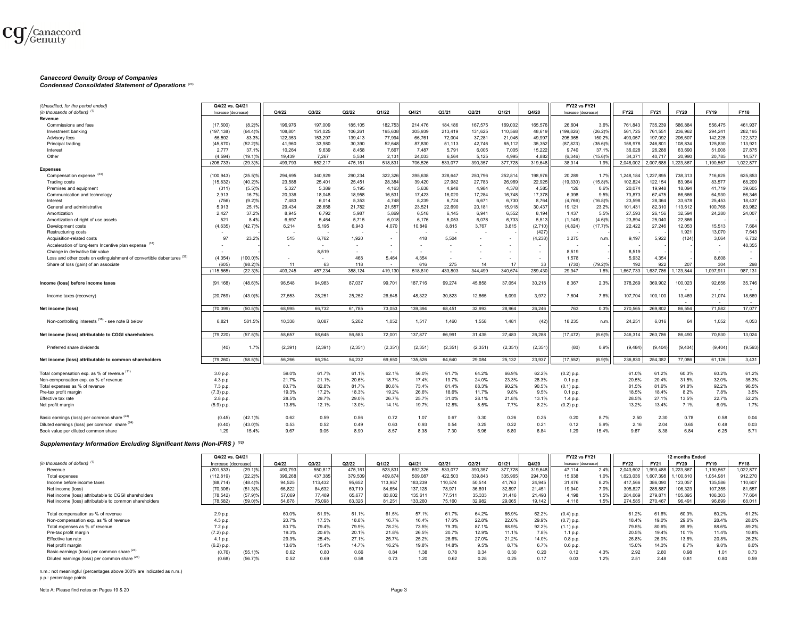

# *Canaccord Genuity Group of Companies*

*Condensed Consolidated Statement of Operations* (20)

| (Unaudited, for the period ended)                                     | Q4/22 vs. Q4/21     |                                     |               |               |                |                  |                |                |          |               |               | <b>FY22 vs FY21</b> |                      |                  |                  |                 |                                                      |                |
|-----------------------------------------------------------------------|---------------------|-------------------------------------|---------------|---------------|----------------|------------------|----------------|----------------|----------|---------------|---------------|---------------------|----------------------|------------------|------------------|-----------------|------------------------------------------------------|----------------|
| (in thousands of dollars) $(1)$                                       | Increase (decrease) |                                     | Q4/22         | Q3/22         | Q2/22          | Q1/22            | Q4/21          | Q3/21          | Q2/21    | Q1/21         | Q4/20         | Increase (decrease) |                      | <b>FY22</b>      | FY21             | <b>FY20</b>     | <b>FY19</b>                                          | <b>FY18</b>    |
| Revenue                                                               |                     |                                     |               |               |                |                  |                |                |          |               |               |                     |                      |                  |                  |                 |                                                      |                |
| Commissions and fees                                                  | (17.500)            | $(8.2)$ <sup>9</sup>                | 196.976       | 197.009       | 185.105        | 182.753          | 214.476        | 184.186        | 167.575  | 169,002       | 165,576       | 26.604              | 3.6%                 | 761.843          | 735,239          | 586.884         | 556.475                                              | 461.937        |
| Investment banking                                                    | (197, 138)          | $(64.4)$ <sup>9</sup>               | 108,801       | 151,025       | 106,261        | 195,638          | 305,939        | 213,419        | 131,625  | 110,568       | 48,619        | (199, 826)          | (26.2)%              | 561,725          | 761,551          | 236,962         | 294,241                                              | 282,195        |
| Advisory fees                                                         | 55,592              | 83.39                               | 122,353       | 153,297       | 139,413        | 77,994           | 66,761         | 72,004         | 37,281   | 21,046        | 49,997        | 295,965             | 150.2%               | 493,057          | 197,092          | 206,507         | 142,228                                              | 122,372        |
| Principal trading                                                     | (45, 870)           | (52.2)                              | 41,960        | 33,980        | 30.390         | 52,648           | 87,830         | 51.113         | 42,746   | 65,112        | 35,352        | (87, 823)           | $(35.6)\%$           | 158,978          | 246,801          | 108,834         | 125,830                                              | 113,921        |
| Interest                                                              | 2.777               | 37.19                               | 10.264        | 9.639         | 8.458          | 7,667            | 7.487          | 5,791          | 6,005    | 7,005         | 15,222        | 9.740               | 37.1%                | 36,028           | 26,288           | 63.690          | 51,008                                               | 27,875         |
| Other                                                                 | (4.594)             | (19.1)                              | 19.439        | 7.267         | 5.534          | 2.13             | 24.033         | 6.564          | 5.125    | 4.995         | 4.882         | (6.346)             | $(15.6)$ %           | 34.371           | 40.717           | 20.990          | 20.785                                               | 14.577         |
|                                                                       | (206, 733)          | $(29.3)$ <sup>9</sup>               | 499,793       | 552,217       | 475.161        | 518,83           | 706,526        | 533,077        | 390,357  | 377,728       | 319,648       | 38.314              | 1.9%                 | 2,046,002        | 2,007,688        | .223,867        | 1,190,567                                            | 1,022,877      |
| <b>Expenses</b>                                                       |                     |                                     |               |               |                |                  |                |                |          |               |               |                     |                      |                  |                  |                 |                                                      |                |
| Compensation expense (33)                                             | (100, 943)          | $(25.5)$ <sup>9</sup>               | 294,695       | 340,929       | 290,234        | 322,326          | 395,638        | 328,647        | 250,796  | 252,814       | 198,976       | 20,289              | 1.7%                 | 1,248,184        | 1,227,895        | 738,313         | 716,625                                              | 625,853        |
| <b>Trading costs</b>                                                  | (15, 832)           | (40.2)%                             | 23,588        | 25,401        | 25,451         | 28,384           | 39,420         | 27,982         | 27,783   | 26,969        | 22,925        | (19, 330)           | (15.8)%              | 102,824          | 122,154          | 83,964          | 83,577                                               | 68,209         |
| Premises and equipment                                                | (311)               | (5.5)%                              | 5,327         | 5,389         | 5.195          | 4,163            | 5.638          | 4.948          | 4,984    | 4,378         | 4,585         | 126                 | 0.6%                 | 20,074           | 19,948           | 18.094          | 41,719                                               | 39,605         |
| Communication and technology                                          | 2.913               | 16.7%                               | 20.336        | 18.048        | 18.958         | 16,531           | 17.423         | 16.020         | 17,284   | 16.748        | 17,378        | 6.398               | 9.5%                 | 73.873           | 67,475           | 66.666          | 64.930                                               | 56,346         |
| Interest                                                              | (756)               | (9.2)                               | 7,483         | 6,014         | 5,353          | 4,748            | 8,239          | 6,724          | 6,671    | 6,730         | 8,764         | (4,766)             | (16.8)%              | 23,598           | 28,364           | 33,678          | 25,453                                               | 18,437         |
| General and administrative                                            | 5.913               | 25.19                               | 29,434        | 28.658        | 21,782         | 21,557           | 23,521         | 22,690         | 20,181   | 15,918        | 30,437        | 19,121              | 23.2%                | 101,431          | 82,310           | 113,612         | 100,768                                              | 83,982         |
| Amortization                                                          | 2.427               | 37.2%                               | 8,945         | 6.792         | 5.987          | 5,869            | 6.518          | 6.145          | 6,941    | 6,552         | 8,194         | 1.437               | 5.5%                 | 27,593           | 26,156           | 32.594          | 24,280                                               | 24,007         |
| Amortization of right of use assets                                   | 521                 | 8.4%                                | 6.697         | 5.464         | 5.715          | 6.018            | 6.176          | 6.053          | 6.078    | 6,733         | 5,513         | (1.146)             | (4.6)%               | 23,894           | 25,040           | 22.866          |                                                      |                |
| Development costs                                                     | (4, 635)            | (42.7)%                             | 6,214         | 5,195         | 6,943          | 4,070            | 10,849         | 8,815          | 3,767    | 3,815         | (2,710)       | (4,824)             | (17.7)%              | 22,422           | 27,246           | 12,053          | 15,513                                               | 7,664          |
| Restructuring costs                                                   |                     |                                     |               |               |                |                  |                |                |          |               | (427)         |                     |                      |                  |                  | 1,921           | 13,070                                               | 7,643          |
| Acquisition-related costs                                             | 97                  | 23.29                               | 515           | 6.762         | 1.920          | $\sim$           | 418            | 5.504          |          |               | (4, 238)      | 3.275               | n.m.                 | 9.197            | 5,922            | (124)           | 3,064                                                | 6,732          |
| Acceleration of long-term Incentive plan expense (31)                 |                     |                                     |               |               |                |                  |                |                |          |               |               |                     |                      |                  |                  |                 |                                                      | 48,355         |
| Change in derivative fair value                                       |                     |                                     |               | 8.519         |                | $\sim$<br>$\sim$ |                |                |          |               | $\sim$        | 8,519               |                      | 8,519            |                  |                 | $\overline{\phantom{a}}$<br>$\overline{\phantom{a}}$ |                |
|                                                                       |                     |                                     |               |               |                |                  |                |                |          |               |               |                     |                      |                  |                  |                 |                                                      |                |
| Loss and other costs on extinguishment of convertible debentures (32) | (4, 354)            | $(100.0)$ <sup>9</sup>              |               |               | 468            | 5,464            | 4,354          |                | 14       |               |               | 1,578               |                      | 5,932            | 4,354            |                 | 8,608                                                |                |
| Share of loss (gain) of an associate                                  | (605)<br>(115, 565) | $(98.2)$ <sup>o</sup><br>$(22.3)^6$ | 11<br>403,245 | 63<br>457,234 | 118<br>388,124 | 419,13           | 616<br>518,810 | 275<br>433,803 | 344.499  | 17<br>340,674 | 33<br>289,430 | (730)<br>29.947     | (79.2)%<br>1.8%      | 192<br>1,667,733 | 922<br>1,637,786 | 207<br>.123,844 | 304<br>1.097.911                                     | 298<br>987,131 |
|                                                                       |                     |                                     |               |               |                |                  |                |                |          |               |               |                     |                      |                  |                  |                 |                                                      |                |
| Income (loss) before income taxes                                     | (91, 168)           | $(48.6)$ <sup>9</sup>               | 96,548        | 94.983        | 87,037         | 99,701           | 187.716        | 99,274         | 45,858   | 37,054        | 30,218        | 8,367               | 2.3%                 | 378,269          | 369,902          | 100,023         | 92,656<br>$\overline{\phantom{a}}$                   | 35,746         |
| Income taxes (recovery)                                               | (20.769)            | $(43.0)$ <sup>9</sup>               | 27.553        | 28.251        | 25.252         | 26.648           | 48,322         | 30,823         | 12.865   | 8.090         | 3.972         | 7.604               | 7.6%                 | 107.704          | 100.100          | 13.469          | 21,074                                               | 18,669         |
| Net income (loss)                                                     | (70.399)            | $(50.5)$ <sup>9</sup>               | 68.995        | 66,732        | 61,785         | 73,053           | 139,394        | 68,451         | 32,993   | 28,964        | 26.246        | 763                 | 0.3%                 | 270,565          | 269,802          | 86,554          | 71.582                                               | 17.077         |
| Non-controlling interests (38) - see note B below                     | 8.821               | 581.5%                              | 10.338        | 8.087         | 5.202          | 1,052            | 1,517          | 1.460          | 1.558    | 1.481         | (42)          | 18,235              | n.m                  | 24,251           | 6.016            | 64              | 1.052                                                | 4,053          |
| Net income (loss) attributable to CGGI shareholders                   | (79, 220)           | $(57.5)$ %                          | 58.657        | 58.645        | 56.583         | 72,001           | 137.877        | 66.991         | 31,435   | 27,483        | 26,288        | (17.472)            | $(6.6)$ <sup>9</sup> | 246.314          | 263.786          | 86.490          | 70,530                                               | 13,024         |
| Preferred share dividends                                             | (40)                | 1.7%                                | (2, 391)      | (2, 391)      | (2, 351)       | (2, 351)         | (2, 351)       | (2, 351)       | (2, 351) | (2, 351)      | (2, 351)      | (80)                | 0.9%                 | (9, 484)         | (9.404)          | (9.404)         | (9,404)                                              | (9, 593)       |
| Net income (loss) attributable to common shareholders                 | (79.260)            | $(58.5)$ <sup>9</sup>               | 56.266        | 56.254        | 54.232         | 69.650           | 135,526        | 64.640         | 29.084   | 25,132        | 23,937        | (17, 552)           | (6.9)%               | 236,830          | 254,382          | 77.086          | 61,126                                               | 3,431          |
| Total compensation exp. as % of revenue (11)                          | 3.0 p.p.            |                                     | 59.0%         | 61.7%         | 61.1%          | 62.1%            | 56.0%          | 61.7%          | 64.2%    | 66.9%         | 62.2%         | $(0.2)$ p.p.        |                      | 61.0%            | 61.2%            | 60.3%           | 60.2%                                                | 61.2%          |
| Non-compensation exp. as % of revenue                                 | 4.3 p.p.            |                                     | 21.7%         | 21.1%         | 20.6%          | 18.7%            | 17.4%          | 19.7%          | 24.0%    | 23.3%         | 28.3%         | 0.1 p.p.            |                      | 20.5%            | 20.4%            | 31.5%           | 32.0%                                                | 35.3%          |
| Total expenses as % of revenue                                        | 7.3 p.p.            |                                     | 80.7%         | 82.8%         | 81.7%          | 80.8%            | 73.4%          | 81.4%          | 88.3%    | 90.2%         | 90.5%         | $(0.1)$ p.p.        |                      | 81.5%            | 81.6%            | 91.8%           | 92.2%                                                | 96.5%          |
| Pre-tax profit margin                                                 | (7.3) p.p.          |                                     | 19.3%         | 17.2%         | 18.3%          | 19.2%            | 26.6%          | 18.6%          | 11.7%    | 9.8%          | 9.5%          | 0.1 p.p.            |                      | 18.5%            | 18.4%            | 8.2%            | 7.8%                                                 | 3.5%           |
| Effective tax rate                                                    | 2.8 p.p.            |                                     | 28.5%         | 29.7%         | 29.0%          | 26.7%            | 25.7%          | 31.0%          | 28.1%    | 21.8%         | 13.1%         | 1.4 p.p             |                      | 28.5%            | 27.1%            | 13.5%           | 22.7%                                                | 52.2%          |
| Net profit margin                                                     | (5.9) p.p.          |                                     | 13.8%         | 12.1%         | 13.0%          | 14.1%            | 19.7%          | 12.8%          | 8.5%     | 7.7%          | 8.2%          | $(0.2)$ p.p.        |                      | 13.2%            | 13.4%            | 7.1%            | 6.0%                                                 | 1.7%           |
|                                                                       |                     |                                     |               |               |                |                  |                |                |          |               |               |                     |                      |                  |                  |                 |                                                      |                |
| Basic earnings (loss) per common share (24)                           | (0.45)              | (42.1)%                             | 0.62          | 0.59          | 0.56           | 0.72             | 1.07           | 0.67           | 0.30     | 0.26          | 0.25          | 0.20                | 8.7%                 | 2.50             | 2.30             | 0.78            | 0.58                                                 | 0.04           |
| Diluted earnings (loss) per common share (24)                         | (0.40)              | $(43.0)\%$                          | 0.53          | 0.52          | 0.49           | 0.63             | 0.93           | 0.54           | 0.25     | 0.22          | 0.21          | 0.12                | 5.9%                 | 2.16             | 2.04             | 0.65            | 0.48                                                 | 0.03           |
| Book value per diluted common share                                   | 1.29                | 15.4%                               | 9.67          | 9.05          | 8.90           | 8.57             | 8.38           | 7.30           | 6.96     | 6.80          | 6.84          | 1.29                | 15.4%                | 9.67             | 8.38             | 6.84            | 6.25                                                 | 5.71           |

# *Supplementary Information Excluding Significant Items (Non-IFRS ) (12)*

|                                                       | Q4/22 vs. Q4/21     |            |         |         |         |         |         |         |         |         |         | <b>FY22 vs FY21</b> |      |             |             | 12 months Ended |             |             |
|-------------------------------------------------------|---------------------|------------|---------|---------|---------|---------|---------|---------|---------|---------|---------|---------------------|------|-------------|-------------|-----------------|-------------|-------------|
| (in thousands of dollars) <sup>(1)</sup>              | Increase (decrease) |            | Q4/22   | Q3/22   | Q2/22   | Q1/22   | Q4/21   | Q3/21   | Q2/21   | Q1/21   | Q4/20   | Increase (decrease) |      | <b>FY22</b> | <b>FY21</b> | <b>FY20</b>     | <b>FY19</b> | <b>FY18</b> |
| Revenue                                               | (201, 533)          | $(29.1)\%$ | 490.793 | 550.81  | 475.161 | 523,831 | 692.326 | 533.077 | 390,357 | 377.728 | 319.648 | 47.114              | 2.4% | 2.040.602   | 1.993.488   | 1.223.867       | 1,190,567   | 1.022.877   |
| Total expenses                                        | (112, 819)          | $(22.2)\%$ | 396,268 | 437.385 | 379,509 | 409,874 | 509,087 | 422,503 | 339,843 | 335,965 | 294,703 | 15.638              | 1.0% | 623,036     | 1,607,398   | 1.100.810       | 1,054,981   | 912,270     |
| Income before income taxes                            | (88, 714)           | $(48.4)$ % | 94,525  | 113.432 | 95.652  | 113,957 | 183,239 | 110,574 | 50.514  | 41.763  | 24.945  | 31.476              | 8.2% | 417,566     | 386,090     | 123.057         | 135,586     | 110,607     |
| Net income (loss)                                     | (70, 306)           | $(51.3)\%$ | 66,822  | 84,632  | 69,719  | 84,654  | 137,128 | 78.971  | 36,891  | 32.897  | 21,451  | 19.940              | 7.0% | 305,827     | 285,887     | 106,323         | 107,355     | 81,657      |
| Net income (loss) attributable to CGGI shareholders   | (78, 542)           | (57.9)%    | 57,069  | 77.489  | 65.677  | 83,602  | 135,611 | 77.511  | 35,333  | 31.416  | 21,493  | 4.198               | 1.5% | 284,069     | 279.87      | 105,895         | 106,303     | 77.604      |
| Net income (loss) attributable to common shareholders | (78, 582)           | $(59.0)\%$ | 54,678  | 75,098  | 63,326  | 81,251  | 133.260 | 75.160  | 32.982  | 29.065  | 19.142  | 4.118               | 1.5% | 274,585     | 270,467     | 96.491          | 96,899      | 68,011      |
|                                                       |                     |            |         |         |         |         |         |         |         |         |         |                     |      |             |             |                 |             |             |
| Total compensation as % of revenue                    | 2.9 p.p.            |            | 60.0%   | 61.9%   | 61.1%   | 61.5%   | 57.1%   | 61.7%   | 64.2%   | 66.9%   | 62.2%   | $(0.4)$ p.p.        |      | 61.2%       | 61.6%       | 60.3%           | 60.2%       | 61.2%       |
| Non-compensation exp. as % of revenue                 | 4.3 p.p.            |            | 20.7%   | 17.5%   | 18.8%   | 16.7%   | 16.4%   | 17.6%   | 22.8%   | 22.0%   | 29.9%   | $(0.7)$ p.p.        |      | 18.4%       | 19.0%       | 29.6%           | 28.4%       | 28.0%       |
| Total expenses as % of revenue                        | 7.2 p.p.            |            | 80.7%   | 79.4%   | 79.9%   | 78.2%   | 73.5%   | 79.3%   | 87.1%   | 88.9%   | 92.2%   | $(1.1)$ p.p         |      | 79.5%       | 80.6%       | 89.9%           | 88.6%       | 89.2%       |
| Pre-tax profit margin                                 | $(7.2)$ p.p.        |            | 19.3%   | 20.6%   | 20.1%   | 21.8%   | 26.5%   | 20.7%   | 12.9%   | 11.1%   | 7.8%    | 1.1 p.p.            |      | 20.5%       | 19.4%       | 10.1%           | 11.4%       | 10.8%       |
| Effective tax rate                                    | 4.1 p.p.            |            | 29.3%   | 25.4%   | 27.1%   | 25.7%   | 25.2%   | 28.6%   | 27.0%   | 21.2%   | 14.0%   | 0.8 p.p.            |      | 26.8%       | 26.0%       | 13.6%           | 20.8%       | 26.2%       |
| Net profit margin                                     | $(6.2)$ p.p.        |            | 13.6%   | 15.4%   | 14.7%   | 16.2%   | 19.8%   | 14.8%   | 9.5%    | 8.7%    | 6.7%    | 0.6 p.p.            |      | 15.0%       | 14.3%       | 8.7%            | 9.0%        | 8.0%        |
| Basic earnings (loss) per common share (24)           | (0.76)              | $(55.1)$ % | 0.62    | 0.80    | 0.66    | 0.84    | 1.38    | 0.78    | 0.34    | 0.30    | 0.20    | 0.12                | 4.3% | 2.92        | 2.80        | 0.98            | 1.01        | 0.73        |
| Diluted earnings (loss) per common share (24)         | (0.68)              | (56.7)%    | 0.52    | 0.69    | 0.58    | 0.73    | 1.20    | 0.62    | 0.28    | 0.25    | 0.17    | 0.03                | 1.2% | 2.51        | 2.48        | 0.81            | 0.80        | 0.59        |

n.m.: not meaningful (percentages above 300% are indicated as n.m.)

p.p.: percentage points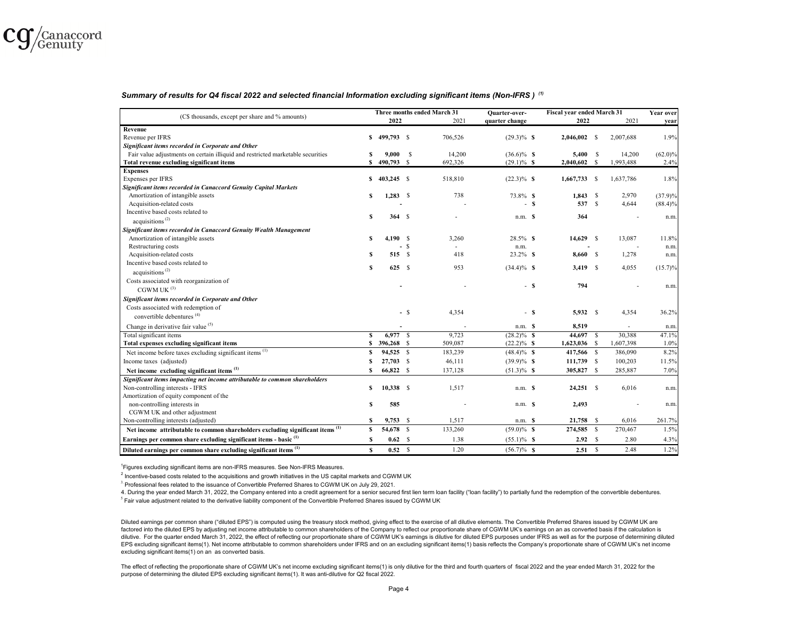

#### *Summary of results for Q4 fiscal 2022 and selected financial Information excluding significant items (Non-IFRS ) (1)*

|                                                                                           |    |              |        | Three months ended March 31 | <b>Ouarter-over-</b>     |   | Fiscal year ended March 31 |           | Year over  |
|-------------------------------------------------------------------------------------------|----|--------------|--------|-----------------------------|--------------------------|---|----------------------------|-----------|------------|
| (C\$ thousands, except per share and % amounts)                                           |    | 2022         |        | 2021                        | quarter change           |   | 2022                       | 2021      | year       |
| Revenue                                                                                   |    |              |        |                             |                          |   |                            |           |            |
| Revenue per IFRS                                                                          | s  | 499,793 \$   |        | 706.526                     | $(29.3)\%$ \$            |   | $2,046,002$ \$             | 2,007,688 | 1.9%       |
| Significant items recorded in Corporate and Other                                         |    |              |        |                             |                          |   |                            |           |            |
| Fair value adjustments on certain illiquid and restricted marketable securities           |    | 9,000        | -S     | 14,200                      | $(36.6)\%$ S             |   | 5,400 \$                   | 14,200    | $(62.0)\%$ |
| Total revenue excluding significant items                                                 | s  | 490,793 \$   |        | 692,326                     | $(29.1)\%$ \$            |   | $2,040,602$ \$             | 1,993,488 | 2.4%       |
| <b>Expenses</b>                                                                           |    |              |        |                             |                          |   |                            |           |            |
| Expenses per IFRS                                                                         | S  | $403,245$ \$ |        | 518,810                     | $(22.3)\%$ \$            |   | $1,667,733$ \$             | 1,637,786 | 1.8%       |
| Significant items recorded in Canaccord Genuity Capital Markets                           |    |              |        |                             |                          |   |                            |           |            |
| Amortization of intangible assets                                                         | S  | $1,283$ \$   |        | 738                         | 73.8% S                  |   | $1,843$ \$                 | 2,970     | $(37.9)\%$ |
| Acquisition-related costs                                                                 |    |              |        |                             |                          | s | 537 S                      | 4,644     | $(88.4)\%$ |
| Incentive based costs related to                                                          | S  |              |        |                             |                          |   |                            |           |            |
| acquisitions <sup><math>(2)</math></sup>                                                  |    | 364S         |        |                             | $n.m.$ \$                |   | 364                        |           | n.m.       |
| Significant items recorded in Canaccord Genuity Wealth Management                         |    |              |        |                             |                          |   |                            |           |            |
| Amortization of intangible assets                                                         | £. | 4,190S       |        | 3,260                       | 28.5% \$                 |   | 14,629 \$                  | 13,087    | 11.8%      |
| Restructuring costs                                                                       |    |              | $-$ \$ |                             | n.m.                     |   |                            |           | n.m.       |
| Acquisition-related costs                                                                 | S  | 515S         |        | 418                         | 23.2% \$                 |   | 8,660 \$                   | 1,278     | n.m.       |
| Incentive based costs related to                                                          |    |              |        |                             |                          |   |                            |           |            |
| acquisitions <sup><math>(2)</math></sup>                                                  | s  | 625S         |        | 953                         | $(34.4)\%$ S             |   | $3,419$ \$                 | 4,055     | $(15.7)\%$ |
| Costs associated with reorganization of                                                   |    |              |        |                             |                          |   |                            |           |            |
| CGWM UK $^{(3)}$                                                                          |    |              |        |                             | $\sim$                   | s | 794                        |           | n.m.       |
| Significant items recorded in Corporate and Other                                         |    |              |        |                             |                          |   |                            |           |            |
| Costs associated with redemption of                                                       |    |              |        |                             |                          |   |                            |           |            |
| convertible debentures <sup>(4)</sup>                                                     |    |              | - S    | 4,354                       | $\overline{\phantom{a}}$ | s | 5,932 S                    | 4,354     | 36.2%      |
| Change in derivative fair value (5)                                                       |    |              |        |                             | $n.m.$ $S$               |   | 8,519                      |           | n.m        |
| Total significant items                                                                   | s  | 6,977 \$     |        | 9,723                       | $(28.2)\%$ \$            |   | 44,697 \$                  | 30,388    | 47.1%      |
| Total expenses excluding significant items                                                | S  | 396,268 \$   |        | 509,087                     | $(22.2)\%$ \$            |   | $1,623,036$ \$             | 1,607,398 | 1.0%       |
| Net income before taxes excluding significant items <sup>(1)</sup>                        | S  | 94,525 \$    |        | 183,239                     | $(48.4)\%$ \$            |   | 417,566 \$                 | 386,090   | 8.2%       |
| Income taxes (adjusted)                                                                   |    | 27,703 \$    |        | 46,111                      |                          |   |                            | 100,203   | 11.5%      |
|                                                                                           |    |              |        |                             | $(39.9)\%$ \$            |   | 111,739 \$                 |           |            |
| Net income excluding significant items <sup>(1)</sup>                                     |    | 66,822 \$    |        | 137,128                     | $(51.3)\%$ \$            |   | 305,827 \$                 | 285,887   | 7.0%       |
| Significant items impacting net income attributable to common shareholders                |    |              |        |                             |                          |   |                            |           |            |
| Non-controlling interests - IFRS                                                          | s  | $10,338$ \$  |        | 1,517                       | $n.m.$ \$                |   | $24,251$ \$                | 6,016     | n.m.       |
| Amortization of equity component of the                                                   |    |              |        |                             |                          |   |                            |           |            |
| non-controlling interests in                                                              | S  | 585          |        |                             | $n.m.$ \$                |   | 2,493                      |           | n.m        |
| CGWM UK and other adjustment                                                              |    |              |        |                             |                          |   |                            | 6,016     |            |
| Non-controlling interests (adjusted)                                                      | S  | $9,753$ \$   |        | 1,517                       | $n.m.$ \$                |   | 21,758 \$                  |           | 261.7%     |
| Net income attributable to common shareholders excluding significant items <sup>(1)</sup> | s  | 54,678 \$    |        | 133,260                     | $(59.0)\%$ \$            |   | 274,585 \$                 | 270,467   | 1.5%       |
| Earnings per common share excluding significant items - basic <sup>(1)</sup>              | S  | 0.62 S       |        | 1.38                        | $(55.1)\%$ \$            |   | 2.92 S                     | 2.80      | 4.3%       |
| Diluted earnings per common share excluding significant items <sup>(1)</sup>              | s  | 0.52 S       |        | 1.20                        | $(56.7)\%$ \$            |   | 2.51 S                     | 2.48      | 1.2%       |

1Figures excluding significant items are non-IFRS measures. See Non-IFRS Measures.

 $2$  Incentive-based costs related to the acquisitions and growth initiatives in the US capital markets and CGWM UK

<sup>3.</sup> Professional fees related to the issuance of Convertible Preferred Shares to CGWM UK on July 29, 2021.

<sup>5</sup> Fair value adjustment related to the derivative liability component of the Convertible Preferred Shares issued by CGWM UK<sup>.</sup> 4. During the year ended March 31, 2022, the Company entered into a credit agreement for a senior secured first lien term loan facility ("loan facility") to partially fund the redemption of the convertible debentures.

Diluted earnings per common share ("diluted EPS") is computed using the treasury stock method, giving effect to the exercise of all dilutive elements. The Convertible Preferred Shares issued by CGWM UK are factored into the diluted EPS by adjusting net income attributable to common shareholders of the Company to reflect our proportionate share of CGWM UK's earnings on an as converted basis if the calculation is dilutive. For the quarter ended March 31, 2022, the effect of reflecting our proportionate share of CGWM UK's earnings is dilutive for diluted EPS purposes under IFRS as well as for the purpose of determining diluted EPS excluding significant items(1). Net income attributable to common shareholders under IFRS and on an excluding significant items(1) basis reflects the Company's proportionate share of CGWM UK's net income excluding significant items(1) on an as converted basis.

The effect of reflecting the proportionate share of CGWM UK's net income excluding significant items(1) is only dilutive for the third and fourth quarters of fiscal 2022 and the year ended March 31, 2022 for the purpose of determining the diluted EPS excluding significant items(1). It was anti-dilutive for Q2 fiscal 2022.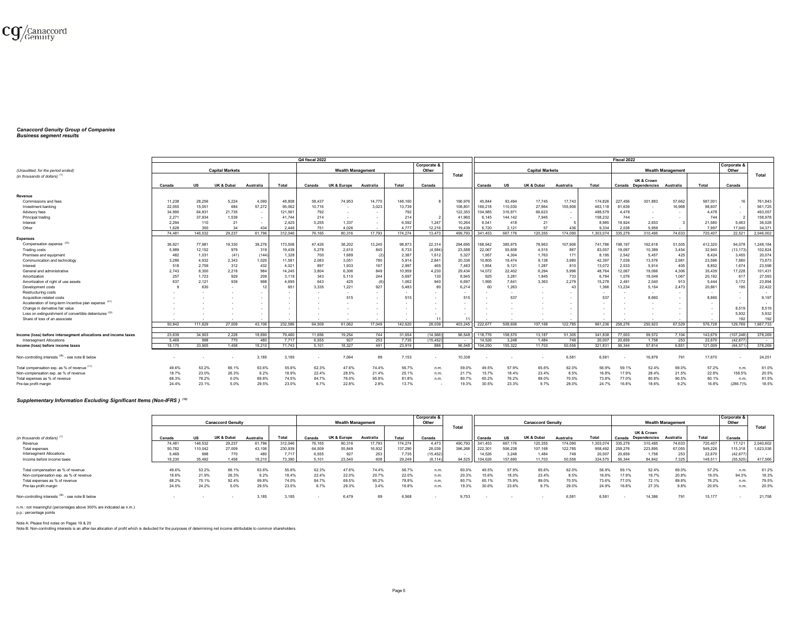

# *Canaccord Genuity Group of Companies Business segment results*

|                                                                                   |        |         |                        |                          |                          | Q4 fiscal 2022 |                          |           |         |                          |         |                |           |                        |           |                | Fiscal 2022 |                     |                          |         |             |              |
|-----------------------------------------------------------------------------------|--------|---------|------------------------|--------------------------|--------------------------|----------------|--------------------------|-----------|---------|--------------------------|---------|----------------|-----------|------------------------|-----------|----------------|-------------|---------------------|--------------------------|---------|-------------|--------------|
|                                                                                   |        |         |                        |                          |                          |                |                          |           |         | Corporate &              |         |                |           |                        |           |                |             |                     |                          |         | Corporate 8 |              |
| (Unaudited, for the period ended)                                                 |        |         | <b>Capital Markets</b> |                          |                          |                | <b>Wealth Management</b> |           |         | Other                    |         |                |           | <b>Capital Markets</b> |           |                |             |                     | <b>Wealth Management</b> |         | Other       |              |
| (in thousands of dollars)                                                         |        |         |                        |                          |                          |                |                          |           |         |                          | Total   |                |           |                        |           |                |             |                     |                          |         |             | <b>Total</b> |
|                                                                                   |        |         |                        |                          |                          |                |                          |           |         |                          |         |                |           |                        |           |                |             | UK & Crown          |                          |         |             |              |
|                                                                                   | Canada | US      | <b>UK &amp; Dubai</b>  | Australia                | Total                    | Canada         | UK & Europe              | Australia | Total   | Canada                   |         | Canada         | <b>US</b> | UK & Dubai             | Australia | Total          |             | Canada Dependencies | Australia                | Total   | Canada      |              |
| Revenue                                                                           |        |         |                        |                          |                          |                |                          |           |         |                          |         |                |           |                        |           |                |             |                     |                          |         |             |              |
| Commissions and fees                                                              | 11,238 | 28,256  | 5.224                  | 4,090                    | 48,808                   | 58.437         | 74.953                   | 14,770    | 148,160 |                          | 196.976 | 45,844         | 93.494    | 17.745                 | 17,743    | 174.82         | 227,456     | 301,883             | 57.662                   | 587,001 |             | 761,843      |
| Investment banking                                                                | 22,055 | 15,051  | 684                    | 57.272                   | 95,062                   | 10,716         |                          | 3,023     | 13,739  |                          | 108.801 | 169,218        | 110.030   | 27,964                 | 155,906   | 463.1          | 81.639      |                     | 16,968                   | 98,607  |             | 561.725      |
| Advisory fees                                                                     | 34,995 | 64,831  | 21,735                 | $\sim$                   | 121,561                  | 792            | $\overline{\phantom{a}}$ |           | 792     |                          | 122,353 | 104,985        | 316,971   | 66,623                 |           | 488,5          | 4.478       |                     |                          | 4,478   | $\sim$      | 493,057      |
| Principal trading                                                                 | 2,27   | 37,934  | 1,539                  | $\sim$                   | 41.744                   | 214            | $\sim$                   |           | 214     |                          | 41,960  | 6.145          | 144.142   | 7,945                  |           | 158,232        | 744         |                     |                          | 744     |             | 158,978      |
| Interest                                                                          | 2.294  | 110     | 21                     | $\sim$                   | 2.425                    | 5.255          | 1.337                    |           | 6.592   | 1.247                    | 10.264  | 8.541          | 418       | 21                     |           | 8.985          | 18.924      | 2.653               |                          | 21.580  | 5.463       | 36.028       |
| Other                                                                             | 1.628  | 350     | 34                     | 434                      | 2.446                    | 751            | 4.026                    |           | 4.777   | 12.216                   | 19.439  | 6.720          | 2.121     | 57                     | 436       | 9.334          | 2.038       | 5.959               |                          | 7.997   | 17.040      | 34.371       |
|                                                                                   | 74 481 | 146 532 | 29.237                 | 61.796                   | 312.046                  | 76.165         | 80.316                   | 17.793    | 174.274 | 13 473                   | 499.793 | 341.453        | 667 176   | 120.355                | 174.090   | 1.303.074      | 335.279     | 310.495             | 74.633                   | 720.407 | 22.521      | 2.046.002    |
| <b>Expenses</b>                                                                   |        |         |                        |                          |                          |                |                          |           |         |                          |         |                |           |                        |           |                |             |                     |                          |         |             |              |
| Compensation expense                                                              | 36,921 | 77,981  | 19.330                 | 39.276                   | 173,508                  | 47,426         | 38,202                   | 13,245    | 98,873  | 22,314                   | 294.695 | 168,942        | 385.975   | 78,963                 | 107.906   | 741.786        | 198.197     | 162,618             | 51,505                   | 412,320 | 94.078      | 1.248.184    |
| <b>Trading costs</b>                                                              | 5,989  | 12,152  | 979                    | 319                      | 19,439                   | 5,278          | 2,610                    | 845       | 8,733   | (4,584)                  | 23,588  | 22,067         | 55,608    | 4,515                  | 867       | 83,05          | 19.097      | 10,389              | 3,454                    | 32,940  | (13, 173)   | 102,824      |
| Premises and equipment                                                            | 482    | 1,031   | (41)                   | (144)                    | 1,328                    | 700            | 1,689                    | (2)       | 2,387   | 1,612                    | 5,327   | 1,957          | 4,304     | 1,763                  | 171       | 8,195          | 2,542       | 5,457               | 425                      | 8,424   | 3,455       | 20,074       |
| Communication and technology                                                      | 3.286  | 4.932   | 2.343                  | 1.020                    | 11.581                   | 2.083          | 3.051                    | 780       | 5.914   | 2.841                    | 20,336  | 10.805         | 18.474    | 9.138                  | 3,980     | 42.397         | 7.039       | 13,576              | 2.981                    | 23,596  | 7,880       | 73,873       |
| Interest                                                                          | 518    | 2,759   | 312                    | 432                      | 4,021                    | 897            | 1.933                    | 167       | 2,997   | 465                      | 7,483   | 1,854          | 9.121     | 1,287                  | 810       | 13,072         | 2,533       | 5,914               | 405                      | 8,852   | 1,674       | 23,598       |
| General and administrative                                                        | 2.743  | 8.300   | 2.218                  | 984                      | 14,245                   | 3.804          | 6,306                    | 849       | 10,959  | 4,230                    | 29.434  | 14.072         | 22.402    | 6,294                  | 5,996     | 48,764         | 12.067      | 19,066              | 4,306                    | 35,439  | 17,228      | 101,431      |
| Amortization                                                                      | 257    | 1,723   | 929                    | 209                      | 3,118                    | 343            | 5,110                    | 244       | 5,697   | 130                      | 8,945   | 925            | 3,281     | 1,845                  | 733       | 6.784          | 1,076       | 18,049              | 1,067                    | 20,192  | 617         | 27,593       |
| Amortization of right of use assets                                               | 637    | 2,121   | 939                    | 998                      | 4.695                    | 643            | 425                      |           | 1.062   | 940                      | 6,697   | 1.995          | 7.641     | 3.363                  | 2,279     | 15,278         | 2.491       | 2,040               | 913                      | 5.444   | 3.172       | 23,894       |
| Development costs                                                                 |        | 630     |                        | 12                       | 651                      | 3.335          | 1,221                    | 927       | 5.483   | B(                       | 6,214   | 60             | 1.263     | $\sim$                 | 43        | 1.366          | 13.234      | 5,154               | 2.473                    | 20,861  | 195         | 22,422       |
| Restructuring costs                                                               |        |         |                        |                          |                          |                |                          |           |         | $\overline{\phantom{a}}$ | $\sim$  |                |           |                        |           |                |             |                     |                          |         |             |              |
| Acquisition-related costs                                                         |        |         |                        | $\overline{\phantom{a}}$ | $\sim$                   |                | 515                      |           | 515     | $\sim$                   | 515     |                | 537       |                        |           | 537            |             | 8.660               |                          | 8,660   | $\sim$      | 9,197        |
| Acceleration of long-term Incentive plan expense (31)                             |        |         |                        |                          |                          |                |                          |           |         | $\overline{\phantom{a}}$ |         |                |           |                        |           |                |             |                     |                          |         |             |              |
| Change in derivative fair value                                                   |        |         |                        |                          | $\sim$                   |                |                          |           | $\sim$  | $\sim$                   | $\sim$  |                |           |                        |           |                |             |                     |                          |         | 8.519       | 8.519        |
|                                                                                   |        |         |                        |                          |                          |                |                          |           |         |                          |         |                |           |                        |           |                |             |                     |                          |         | 5,932       | 5,932        |
| Loss on extinguishment of convertible debentures<br>Share of loss of an associate |        |         |                        | $\sim$                   | $\overline{\phantom{a}}$ |                |                          |           | $\sim$  | $\sim$<br>$^{\circ}$     |         |                |           |                        |           |                |             |                     |                          | $\sim$  | 19          | 192          |
|                                                                                   | 50.842 | 111.629 | 27,009                 | 43.106                   | 232.586                  | 64.509         | 61.062                   | 17.049    | 142.620 | 28,039                   | 403.245 | 222.677        | 508,606   | 107.168                | 122.785   | 961.236        | 258,276     | 250,923             | 67.529                   | 576,728 | 129,769     | 1.667.733    |
|                                                                                   |        |         |                        |                          |                          |                |                          |           |         |                          |         |                |           |                        |           |                |             |                     |                          |         |             |              |
| Income (loss) before intersegment allocations and income taxes                    | 23,639 | 34.903  | 2,228                  | 18,690                   | 79,460                   | 11,656         | 19,254                   | 744       | 31,654  | (14, 566)                | 96,548  | 118,776        | 158,570   | 13,187                 | 51,305    | 341.838        | 77.003      | 59,572              | 7,104                    | 143,679 | (107, 248)  | 378,269      |
| Intersegment Allocations                                                          | 5.469  | 998     | 770                    | 480                      | 7.717                    | 6,555          | 927                      | 253       | 7,735   | (15.452)                 | $\sim$  | 14.526         | 3.248     | 1.484                  | 749       | 20,007         | 20.659      | 1.758               | 253                      | 22.670  | (42.677)    | $\sim$       |
| Income (loss) before income taxes                                                 | 18,170 | 33.905  | 1.458                  | 18.210                   | 71.743                   | 5.101          | 18.327                   | 491       | 23.919  | 886                      | 96,548  | 104.250        | 155,322   | 11.703                 | 50.556    | 321.831        | 56.344      | 57.814              | 6.851                    | 121.009 | (64.571     | 378,269      |
| Non-controlling interests (38) - see note B below                                 |        |         |                        | 3,185                    | 3,185                    |                | 7,064                    | 89        | 7,153   |                          | 10,338  |                |           |                        | 6,581     | 6,581          |             | 16,879              | 791                      | 17,670  |             | 24,251       |
| Total compensation exp. as % of revenue \                                         | 49.6%  | 53.2%   | 66.1%                  | 63.6%                    | 55.6%                    | 62.3%          | 47.6%                    | 74.4%     | 56.7%   | n.m.                     | 59.0%   | 49.5%          | 57.9%     | 65.6%                  | 62.0%     | 56.9%          | 59.1%       | 52.4%               | 69.0%                    | 57.2%   | n.m.        | 61.0%        |
| Non-compensation exp. as % of revenue                                             | 18.7%  | 23.0%   | 26.3%                  | 6.2%                     | 18.9%                    | 22.4%          | 28.5%                    | 21.4%     | 25.1%   | n.m.                     | 21.7%   | 15.7%          | 18.4%     | 23.4%                  | 8.5%      | 16.8%          | 17.9%       | 28.4%               | 21.5%                    | 22.8%   | 158.5%      | 20.5%        |
| Total expenses as % of revenue                                                    | 68.3%  | 76.2%   | 0.0%                   | 69.8%                    | 74.5%                    | 84.7%          | 76.0%                    | 95.8%     | 81.8%   |                          | 80.7%   |                |           | 89.0%                  | 70.5%     |                | 77.0%       | 80.8%               | 90.5%                    | 80.1%   | n.m         | 81.5%        |
| Pre-tax profit margin                                                             | 24 4%  | 23.1%   | 5.0%                   | 29.5%                    | 23.0%                    | 67%            | 22.8%                    | 2.8%      | 13 7%   | n.m.                     | 19.3%   | 65.2%<br>30.5% | 76.2%     | 9 7%                   | 29.0%     | 73.8%<br>24 7% | 16.8%       | 18.6%               | 9.2%                     | 16.8%   | (286.7)%    | 18.5%        |
|                                                                                   |        |         |                        |                          |                          |                |                          |           |         |                          |         |                | 23.3%     |                        |           |                |             |                     |                          |         |             |              |

#### *Supplementary Information Excluding Significant Items (Non-IFRS ) (12)*

|                                                   |        |           |                          |           |         |        |                          |           |         | Corporate & |         |         |         |                          |           |           |         |                     |                          |         | Corporate & |           |
|---------------------------------------------------|--------|-----------|--------------------------|-----------|---------|--------|--------------------------|-----------|---------|-------------|---------|---------|---------|--------------------------|-----------|-----------|---------|---------------------|--------------------------|---------|-------------|-----------|
|                                                   |        |           | <b>Canaccord Genuitv</b> |           |         |        | <b>Wealth Management</b> |           |         | Other       |         |         |         | <b>Canaccord Genuitv</b> |           |           |         |                     | <b>Wealth Management</b> |         | Other       |           |
|                                                   |        |           |                          |           |         |        |                          |           |         |             | Total   |         |         |                          |           |           |         | UK & Crown          |                          |         |             | Total     |
| (in thousands of dollars) <sup>(1</sup>           | Canada | <b>US</b> | UK & Dubai               | Australia | Total   | Canada | <b>UK &amp; Europe</b>   | Australia | Total   | Canada      |         | Canada  | US      | <b>'IK &amp; Dubay</b>   | Australia | Total     | Canada  | <b>Dependencies</b> | Australia                | Total   | Canada      |           |
| Revenue                                           | 74,48  | 146,532   | 29.237                   | 61,796    | 312.046 | 76.165 | 80,316                   | 17,793    | 174,274 | 4.473       | 490,793 | 341.453 | 667.176 | 120,355                  | 174.090   | 1,303,074 | 335,279 | 310,495             | 74.633                   | 720,407 | 17,121      | 2,040,602 |
| Total expenses                                    | 50,782 | 110.042   | 27,009                   | 43,106    | 230,939 | 64,509 | 55,849                   | 16,932    | 137,290 | 28,039      | 396,268 | 222.30  | 506,238 | 107,168                  | 122.785   | 958,49    | 258,276 | 223,895             | 67,055                   | 549,226 | 115,318     | 1,623,036 |
| Intersegment Allocations                          | 5.469  | 998       | 770                      | 480       | 7.717   | 6.555  | 927                      | 253       | 7,735   | (15, 452)   |         | 14.526  | 3.248   | 1,484                    |           | 20.007    | 20.659  | 1.758               | 253                      | 22,670  | (42, 677)   |           |
| Income before income taxes                        | 18.230 | 35.492    | 1.458                    | 18.210    | 73,390  | 5 101  | 23.540                   | 608       | 29.249  | (8, 114)    | 94.525  | 104.626 | 157.690 | 11.703                   | 50.556    | 324.575   | 56,344  | 84.842              | 7.325                    | 148,511 | (55, 520)   | 417,566   |
| Total compensation as % of revenue                | 49.6%  | 53.2%     | 66.1%                    | 63.6%     | 55.6%   | 62.3%  | 47.6%                    | 74.4%     | 56.7%   | n.m         | 60.0%   | 49.5%   | 57.9%   | 65.6%                    | 62.0%     | 56.9%     | 59.1%   | 52.4%               | 69.0%                    | 57.2%   | n.m         | 61.29     |
| Non-compensation exp. as % of revenue             | 18.6%  | 21.9%     | 26.3%                    | 6.2%      | 18.4%   | 22.4%  | 22.0%                    | 20.7%     | 22.0%   | n.m.        | 20.3%   | 15.6%   | 18.0%   | 23.4%                    | 8.5%      | 16.6%     | 17.9%   | 19.7%               | 20.8%                    | 19.0%   | 94.3%       | 18.39     |
| Total expenses as % of revenue                    | 68.2%  | 75.1%     | 92.4%                    | 69.8%     | 74.0%   | 84.7%  | 69.5%                    | 95.2%     | 78.8%   | n.m.        | 80.7%   | 65.1    | 75.9%   | 89.0%                    | 70.5%     | 73.6%     | 77.0%   | 72.1%               | 89.8%                    | 76.2%   | n.m.        | 79.5%     |
| Pre-tax profit margin                             | 24.5%  | 24.2%     | 5.0%                     | 29.5%     | 23.5%   | 6.7%   | 29.3%                    | 3.4%      | 16.8%   | n.m.        | 19.3%   | 30.6%   | 23.6%   | 9.7%                     | 29.09     | 24.9%     | 16.8%   | 27.3%               | 9.8%                     | 20.6%   | n.m.        | 20.5%     |
| Non-controlling interests (38) - see note B below |        |           |                          | 3.185     | 3.185   |        | 6.479                    | 89        | 6.568   |             | 9.753   |         |         |                          | 6.581     | 6.581     |         | 14.386              | 791                      | 15.177  |             | 21.758    |

n.m.: not meaningful (percentages above 300% are indicated as n.m.) p.p.: percentage points

Note A: Please find notes on Pages 19 & 20<br>Note B: Non-controlling interests is an after-tax allocation of profit which is deducted for the purposes of determining net income attributable to common shareholders.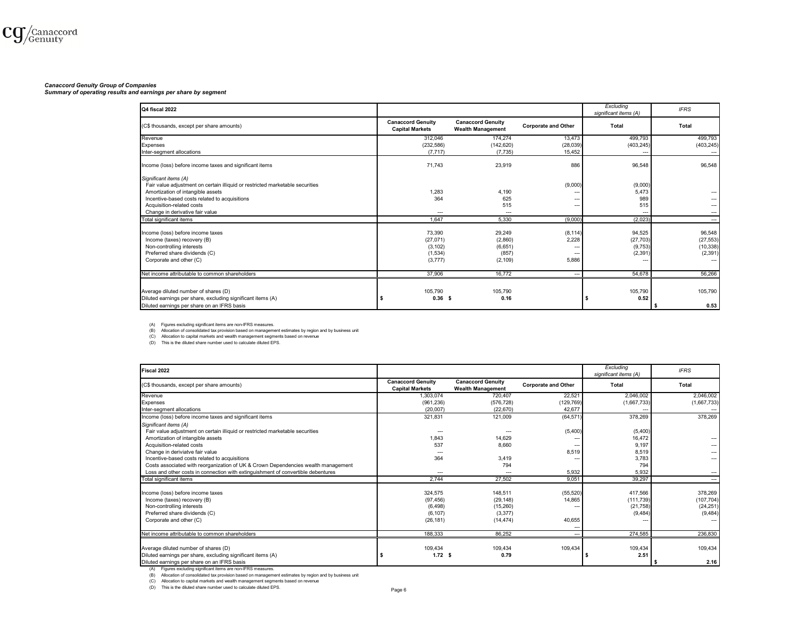#### *Canaccord Genuity Group of Companies*

*Summary of operating results and earnings per share by segment*

| Q4 fiscal 2022                                                                |                                                    |                                                      |                            | Excludina<br>significant items (A) | <b>IFRS</b>              |
|-------------------------------------------------------------------------------|----------------------------------------------------|------------------------------------------------------|----------------------------|------------------------------------|--------------------------|
| (C\$ thousands, except per share amounts)                                     | <b>Canaccord Genuity</b><br><b>Capital Markets</b> | <b>Canaccord Genuity</b><br><b>Wealth Management</b> | <b>Corporate and Other</b> | Total                              | <b>Total</b>             |
| Revenue                                                                       | 312.046                                            | 174,274                                              | 13,473                     | 499.793                            | 499.793                  |
| Expenses                                                                      | (232, 586)                                         | (142, 620)                                           | (28, 039)                  | (403, 245)                         | (403, 245)               |
| Inter-segment allocations                                                     | (7, 717)                                           | (7, 735)                                             | 15,452                     |                                    | $\overline{\phantom{a}}$ |
| Income (loss) before income taxes and significant items                       | 71.743                                             | 23,919                                               | 886                        | 96,548                             | 96,548                   |
| Significant items (A)                                                         |                                                    |                                                      |                            |                                    |                          |
| Fair value adjustment on certain illiquid or restricted marketable securities |                                                    |                                                      | (9,000)                    | (9,000)                            |                          |
| Amortization of intangible assets                                             | 1,283                                              | 4.190                                                | ---                        | 5,473                              |                          |
| Incentive-based costs related to acquisitions                                 | 364                                                | 625                                                  | ---                        | 989                                |                          |
| Acquisition-related costs                                                     |                                                    | 515                                                  | ---                        | 515                                |                          |
| Change in derivative fair value                                               | $---$                                              | ---                                                  |                            | ---                                |                          |
| Total significant items                                                       | 1.647                                              | 5,330                                                | (9,000)                    | (2,023)                            | ---                      |
| Income (loss) before income taxes                                             | 73.390                                             | 29.249                                               | (8, 114)                   | 94,525                             | 96,548                   |
| Income (taxes) recovery (B)                                                   | (27,071)                                           | (2,860)                                              | 2,228                      | (27, 703)                          | (27, 553)                |
| Non-controlling interests                                                     | (3, 102)                                           | (6,651)                                              | ---                        | (9,753)                            | (10, 338)                |
| Preferred share dividends (C)                                                 | (1,534)                                            | (857)                                                | $\overline{\phantom{a}}$   | (2, 391)                           | (2, 391)                 |
| Corporate and other (C)                                                       | (3,777)                                            | (2, 109)                                             | 5.886                      | ---                                |                          |
| Net income attributable to common shareholders                                | 37,906                                             | 16.772                                               | $\overline{\phantom{a}}$   | 54.678                             | 56,266                   |
|                                                                               |                                                    |                                                      |                            |                                    |                          |
| Average diluted number of shares (D)                                          | 105,790                                            | 105.790                                              |                            | 105,790                            | 105,790                  |
| Diluted earnings per share, excluding significant items (A)                   | 0.36 <sub>5</sub>                                  | 0.16                                                 |                            | 0.52<br>-5                         |                          |
| Diluted earnings per share on an IFRS basis                                   |                                                    |                                                      |                            |                                    | 0.53                     |

(A) Figures excluding significant items are non-IFRS measures.<br>(B) Allocation of consolidated tax provision based on management estimates by region and by business unit<br>(C) Allocation to capital markets and weath managemen

| Fiscal 2022                                                                                                                                                                                                                                                                                                                                  |                                                    |                                                      |                            | Excluding<br>significant items (A) | <b>IFRS</b>              |
|----------------------------------------------------------------------------------------------------------------------------------------------------------------------------------------------------------------------------------------------------------------------------------------------------------------------------------------------|----------------------------------------------------|------------------------------------------------------|----------------------------|------------------------------------|--------------------------|
| (C\$ thousands, except per share amounts)                                                                                                                                                                                                                                                                                                    | <b>Canaccord Genuitv</b><br><b>Capital Markets</b> | <b>Canaccord Genuity</b><br><b>Wealth Management</b> | <b>Corporate and Other</b> | Total                              | Total                    |
| Revenue                                                                                                                                                                                                                                                                                                                                      | 1.303.074                                          | 720.407                                              | 22,521                     | 2,046,002                          | 2,046,002                |
| Expenses                                                                                                                                                                                                                                                                                                                                     | (961, 236)                                         | (576, 728)                                           | (129, 769)                 | (1,667,733)                        | (1,667,733)              |
| Inter-segment allocations                                                                                                                                                                                                                                                                                                                    | (20.007)                                           | (22.670)                                             | 42.677                     |                                    |                          |
| Income (loss) before income taxes and significant items                                                                                                                                                                                                                                                                                      | 321,831                                            | 121,009                                              | (64, 571)                  | 378,269                            | 378,269                  |
| Significant items (A)                                                                                                                                                                                                                                                                                                                        |                                                    |                                                      |                            |                                    |                          |
| Fair value adjustment on certain illiquid or restricted marketable securities                                                                                                                                                                                                                                                                | ---                                                |                                                      | (5,400)                    | (5,400)                            |                          |
| Amortization of intangible assets                                                                                                                                                                                                                                                                                                            | 1.843                                              | 14.629                                               | ---                        | 16,472                             | $\overline{\phantom{a}}$ |
| Acquisition-related costs                                                                                                                                                                                                                                                                                                                    | 537                                                | 8,660                                                | ---                        | 9,197                              | ---                      |
| Change in deriviatve fair value                                                                                                                                                                                                                                                                                                              |                                                    |                                                      | 8,519                      | 8,519                              | ---                      |
| Incentive-based costs related to acquisitions                                                                                                                                                                                                                                                                                                | 364                                                | 3,419                                                |                            | 3,783                              | ---                      |
| Costs associated with reorganization of UK & Crown Dependencies wealth management                                                                                                                                                                                                                                                            |                                                    | 794                                                  |                            | 794                                |                          |
| Loss and other costs in connection with extinguishment of convertible debentures                                                                                                                                                                                                                                                             | ---                                                | ---                                                  | 5,932                      | 5.932                              | ---                      |
| Total significant items                                                                                                                                                                                                                                                                                                                      | 2.744                                              | 27.502                                               | 9,051                      | 39,297                             | ---                      |
| Income (loss) before income taxes                                                                                                                                                                                                                                                                                                            | 324.575                                            | 148.511                                              | (55, 520)                  | 417.566                            | 378,269                  |
| Income (taxes) recovery (B)                                                                                                                                                                                                                                                                                                                  | (97, 456)                                          | (29, 148)                                            | 14,865                     | (111, 739)                         | (107, 704)               |
| Non-controlling interests                                                                                                                                                                                                                                                                                                                    | (6, 498)                                           | (15,260)                                             |                            | (21,758)                           | (24, 251)                |
| Preferred share dividends (C)                                                                                                                                                                                                                                                                                                                | (6, 107)                                           | (3,377)                                              |                            | (9, 484)                           | (9, 484)                 |
| Corporate and other (C)                                                                                                                                                                                                                                                                                                                      | (26, 181)                                          | (14, 474)                                            | 40,655                     | ---                                |                          |
| Net income attributable to common shareholders                                                                                                                                                                                                                                                                                               | 188,333                                            | 86.252                                               | ---                        | 274,585                            | 236,830                  |
|                                                                                                                                                                                                                                                                                                                                              |                                                    |                                                      | ---                        |                                    |                          |
| Average diluted number of shares (D)                                                                                                                                                                                                                                                                                                         | 109.434                                            | 109.434                                              | 109,434                    | 109,434                            | 109,434                  |
| Diluted earnings per share, excluding significant items (A)                                                                                                                                                                                                                                                                                  | 1.72S                                              | 0.79                                                 |                            | 2.51                               |                          |
| Diluted earnings per share on an IFRS basis                                                                                                                                                                                                                                                                                                  |                                                    |                                                      |                            |                                    | 2.16                     |
| Figures excluding significant items are non-IFRS measures.<br>(A)<br>Allocation of consolidated tax provision based on management estimates by region and by business unit<br>(B)<br>Allocation to capital markets and wealth management segments based on revenue<br>This is the diluted share number used to calculate diluted EPS.<br>(D) | $D - - -$                                          |                                                      |                            |                                    |                          |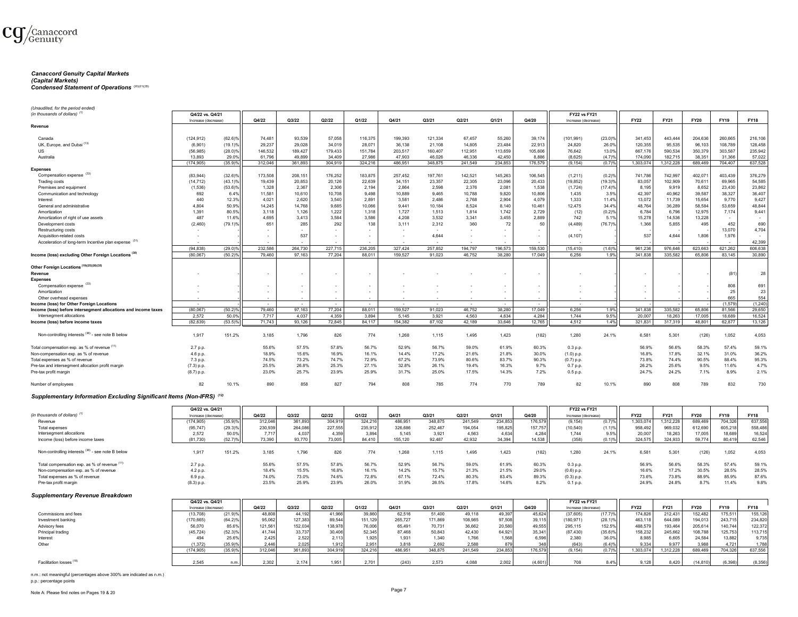

# *Canaccord Genuity Capital Markets (Capital Markets)*

#### *Condensed Statement of Operations* (20)(21)(35)

*(Unaudited, for the period ended)*

| (in thousands of dollars)                                                                  | Q4/22 vs. Q4/21     |                       |         |         |         |                 |         |         |                          |                          |                 | <b>FY22 vs FY21</b> |            |             |           |             |             |                  |
|--------------------------------------------------------------------------------------------|---------------------|-----------------------|---------|---------|---------|-----------------|---------|---------|--------------------------|--------------------------|-----------------|---------------------|------------|-------------|-----------|-------------|-------------|------------------|
|                                                                                            | Increase (decrease) |                       | Q4/22   | Q3/22   | Q2/22   | Q1/22           | Q4/21   | Q3/21   | Q2/21                    | Q1/21                    | Q4/20           | Increase (decrease) |            | <b>FY22</b> | FY21      | <b>FY20</b> | FY19        | <b>FY18</b>      |
| Revenue                                                                                    |                     |                       |         |         |         |                 |         |         |                          |                          |                 |                     |            |             |           |             |             |                  |
|                                                                                            |                     |                       |         |         |         |                 |         |         |                          |                          |                 |                     |            |             |           |             |             |                  |
| Canada                                                                                     | (124, 912)          | $(62.6)\%$            | 74,481  | 93,539  | 57,058  | 116,375         | 199,393 | 121,334 | 67,457                   | 55,260                   | 39,174          | (101, 991)          | $(23.0)\%$ | 341,453     | 443,444   | 204,636     | 260,665     | 216,106          |
| UK, Europe, and Dubai <sup>(13)</sup>                                                      | (6,901)             | (19.1)%               | 29,237  | 29,028  | 34,019  | 28,071          | 36,138  | 21,108  | 14,805                   | 23,484                   | 22,913          | 24,820              | 26.0%      | 120,355     | 95,535    | 96,103      | 108,789     | 128,458          |
| <b>US</b>                                                                                  | (56, 985)           | $(28.0)\%$            | 146,532 | 189,427 | 179,433 | 151,784         | 203,517 | 160,407 | 112,951                  | 113,659                  | 105,606         | 76,642              | 13.0%      | 667,176     | 590,534   | 350,379     | 303,587     | 235,942          |
| Australia                                                                                  | 13.893              | 29.0%                 | 61,796  | 49.899  | 34.409  | 27,986          | 47,903  | 46.026  | 46.336                   | 42.450                   | 8,886           | (8,625)             | (4.7)%     | 174,090     | 182,715   | 38,351      | 31,366      | 57,022           |
|                                                                                            | (174, 905)          | $(35.9)$ %            | 312,046 | 361,893 | 304,919 | 324,216         | 486,951 | 348,875 | 241,549                  | 234,853                  | 176,579         | (9, 154)            | (0.7)%     | 1,303,074   | 1,312,228 | 689,469     | 704,407     | 637,528          |
| <b>Expenses</b>                                                                            |                     |                       |         |         |         |                 |         |         |                          |                          |                 |                     |            |             |           |             |             |                  |
| Compensation expense (33)                                                                  | (83,944)            | $(32.6)\%$            | 173,508 | 208,151 | 176,252 | 183,875         | 257.452 | 197,761 | 142,521                  | 145,263                  | 106,545         | (1, 211)            | (0.2)%     | 741,786     | 742.997   | 402,071     | 403.439     | 376,279          |
| Trading costs                                                                              | (14, 712)           | (43.1)%               | 19,439  | 20,853  | 20,126  | 22,639          | 34,151  | 23,357  | 22,305                   | 23,096                   | 20,433          | (19, 852)           | (19.3)%    | 83,057      | 102,909   | 70,611      | 69,965      | 54,585           |
|                                                                                            |                     |                       |         |         |         |                 |         |         |                          |                          |                 |                     |            |             |           |             |             |                  |
| Premises and equipment                                                                     | (1,536)             | $(53.6)\%$            | 1,328   | 2,367   | 2,306   | 2,194           | 2,864   | 2,598   | 2,376                    | 2,081                    | 1,538           | (1, 724)            | (17.4)%    | 8,195       | 9,919     | 8,652       | 23,430      | 23,862           |
| Communication and technology                                                               | 692                 | 6.4%                  | 11,581  | 10,610  | 10,708  | 9,498           | 10,889  | 9,465   | 10,788                   | 9,820                    | 10,806          | 1,435               | 3.5%       | 42,397      | 40,962    | 39,587      | 38,327      | 36,407           |
| Interest                                                                                   | 440                 | 12.3%                 | 4,021   | 2,620   | 3,540   | 2,891           | 3,581   | 2,486   | 2,768                    | 2,904                    | 4,079           | 1,333               | 11.4%      | 13,072      | 11,739    | 15,654      | 9,770       | 9,427            |
| General and administrative                                                                 | 4,804               | 50.9%                 | 14,245  | 14,768  | 9,685   | 10,066          | 9,441   | 10,184  | 8.524                    | 8,140                    | 10,461          | 12,475              | 34.4%      | 48,764      | 36,289    | 58,584      | 53,659      | 48,844           |
| Amortization                                                                               | 1,391               | 80.5%                 | 3,118   | 1,126   | 1,222   | 1,318           | 1,727   | 1,513   | 1,814                    | 1,742                    | 2,729           | (12)                | (0.2)%     | 6,784       | 6,796     | 12,975      | 7,174       | 9,441            |
| Amortization of right of use assets                                                        | 487                 | 11.6%                 | 4,695   | 3,413   | 3,584   | 3,586           | 4,208   | 3,532   | 3,341                    | 3,455                    | 2,889           | 742                 | 5.1%       | 15,278      | 14,536    | 13,228      |             | $\sim$           |
| Development costs                                                                          | (2,460)             | $(79.1)\%$            | 651     | 285     | 292     | 138             | 3.111   | 2.312   | 360                      | 72                       | 50              | (4, 489)            | (76.7)%    | 1,366       | 5,855     | 495         | 452         | 690              |
| Restructuring costs                                                                        |                     |                       | $\sim$  |         |         |                 |         |         |                          |                          |                 |                     |            |             |           |             | 13,070      | 4,704            |
| Acquisition-related costs                                                                  |                     |                       |         | 537     |         |                 |         | 4,644   |                          |                          |                 | (4, 107)            |            | 537         | 4,644     | 1,806       | 1,976       | ٠                |
| Acceleration of long-term Incentive plan expense (31)                                      |                     |                       |         |         |         |                 |         |         |                          |                          |                 |                     |            |             |           |             |             | 42,399           |
|                                                                                            |                     |                       |         |         |         |                 |         |         |                          |                          |                 |                     |            |             |           |             |             |                  |
|                                                                                            | (94, 838)           | $(29.0)$ <sup>9</sup> | 232,586 | 264,730 | 227,715 | 236,205         | 327,424 | 257,852 | 194,797                  | 196,573                  | 159,530         | (15, 410)           | (1.6)%     | 961,236     | 976,646   | 623,663     | 621,262     | 606,638          |
| Income (loss) excluding Other Foreign Locations <sup>(30)</sup>                            | (80,067)            | $(50.2)$ %            | 79,460  | 97,163  | 77,204  | 88,011          | 159,527 | 91,023  | 46,752                   | 38,280                   | 17,049          | 6,256               | 1.9%       | 341,838     | 335,582   | 65,806      | 83,145      | 30,890           |
|                                                                                            |                     |                       |         |         |         |                 |         |         |                          |                          |                 |                     |            |             |           |             |             |                  |
| Other Foreign Locations (19)(25)(26)(35)                                                   |                     |                       |         |         |         |                 |         |         |                          |                          |                 |                     |            |             |           |             |             |                  |
| Revenue                                                                                    |                     |                       | $\sim$  |         |         | ٠.              |         |         |                          | $\overline{\phantom{a}}$ |                 |                     |            |             |           |             | (81)        | 28               |
| <b>Expenses</b>                                                                            |                     |                       |         |         |         |                 |         |         |                          |                          |                 |                     |            |             |           |             |             |                  |
| Compensation expense (33)                                                                  |                     |                       |         |         |         | $\sim$          |         |         |                          |                          |                 |                     |            |             |           |             | 808         | 691              |
| Amortization                                                                               |                     |                       | $\sim$  |         |         |                 |         |         |                          | $\overline{\phantom{a}}$ |                 |                     |            |             |           |             | 25          | 23               |
| Other overhead expenses                                                                    |                     |                       |         |         |         |                 |         |         |                          |                          |                 |                     |            |             |           |             | 665         | 554              |
|                                                                                            | $\sim$              |                       |         | $\sim$  | $\sim$  | $\sim$          | $\sim$  | $\sim$  | $\overline{\phantom{a}}$ | $\sim$                   | $\sim$          | $\sim$              |            |             |           |             | (1.579)     | (1, 240)         |
| Income (loss) for Other Foreign Locations                                                  |                     |                       |         |         |         |                 |         |         |                          |                          |                 |                     |            |             |           |             |             |                  |
| Income (loss) before intersegment allocations and income taxes<br>Intersegment allocations | (80,067)            | $(50.2)$ <sup>9</sup> | 79,460  | 97,163  | 77,204  | 88.011<br>3.894 | 159.527 | 91,023  | 46.752                   | 38,280                   | 17,049          | 6.256<br>1 7 4 4    | 1.9%       | 341.838     | 335,582   | 65,806      | 81.566      | 29,650           |
|                                                                                            | 2.572               | 50.09                 | 7.717   | 4.037   | 4.359   |                 | 5.145   | 3.921   | 4.563                    | 4.634                    | 4.284           |                     | 9.5%       | 20.007      | 18,263    | 17,005      | 18,689      | 16,524           |
|                                                                                            |                     |                       |         |         |         |                 |         |         |                          |                          |                 |                     |            |             |           |             |             |                  |
| Income (loss) before income taxes                                                          | (82, 639)           | $(53.5)^6$            | 71,743  | 93,126  | 72,845  | 84,117          | 154,382 | 87,102  | 42,189                   | 33,646                   | 12,765          | 4,512               | 1.4%       | 321,831     | 317,319   | 48,801      | 62,877      | 13,126           |
|                                                                                            |                     |                       |         |         |         |                 |         |         |                          |                          |                 |                     |            |             |           |             |             |                  |
| Non-controlling interests (38) - see note B below                                          | 1,917               | 151.2%                | 3,185   | 1,796   | 826     | 774             | 1,268   | 1,115   | 1,495                    | 1,423                    | (182)           | 1,280               | 24.1%      | 6,581       | 5,301     | (126)       | 1,052       | 4,053            |
|                                                                                            |                     |                       |         |         |         |                 |         |         |                          |                          |                 |                     |            |             |           |             |             |                  |
| Total compensation exp. as % of revenue (11)                                               | 2.7 p.p.            |                       | 55.6%   | 57.5%   | 57.8%   | 56.7%           | 52.9%   | 56.7%   | 59.0%                    | 61.9%                    | 60.3%           | 0.3 p.p.            |            | 56.9%       | 56.6%     | 58.3%       | 57.4%       | 59.1%            |
| Non-compensation exp. as % of revenue                                                      | 4.6 p.p.            |                       | 18.9%   | 15.6%   | 16.9%   | 16.1%           | 14.4%   | 17.2%   | 21.6%                    | 21.8%                    | 30.0%           |                     |            | 16.8%       | 17.8%     | 32.1%       | 31.0%       | 36.2%            |
|                                                                                            |                     |                       |         |         | 74.7%   |                 |         |         |                          |                          |                 | $(1.0)$ p.p.        |            |             | 74.4%     |             |             |                  |
| Total expenses as % of revenue                                                             | 7.3 p.p.            |                       | 74.5%   | 73.2%   |         | 72.9%           | 67.2%   | 73.9%   | 80.6%                    | 83.7%                    | 90.3%           | $(0.7)$ p.p.        |            | 73.8%       |           | 90.5%       | 88.4%       | 95.3%            |
| Pre-tax and intersegment allocation profit margin                                          | $(7.3)$ p.p.        |                       | 25.5%   | 26.8%   | 25.3%   | 27.1%           | 32.8%   | 26.1%   | 19.4%                    | 16.3%                    | 9.7%            | 0.7 p.p.            |            | 26.2%       | 25.6%     | 9.5%        | 11.6%       | 4.7%             |
| Pre-tax profit margin                                                                      | $(8.7)$ p.p.        |                       | 23.0%   | 25.7%   | 23.9%   | 25.9%           | 31.7%   | 25.0%   | 17.5%                    | 14.3%                    | 7.2%            | $0.5$ p.p.          |            | 24.7%       | 24.2%     | 7.1%        | 8.9%        | 2.1%             |
|                                                                                            |                     |                       |         |         |         |                 |         |         |                          |                          |                 |                     |            |             |           |             |             |                  |
| Number of employees                                                                        | 82                  | 10.1%                 | 890     | 858     | 827     | 794             | 808     | 785     | 774                      | 770                      | 789             | 82                  | 10.1%      | 890         | 808       | 789         | 832         | 730              |
|                                                                                            |                     |                       |         |         |         |                 |         |         |                          |                          |                 |                     |            |             |           |             |             |                  |
| Supplementary Information Excluding Significant Items (Non-IFRS) (12)                      |                     |                       |         |         |         |                 |         |         |                          |                          |                 |                     |            |             |           |             |             |                  |
|                                                                                            |                     |                       |         |         |         |                 |         |         |                          |                          |                 |                     |            |             |           |             |             |                  |
|                                                                                            | Q4/22 vs. Q4/21     |                       |         |         |         |                 |         |         |                          |                          |                 | <b>FY22 vs FY21</b> |            |             |           |             |             |                  |
| (in thousands of dollars) <sup>(1)</sup>                                                   | Increase (decrease) |                       | Q4/22   | Q3/22   | Q2/22   | Q1/22           | Q4/21   | Q3/21   | Q2/21                    | Q1/21                    | Q4/20           | Increase (decrease) |            | <b>FY22</b> | FY21      | <b>FY20</b> | FY19        | <b>FY18</b>      |
| Revenue                                                                                    | (174, 905)          | $(35.9)$ %            | 312,04  | 361,893 | 304,919 | 324,21          | 486,951 | 348,875 | 241.549                  | 234,85                   | 176,579         | (9, 154)            | (0.7)%     | 1,303,074   | 1,312,228 | 689,469     | 704,32      | 637,556          |
| Total expenses                                                                             | (95, 747)           | $(29.3)\%$            | 230,93  | 264,086 | 227,555 | 235,912         | 326,686 | 252,467 | 194,054                  | 195,825                  | 157,757         | (10, 540)           | (1.1)%     | 958,492     | 969,032   | 612,690     | 605,21      | 558,48           |
| Intersegment allocations                                                                   | 2,572               | 50.0%                 | 7,717   | 4,037   | 4,359   | 3,894           | 5,145   | 3,921   | 4.563                    | 4,634                    |                 | 1.744               | 9.5%       | 20,007      | 18.263    | 17,005      | 18,689      |                  |
| Income (loss) before income taxes                                                          | (81, 730)           | (52.7)%               | 73,390  | 93,770  | 73,005  | 84,410          | 155,120 | 92,487  | 42,932                   | 34,394                   | 4,284<br>14,538 | (358)               | (0.1)%     | 324,575     | 324,933   | 59,774      | 80,41       | 16,524<br>62,546 |
|                                                                                            |                     |                       |         |         |         |                 |         |         |                          |                          |                 |                     |            |             |           |             |             |                  |
|                                                                                            |                     |                       |         |         |         |                 |         |         |                          |                          |                 |                     |            |             |           |             |             |                  |
| Non-controlling interests (38) - see note B below                                          | 1,917               | 151.2%                | 3,185   | 1,796   | 826     | 774             | 1,268   | 1,115   | 1,495                    | 1,423                    | (182)           | 1,280               | 24.1%      | 6,581       | 5,301     | (126)       | 1,052       | 4,053            |
|                                                                                            |                     |                       |         |         |         |                 |         |         |                          |                          |                 |                     |            |             |           |             |             |                  |
| Total compensation exp. as % of revenue (11)                                               | 2.7 p.p.            |                       | 55.6%   | 57.5%   | 57.8%   | 56.7%           | 52.9%   | 56.7%   | 59.0%                    | 61.9%                    | 60.3%           | $0.3$ p.p.          |            | 56.9%       | 56.6%     | 58.3%       | 57.4%       | 59.1%            |
| Non-compensation exp. as % of revenue                                                      | 4.2 p.p.            |                       | 18.4%   | 15.5%   | 16.8%   | 16.1%           | 14.2%   | 15.7%   | 21.3%                    | 21.5%                    | 29.0%           | $(0.6)$ p.p.        |            | 16.6%       | 17.2%     | 30.5%       | 28.5%       | 28.5%            |
| Total expenses as % of revenue                                                             | 6.9 p.p.            |                       | 74.0%   | 73.0%   | 74.6%   | 72.8%           | 67.1%   | 72.4%   | 80.3%                    | 83.4%                    | 89.3%           | $(0.3)$ p.p.        |            | 73.6%       | 73.8%     | 88.9%       | 85.9%       | 87.6%            |
| Pre-tax profit margin                                                                      | $(8.3)$ p.p.        |                       | 23.5%   | 25.9%   | 23.9%   | 26.0%           | 31.9%   | 26.5%   | 17.8%                    | 14.6%                    | 8.2%            | 0.1 p.p.            |            | 24.9%       | 24.8%     | 8.7%        | 11.4%       | 9.8%             |
|                                                                                            |                     |                       |         |         |         |                 |         |         |                          |                          |                 |                     |            |             |           |             |             |                  |
| <b>Supplementary Revenue Breakdown</b>                                                     |                     |                       |         |         |         |                 |         |         |                          |                          |                 |                     |            |             |           |             |             |                  |
|                                                                                            | Q4/22 vs. Q4/21     |                       |         |         |         |                 |         |         |                          |                          |                 | <b>FY22 vs FY21</b> |            |             |           |             |             |                  |
|                                                                                            | Increase (decrease) |                       | Q4/22   | Q3/22   | Q2/22   | Q1/22           | Q4/21   | Q3/21   | Q2/21                    | Q1/21                    | Q4/20           | Increase (decrease) |            | <b>FY22</b> | FY21      | <b>FY20</b> | <b>FY19</b> | <b>FY18</b>      |
| Commissions and fees                                                                       | (13,708)            | (21.9)                | 48,80   | 44.19   | 41.96   | 39.86           | 62,516  | 51,400  | 49.118                   | 49,39                    | 45,624          | (37, 605)           | $(17.7)$ % | 174,826     | 212,431   | 152,482     | 175,51      | 155,126          |

|                                     | . ., ,     | $1 - 1.97 - 1.1$ | $\sim$  |        | $\cdot \cdot \cdot$ | $\sim\!\sim\!\sim\!\sim$ | $\sim$  | $\sim$ $\sim$ |         | $\cdot\cdot\cdot\cdot$ | $\cdots$ | 10.7000    | , , , , , , , , | $\cdots$  | $-1$      |           | 2.0.0   |         |
|-------------------------------------|------------|------------------|---------|--------|---------------------|--------------------------|---------|---------------|---------|------------------------|----------|------------|-----------------|-----------|-----------|-----------|---------|---------|
| Investment banking                  | '170,665)  | $(64.2)\%$       | 95,062  | 127,38 | 89,544              | 151,129                  | 265,727 | 171,869       | 108,985 | 97,508                 | 39,115   | (180, 971) | (28.1)%         | 463,118   | 644.089   | 194,013   | 243,71  | 234,820 |
| Advisory fees                       | 56,070     | 85.6%            | 121.561 | 152.03 | 138,978             | 76,006                   | 65,491  | 70,731        | 36,662  | 20,580                 | 49,555   | 295,115    | 152.5%          | 488,579   | 193,464   | 205,614   | 140.744 | 122.372 |
| Principal trading                   | (45, 724)  | (52.3)%          | 41.744  | 33.737 | 30,406              | 52,345                   | 87,468  | 50,843        | 42,430  | 64,921                 | 35,341   | (87, 430)  | $(35.6)$ %      | 158,232   | 245,662   | 108,788   | 125.753 | 113.715 |
| Interest                            | 494        | 25.6%            | 2.425.  | 2.522  | 2,113               | 1,925                    | 1,931   | 1,340         | 1,766   | 1,568                  | 6,596    | 2,380      | 36.0%           | 8,985     | 6,605     | 24,584    | 13,882  | 9,735   |
| Other                               | (1.372)    | (35.9)%          | 2.446   | 2,025  | 1,912               | 2,951                    | 3,818   | 2,692         | 2,588   | 879                    | 348      | (643)      | $(6.4)$ %       | 9,334     | 9,977     | 3,988     | 4.721   | 1,788   |
|                                     | (174, 905) | (35.9)%          | 312.04  | 361,89 | 304,919             | 324.216                  | 486.951 | 348,875       | 241,549 | 234,853                | 176,579  | (9.154)    | (0.7)%          | 1,303,074 | 1.312.228 | 689,469   | 704,326 | 637,556 |
|                                     |            |                  |         |        |                     |                          |         |               |         |                        |          |            |                 |           |           |           |         |         |
| Facilitation losses <sup>(18)</sup> | 2,545      | n.m.II           | 2.302   | 2.174  | 1,951               | 2,701                    | (243)   | 2,573         | 4,088   | 2,002                  | (4,601)  | 708        | 8.4%            | 9,128     | 8,420     | (14, 810) | (6.398) | (8,356) |
|                                     |            |                  |         |        |                     |                          |         |               |         |                        |          |            |                 |           |           |           |         |         |

n.m.: not meaningful (percentages above 300% are indicated as n.m.) p.p.: percentage points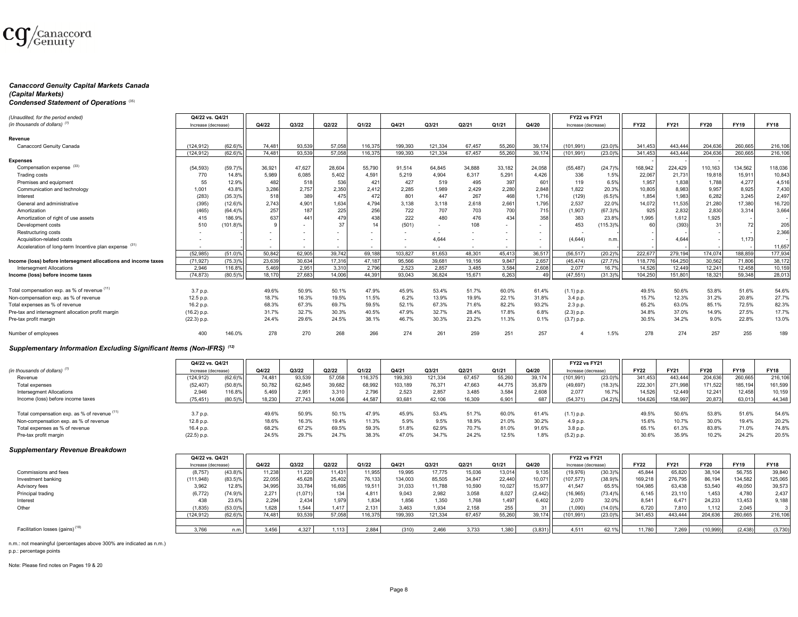

#### *Canaccord Genuity Capital Markets Canada (Capital Markets)*

# *Condensed Statement of Operations* (35)

| (Unaudited, for the period ended)                              | Q4/22 vs. Q4/21     |                       |        |                          |        |         |                          |                          |        |        |        |                     |                       |             |             |             |             |             |
|----------------------------------------------------------------|---------------------|-----------------------|--------|--------------------------|--------|---------|--------------------------|--------------------------|--------|--------|--------|---------------------|-----------------------|-------------|-------------|-------------|-------------|-------------|
|                                                                |                     |                       |        |                          |        |         |                          |                          |        |        |        | <b>FY22 vs FY21</b> |                       |             |             |             |             |             |
| (in thousands of dollars) $(1)$                                | Increase (decrease) |                       | Q4/22  | Q3/22                    | Q2/22  | Q1/22   | Q4/21                    | Q3/21                    | Q2/21  | Q1/21  | Q4/20  | Increase (decrease) |                       | <b>FY22</b> | <b>FY21</b> | <b>FY20</b> | <b>FY19</b> | <b>FY18</b> |
|                                                                |                     |                       |        |                          |        |         |                          |                          |        |        |        |                     |                       |             |             |             |             |             |
| Revenue                                                        |                     |                       |        |                          |        |         |                          |                          |        |        |        |                     |                       |             |             |             |             |             |
| Canaccord Genuity Canada                                       | (124.912)           | $(62.6)$ <sup>9</sup> | 74,48  | 93.539                   | 57.058 | 116.375 | 199.393                  | 121.334                  | 67.457 | 55,260 | 39.174 | (101.991)           | $(23.0)$ <sup>9</sup> | 341.453     | 443.444     | 204.636     | 260.665     | 216,106     |
|                                                                | (124, 912)          | $(62.6)$ <sup>9</sup> | 74.48  | 93.539                   | 57.058 | 116,375 | 199.393                  | 121.334                  | 67.457 | 55,260 | 39.174 | (101.991)           | $(23.0)$ <sup>9</sup> | 341.453     | 443.444     | 204.636     | 260,665     | 216,106     |
| <b>Expenses</b>                                                |                     |                       |        |                          |        |         |                          |                          |        |        |        |                     |                       |             |             |             |             |             |
| Compensation expense <sup>(33)</sup>                           | (54, 593)           | (59.7)%               | 36,921 | 47,627                   | 28,604 | 55,790  | 91,514                   | 64,845                   | 34,888 | 33,182 | 24,058 | (55, 487)           | (24.7)%               | 168,942     | 224,429     | 110,163     | 134,562     | 118,036     |
| <b>Trading costs</b>                                           | 770                 | 14.8%                 | 5,989  | 6,085                    | 5,402  | 4,591   | 5,219                    | 4.904                    | 6,317  | 5,291  | 4,426  | 336                 | 1.5%                  | 22,067      | 21,731      | 19,818      | 15,91'      | 10,843      |
| Premises and equipment                                         | 55                  | 12.9%                 | 482    | 518                      | 536    | 421     | 427                      | 519                      | 495    | 397    | 601    | 119                 | 6.5%                  | 1.957       | 1,838       | 1.788       | 4.27        | 4,516       |
| Communication and technology                                   | 1,001               | 43.8%                 | 3.286  | 2,757                    | 2,350  | 2.412   | 2.285                    | 1.989                    | 2.429  | 2,280  | 2,848  | 1.822               | 20.3%                 | 10,805      | 8,983       | 9.957       | 8.925       | 7,430       |
| Interest                                                       | (283)               | (35.3)%               | 518    | 389                      | 475    | 472     | 801                      | 447                      | 267    | 468    | 1.716  | (129)               | (6.5)%                | 1,854       | 1,983       | 6.282       | 3,245       | 2.497       |
| General and administrative                                     | (395)               | $(12.6)\%$            | 2.743  | 4,901                    | 1,634  | 4.794   | 3,138                    | 3.118                    | 2,618  | 2,66'  | 1,795  | 2,537               | 22.0%                 | 14,072      | 11,535      | 21,280      | 17,380      | 16,720      |
| Amortization                                                   | (465)               | (64.4)%               | 257    | 187                      | 225    | 256     | 722                      | 707                      | 703    | 700    | 715    | (1,907)             | (67.3)%               | 925         | 2,832       | 2.830       | 3.314       | 3.664       |
| Amortization of right of use assets                            | 415                 | 186.9%                | 637    | 44 <sup>°</sup>          | 479    | 438     | 222                      | 480                      | 476    | 434    | 358    | 383                 | 23.8%                 | 1.995       | 1.612       | 1.925       |             |             |
| Development costs                                              | 510                 | $(101.8)\%$           |        | $\sim$                   | 37     | 14      | (501)                    | $\overline{\phantom{a}}$ | 108    | $\sim$ |        | 453                 | $(115.3)$ %           | 60          | (393)       | 31          |             | 205         |
| Restructuring costs                                            | $\sim$              |                       |        | $\overline{\phantom{a}}$ |        | ٠       | $\overline{\phantom{a}}$ |                          |        | $\sim$ | $\sim$ |                     |                       |             |             |             |             | 2.366       |
| Acquisition-related costs                                      |                     |                       |        | $\overline{\phantom{a}}$ |        |         | $\overline{\phantom{a}}$ | 4.644                    |        |        |        | (4,644)             | n.m.                  |             | 4,644       |             | 1.173       |             |
| Acceleration of long-term Incentive plan expense (31)          |                     |                       | $\sim$ | $\sim$                   |        | ٠       | $\overline{\phantom{a}}$ | $\overline{\phantom{a}}$ |        | $\sim$ | $\sim$ |                     |                       |             |             |             |             | 11.657      |
|                                                                | (52, 985)           | (51.0)%               | 50.842 | 62,905                   | 39,742 | 69.188  | 103.827                  | 81,653                   | 48,301 | 45,413 | 36,517 | (56, 517)           | (20.2)%               | 222.677     | 279,194     | 174,074     | 188,859     | 177.934     |
| Income (loss) before intersegment allocations and income taxes | (71, 927)           | (75.3)%               | 23,639 | 30.634                   | 17,316 | 47.187  | 95.566                   | 39.681                   | 19.156 | 9.847  | 2.657  | (45.474)            | $(27.7)$ <sup>9</sup> | 118,776     | 164.250     | 30,562      | 71,806      | 38.172      |
| <b>Intersegment Allocations</b>                                | 2.946               | 116.8%                | 5.469  | 2.951                    | 3,310  | 2.796   | 2.523                    | 2.857                    | 3.485  | 3,584  | 2.608  | 2.077               | 16.7%                 | 14.526      | 12.449      | 12,241      | 12.458      | 10,159      |
| Income (loss) before income taxes                              | (74, 873)           | $(80.5)\%$            | 18.170 | 27.683                   | 14,006 | 44.391  | 93.043                   | 36.824                   | 15.671 | 6.263  | 49     | (47, 551)           | $(31.3)\%$            | 104.250     | 151,801     | 18.321      | 59.348      | 28,013      |
|                                                                |                     |                       |        |                          |        |         |                          |                          |        |        |        |                     |                       |             |             |             |             |             |
| Total compensation exp. as % of revenue (11)                   | 3.7 p.p.            |                       | 49.6%  | 50.9%                    | 50.1%  | 47.9%   | 45.9%                    | 53.4%                    | 51.7%  | 60.0%  | 61.4%  | $(1.1)$ p.p.        |                       | 49.5%       | 50.6%       | 53.8%       | 51.6%       | 54.6%       |
| Non-compensation exp. as % of revenue                          | 12.5 p.p.           |                       | 18.7%  | 16.3%                    | 19.5%  | 11.5%   | 6.2%                     | 13.9%                    | 19.9%  | 22.1%  | 31.8%  | 3.4 p.p.            |                       | 15.7%       | 12.3%       | 31.2%       | 20.8%       | 27.7%       |
| Total expenses as % of revenue                                 | 16.2 p.p.           |                       | 68.3%  | 67.3%                    | 69.7%  | 59.5%   | 52.1%                    | 67.3%                    | 71.6%  | 82.2%  | 93.2%  | 2.3 p.p.            |                       | 65.2%       | 63.0%       | 85.1%       | 72.5%       | 82.3%       |
| Pre-tax and intersegment allocation profit margin              | (16.2) p.p.         |                       | 31.7%  | 32.7%                    | 30.3%  | 40.5%   | 47.9%                    | 32.7%                    | 28.4%  | 17.8%  | 6.8%   | $(2.3)$ p.p.        |                       | 34.8%       | 37.0%       | 14.9%       | 27.5%       | 17.7%       |
| Pre-tax profit margin                                          | $(22.3)$ p.p.       |                       | 24.4%  | 29.6%                    | 24.5%  | 38.1%   | 46.7%                    | 30.3%                    | 23.2%  | 11.3%  | 0.1%   | $(3.7)$ p.p.        |                       | 30.5%       | 34.2%       | 9.0%        | 22.8%       | 13.0%       |
|                                                                |                     |                       |        |                          |        |         |                          |                          |        |        |        |                     |                       |             |             |             |             |             |
| Number of employees                                            | 400                 | 146.0%                | 278    | 270                      | 268    | 266     | 274                      | 261                      | 259    | 251    | 257    |                     | 1.5%                  | 278         | 274         | 257         | 255         | 189         |

#### *Supplementary Information Excluding Significant Items (Non-IFRS) (12)*

|                                              | Q4/22 vs. Q4/21     |            |        |        |        |         |         |         |        |        |        | <b>FY22 vs FY21</b> |            |             |             |             |             |             |
|----------------------------------------------|---------------------|------------|--------|--------|--------|---------|---------|---------|--------|--------|--------|---------------------|------------|-------------|-------------|-------------|-------------|-------------|
| (in thousands of dollars) $(1)$              | Increase (decrease) |            | Q4/22  | Q3/22  | Q2/22  | Q1/22   | Q4/21   | Q3/21   | Q2/21  | Q1/21  | Q4/20  | Increase (decrease) |            | <b>FY22</b> | <b>FY21</b> | <b>FY20</b> | <b>FY19</b> | <b>FY18</b> |
| Revenue                                      | (124, 912)          | $(62.6)\%$ | 74.481 | 93.539 | 57.058 | 116,375 | 199,393 | 121.334 | 67.457 | 55.260 | 39,174 | (101, 991)          | $(23.0)\%$ | 341.453     | 443.444     | 204.636     | 260,665     | 216,106     |
| Total expenses                               | (52.407)            | (50.8)%    | 50,782 | 62.845 | 39.682 | 68,992  | 103.189 | 76.371  | 47.663 | 44,775 | 35,879 | (49, 697)           | (18.3)%    | 222.301     | 271.998     | 171.522     | 185, 194    | 161.599     |
| Intersegment Allocations                     | 2.946               | 116.8%     | 5.469  | 2.951  | 3,310  | 2.796   | 2.523   | 2.857   | 3,485  | 3,584  | 2.608  | 2.077               | 16.7%      | 14.526      | 12.449      | 12.241      | 12,458      | 10,159      |
| Income (loss) before income taxes            | 75.451              | $(80.5)$ % | 18.230 | 27.743 | 14.066 | 44.587  | 93.681  | 42.106  | 16.309 | 6.901  | 687    | (54.371             | $(34.2)\%$ | 104,626     | 158,997     | 20.873      | 63,013      | 44,348      |
|                                              |                     |            |        |        |        |         |         |         |        |        |        |                     |            |             |             |             |             |             |
| Total compensation exp. as % of revenue (11) | 3.7 p.p.            |            | 49.6%  | 50.9%  | 50.1%  | 47.9%   | 45.9%   | 53.4%   | 51.7%  | 60.0%  | 61.4%  | $(1.1)$ p.p.        |            | 49.5%       | 50.6%       | 53.8%       | 51.6%       | 54.6%       |
| Non-compensation exp. as % of revenue        | 12.8 p.p.           |            | 18.6%  | 16.3%  | 19.4%  | 11.3%   | 5.9%    | 9.5%    | 18.9%  | 21.0%  | 30.2%  | 4.9 p.p.            |            | 15.6%       | 10.7%       | 30.0%       | 19.4%       | 20.2%       |
| Total expenses as % of revenue               | 16.4 p.p.           |            | 68.2%  | 67.2%  | 69.5%  | 59.3%   | 51.8%   | 62.9%   | 70.7%  | 81.0%  | 91.6%  | 3.8 p.p.            |            | 65.1%       | 61.3%       | 83.8%       | 71.0%       | 74.8%       |
| Pre-tax profit margin                        | $(22.5)$ p.p.       |            | 24.5%  | 29.7%  | 24.7%  | 38.3%   | 47.0%   | 34.7%   | 24.2%  | 12.5%  | 1.8%   | $(5.2)$ p.p.        |            | 30.6%       | 35.9%       | 10.2%       | 24.2%       | 20.5%       |
|                                              |                     |            |        |        |        |         |         |         |        |        |        |                     |            |             |             |             |             |             |

#### *Supplementary Revenue Breakdown*

|                                             | Q4/22 vs. Q4/21     |                       |        |         |        |         |         |         |        |        |         | <b>FY22 vs FY21</b> |            |             |             |             |             |             |
|---------------------------------------------|---------------------|-----------------------|--------|---------|--------|---------|---------|---------|--------|--------|---------|---------------------|------------|-------------|-------------|-------------|-------------|-------------|
|                                             | Increase (decrease) |                       | Q4/22  | Q3/22   | Q2/22  | Q1/22   | Q4/21   | Q3/21   | Q2/21  | Q1/21  | Q4/20   | Increase (decrease) |            | <b>FY22</b> | <b>FY21</b> | <b>FY20</b> | <b>FY19</b> | <b>FY18</b> |
| Commissions and fees                        | (8, 757)            | $(43.8)$ <sup>c</sup> | 11,238 | 11,220  | 11,431 | 11,955  | 19,995  | 17,775  | 15,036 | 13,014 | 9,135   | (19, 976)           | $(30.3)\%$ | 45.844      | 65,820      | 38,104      | 56,755      | 39,840      |
| Investment banking                          | (111, 948)          | $(83.5)$ <sup>9</sup> | 22,055 | 45,628  | 25,402 | 76,133  | 134,003 | 85,505  | 34,847 | 22,440 | 10,07   | (107, 577)          | (38.9)%    | 169,218     | 276,795     | 86,194      | 134,582     | 125,065     |
| Advisory fees                               | 3,962               | 12.8%                 | 34,995 | 33,784  | 16,695 | 19,511  | 31,033  | 11,788  | 10,590 | 10,027 | 15.977  | 41,547              | 65.5%      | 104,985     | 63,438      | 53,540      | 49,050      | 39,573      |
| Principal trading                           | (6, 772)            | $(74.9)^{o}$          | 2.271  | (1,071) | 134    | 4,811   | 9,043   | 2,982   | 3,058  | 8,027  | (2.442) | (16, 965)           | (73.4)%    | 6,145       | 23,110      | .453        | 4,780       | 2,437       |
| Interest                                    | 438                 | 23.6%                 | 2,294  | 2.434   | 1,979  | 1,834   | 1,856   | ,350    | 1,768  | 1,497  | 6.402   | 2,070               | 32.0%      | 8.541       | 6,471       | 24,233      | 13,453      | 9,188       |
| Other                                       | (1, 835)            | $(53.0)$ <sup>9</sup> | 1,628  | 1.544   | 1.417  | 2,131   | 3,463   | 1.934   | 2,158  | 255    |         | (1,090)             | $(14.0)\%$ | 6.720       | 7,810       | 1.112       | 2,045       |             |
|                                             | (124, 912)          | (62.6)                | 74,481 | 93,539  | 57,058 | 116,375 | 199,393 | 121,334 | 67,457 | 55,260 | 39,174  | (101, 991)          | $(23.0)\%$ | 341,453     | 443,444     | 204,636     | 260,665     | 216,106     |
|                                             |                     |                       |        |         |        |         |         |         |        |        |         |                     |            |             |             |             |             |             |
| Facilitation losses (gains) <sup>(18)</sup> | 3,766               | n.m.                  | 3,456  | 4,327   | 1,113  | 2.884   | (310)   | 2.466   | 3,733  | 1,380  | (3,831) | 4.511               | 62.1%      | 11,780      | 7,269       | (10,999)    | (2, 438)    | (3,730)     |

n.m.: not meaningful (percentages above 300% are indicated as n.m.) p.p.: percentage points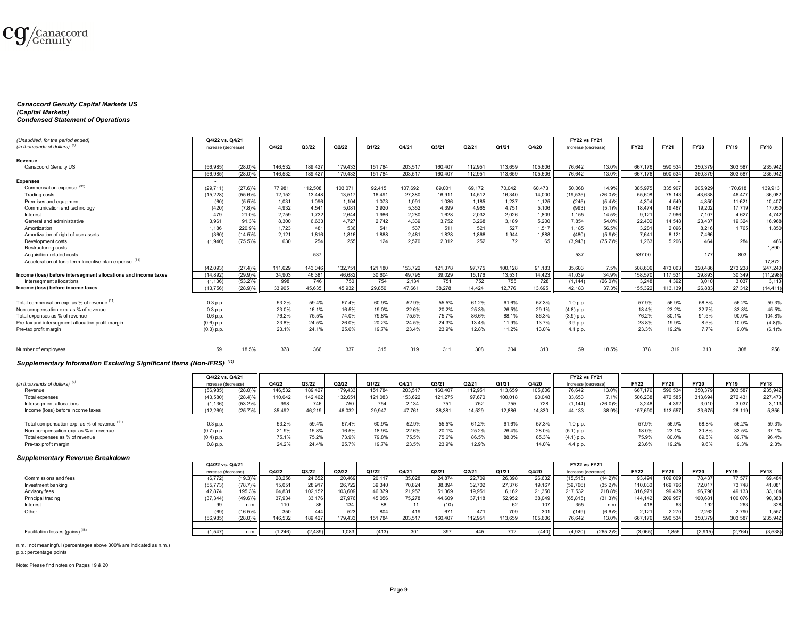

#### *Canaccord Genuity Capital Markets US (Capital Markets) Condensed Statement of Operations*

| (Unaudited, for the period ended)                              | Q4/22 vs. Q4/21          |                       |         |         |         |                          |         |         |         |         |         | <b>FY22 vs FY21</b> |            |             |             |             |             |             |
|----------------------------------------------------------------|--------------------------|-----------------------|---------|---------|---------|--------------------------|---------|---------|---------|---------|---------|---------------------|------------|-------------|-------------|-------------|-------------|-------------|
| (in thousands of dollars) (1)                                  | Increase (decrease)      |                       | Q4/22   | Q3/22   | Q2/22   | Q1/22                    | Q4/21   | Q3/21   | Q2/21   | Q1/21   | Q4/20   | Increase (decrease) |            | <b>FY22</b> | <b>FY21</b> | <b>FY20</b> | <b>FY19</b> | <b>FY18</b> |
| Revenue                                                        |                          |                       |         |         |         |                          |         |         |         |         |         |                     |            |             |             |             |             |             |
| Canaccord Genuity US                                           | (56, 985)                | $(28.0)$ <sup>9</sup> | 146,532 | 189,427 | 179,433 | 151.784                  | 203,51  | 160,407 | 112.951 | 113,659 | 105,606 | 76,642              | 13.0%      | 667,176     | 590,534     | 350,379     | 303,587     | 235,942     |
|                                                                | (56.985)                 | $(28.0)\%$            | 146.532 | 189.427 | 179.433 | 151.784                  | 203.517 | 160,407 | 112.951 | 113,659 | 105,606 | 76.642              | 13.0%      | 667.176     | 590.534     | 350.379     | 303.587     | 235.942     |
| <b>Expenses</b>                                                | $\overline{\phantom{a}}$ |                       |         |         |         |                          |         |         |         |         |         |                     |            |             |             |             |             |             |
| Compensation expense (33)                                      | (29, 711)                | $(27.6)\%$            | 77,98   | 112.508 | 103,071 | 92,415                   | 107,692 | 89,001  | 69,172  | 70,042  | 60,473  | 50.068              | 14.9%      | 385,97      | 335,907     | 205,929     | 170,618     | 139,913     |
| Trading costs                                                  | (15, 228)                | (55.6)%               | 12,152  | 13.448  | 13,51   | 16,491                   | 27,380  | 16,911  | 14,512  | 16,340  | 14,000  | (19, 535)           | $(26.0)\%$ | 55,608      | 75,143      | 43,638      | 46.477      | 36,082      |
| Premises and equipment                                         |                          | (5.5)%                | 1,031   | 1,096   | 1,104   | 1,073                    | 1,091   | 1,036   | 1,185   | 1,237   | 1,125   | (245)               | (5.4)%     | 4,304       | 4,549       | 4,850       | 11,621      | 10.407      |
| Communication and technology                                   | (60)<br>(420)            | (7.8)%                | 4,932   | 4,541   | 5,08    | 3,920                    | 5,352   | 4,399   | 4,965   | 4,751   | 5,106   | (993)               | (5.1)%     | 18,474      | 19,467      | 19,202      | 17,719      | 17,050      |
| Interest                                                       | 479                      | 21.0%                 | 2.759   | 1.732   | 2.644   | 1.986                    | 2.280   | 1.628   | 2.032   | 2.026   | 1.809   | 1.155               | 14.5%      | 9.121       | 7.966       | 7.107       | 4.627       | 4.742       |
| General and administrative                                     | 3.961                    | 91.3%                 | 8,300   | 6,633   | 4,727   | 2.742                    | 4.339   | 3,752   | 3.268   | 3,189   | 5,200   | 7,854               | 54.0%      | 22,402      | 14,548      | 23,437      | 19,324      | 16,968      |
| Amortization                                                   | 1.186                    | 220.9%                | 1.723   | 481     | 536     | 541                      | 537     | 511     | 521     | 527     | 1.517   | 1,185               | 56.5%      | 3,281       | 2,096       | 8,216       | 1.765       | 1.850       |
| Amortization of right of use assets                            | (360)                    | $(14.5)\%$            | 2,121   | 1,816   | 1,816   | 1,888                    | 2.481   | 1,828   | 1,868   | 1,944   | 1,888   | (480)               | (5.9)%     | 7,641       | 8,121       | 7.466       |             |             |
| Development costs                                              | (1,940)                  | $(75.5)\%$            | 630     | 254     | 255     | 124                      | 2,570   | 2,312   | 252     | 72      | 65      | (3,943)             | (75.7)%    | 1.263       | 5.206       | 464         | 284         | 466         |
| Restructuring costs                                            | $\sim$                   |                       |         |         | $\sim$  | $\sim$                   |         | $\sim$  |         |         |         | $\sim$              |            | $\sim$      |             |             | $\sim$      | 1.890       |
| Acquisition-related costs                                      |                          |                       |         | 537     | $\sim$  | $\overline{\phantom{a}}$ |         |         |         |         |         | 537                 |            | 537.00      |             | 177         | 803         |             |
| Acceleration of long-term Incentive plan expense (31)          | $\sim$                   |                       |         |         | $\sim$  | $\sim$                   |         |         |         |         | $\sim$  |                     |            |             |             |             | $\sim$      | 17,872      |
|                                                                | (42.093)                 | $(27.4)\%$            | 111.629 | 143.046 | 132.751 | 121.180                  | 153.722 | 121.378 | 97.775  | 100.128 | 91.18   | 35,603              | 7.5%       | 508,60      | 473,003     | 320.486     | 273,238     | 247,240     |
| Income (loss) before intersegment allocations and income taxes | (14.892)                 | $(29.9)\%$            | 34.903  | 46,381  | 46,682  | 30,604                   | 49.795  | 39,029  | 15,176  | 13,531  | 14,423  | 41.039              | 34.9%      | 158,57      | 117.531     | 29.893      | 30,349      | (11, 298)   |
| Intersegment allocations                                       | (1, 136)                 | $(53.2)\%$            | 998     | 746     | 750     | 754                      | 2,134   | 751     | 752     | 755     | 728     | (1, 144)            | $(26.0)\%$ | 3,248       | 4,392       | 3,010       | 3,037       | 3,113       |
| Income (loss) before income taxes                              | (13.756)                 | $(28.9)\%$            | 33.905  | 45.635  | 45.932  | 29,850                   | 47.661  | 38,278  | 14.424  | 12.776  | 13.695  | 42.183              | 37.3%      | 155,322     | 113.139     | 26.883      | 27.312      | (14, 411)   |
|                                                                |                          |                       |         |         |         |                          |         |         |         |         |         |                     |            |             |             |             |             |             |
| Total compensation exp. as % of revenue (11)                   | 0.3 p.p.                 |                       | 53.2%   | 59.4%   | 57.4%   | 60.9%                    | 52.9%   | 55.5%   | 61.2%   | 61.6%   | 57.3%   | 1.0 p.p.            |            | 57.9%       | 56.9%       | 58.8%       | 56.2%       | 59.3%       |
| Non-compensation exp. as % of revenue                          | $0.3$ p.p.               |                       | 23.0%   | 16.1%   | 16.5%   | 19.0%                    | 22.6%   | 20.2%   | 25.3%   | 26.5%   | 29.1%   | (4.8) p.p.          |            | 18.4%       | 23.2%       | 32.7%       | 33.8%       | 45.5%       |
| Total expenses as % of revenue                                 | 0.6 p.p.                 |                       | 76.2%   | 75.5%   | 74.0%   | 79.8%                    | 75.5%   | 75.7%   | 86.6%   | 88.1%   | 86.3%   | (3.9) p.p.          |            | 76.2%       | 80.1%       | 91.5%       | 90.0%       | 104.8%      |
| Pre-tax and intersegment allocation profit margin              | $(0.6)$ p.p.             |                       | 23.8%   | 24.5%   | 26.0%   | 20.2%                    | 24.5%   | 24.3%   | 13.4%   | 11.9%   | 13.7%   | 3.9 p.p.            |            | 23.8%       | 19.9%       | 8.5%        | 10.0%       | (4.8)%      |
| Pre-tax profit margin                                          | $(0.3)$ p.p.             |                       | 23.1%   | 24.1%   | 25.6%   | 19.7%                    | 23.4%   | 23.9%   | 12.8%   | 11.2%   | 13.0%   | 4.1 p.p.            |            | 23.3%       | 19.2%       | 7.7%        | 9.0%        | (6.1)%      |
| Number of employees                                            | 59                       | 18.5%                 | 378     | 366     | 337     | 315                      | 319     | 311     | 308     | 304     | 313     | 59                  | 18.5%      | 378         | 319         | 313         | 308         | 256         |
|                                                                |                          |                       |         |         |         |                          |         |         |         |         |         |                     |            |             |             |             |             |             |

#### *Supplementary Information Excluding Significant Items (Non-IFRS) (12)*

|                                              | Q4/22 vs. Q4/21     |                       |         |         |         |         |         |         |         |         |         | <b>FY22 vs FY21</b> |            |             |             |             |             |             |
|----------------------------------------------|---------------------|-----------------------|---------|---------|---------|---------|---------|---------|---------|---------|---------|---------------------|------------|-------------|-------------|-------------|-------------|-------------|
| (in thousands of dollars) $(1)$              | Increase (decrease) |                       | Q4/22   | Q3/22   | Q2/22   | Q1/22   | Q4/21   | Q3/21   | Q2/21   | Q1/21   | Q4/20   | Increase (decrease) |            | <b>FY22</b> | <b>FY21</b> | <b>FY20</b> | <b>FY19</b> | <b>FY18</b> |
| Revenue                                      | (56, 985)           | $(28.0)\%$            | 146,532 | 189,427 | 179,433 | 151,784 | 203,517 | 160,407 | 112,951 | 113,659 | 105,606 | 76,642              | 13.0%      | 667,176     | 590,534     | 350,379     | 303,587     | 235,942     |
| Total expenses                               | (43,580             | $(28.4)\%$            | 110,042 | 142,462 | 132,651 | 121,083 | 153,622 | 121,275 | 97,670  | 100,018 | 90,048  | 33,653              | 7.1%       | 506,238     | 472,585     | 313,694     | 272,431     | 227,473     |
| Intersegment allocations                     | (1, 136)            | $(53.2)$ <sup>9</sup> | 998     | 746 1   | 750     | 754     | 2,134   | 751     | 752     | 755     | 728     | (1, 144)            | $(26.0)\%$ | 3.248       | 4.392       | 3,010       | 3,037       | 3,113       |
| Income (loss) before income taxes            | (12, 269)           | (25.7)%               | 35,492  | 46.219  | 46,032  | 29.947  | 47.761  | 38.381  | 14.529  | 12,886  | 14.830  | 44.133              | 38.9%      | 157,690     | 113,557     | 33.675      | 28,119      | 5,356       |
|                                              |                     |                       |         |         |         |         |         |         |         |         |         |                     |            |             |             |             |             |             |
| Total compensation exp. as % of revenue (11) | 0.3 p.p.            |                       | 53.2%   | 59.4%   | 57.4%   | 60.9%   | 52.9%   | 55.5%   | 61.2%   | 61.6%   | 57.3%   | 1.0 p.p.            |            | 57.9%       | 56.9%       | 58.8%       | 56.2%       | 59.3%       |
| Non-compensation exp. as % of revenue        | $(0.7)$ p.p.        |                       | 21.9%   | 15.8%   | 16.5%   | 18.9%   | 22.6%   | 20.1%   | 25.2%   | 26.4%   | 28.0%   | (5.1) p.p.          |            | 18.0%       | 23.1%       | 30.8%       | 33.5%       | 37.1%       |
| Total expenses as % of revenue               | $(0.4)$ p.p.        |                       | 75.1%   | 75.2%   | 73.9%   | 79.8%   | 75.5%   | 75.6%   | 86.5%   | 88.0%   | 85.3%   | (4.1) p.p.          |            | 75.9%       | 80.0%       | 89.5%       | 89.7%       | 96.4%       |
| Pre-tax profit margin                        | $0.8$ p.p.          |                       | 24.2%   | 24.4%   | 25.7%   | 19.7%   | 23.5%   | 23.9%   | 12.9%   |         | 14.0%   | 4.4 p.p.            |            | 23.6%       | 19.2%       | 9.6%        | 9.3%        | 2.3%        |
|                                              |                     |                       |         |         |         |         |         |         |         |         |         |                     |            |             |             |             |             |             |

#### *Supplementary Revenue Breakdown*

|                                             | Q4/22 vs. Q4/21     |                       |         |         |         |         |         |         |         |         |         | <b>FY22 vs FY21</b> |             |             |             |             |             |             |
|---------------------------------------------|---------------------|-----------------------|---------|---------|---------|---------|---------|---------|---------|---------|---------|---------------------|-------------|-------------|-------------|-------------|-------------|-------------|
|                                             | Increase (decrease) |                       | Q4/22   | Q3/22   | Q2/22   | Q1/22   | Q4/21   | Q3/21   | Q2/21   | Q1/21   | Q4/20   | Increase (decrease) |             | <b>FY22</b> | <b>FY21</b> | <b>FY20</b> | <b>FY19</b> | <b>FY18</b> |
| Commissions and fees                        | (6, 772)            | $(19.3)^{o}$          | 28.256  | 24.652  | 20.469  | 20,117  | 35,028  | 24,874  | 22,709  | 26,398  | 26,632  | 15,515              | $(14.2)\%$  | 93,494      | 109,009     | 78.437      | 77,577      | 69,484      |
| Investment banking                          | (55, 773)           | $(78.7)\%$            | 15,051  | 28,917  | 26.722  | 39,340  | 70,824  | 38,894  | 32.702  | 27.376  | 19,167  | (59, 766)           | (35.2)%     | 10,030      | 169,796     | 72.017      | 73,748      | 41,081      |
| Advisory fees                               | 42,874              | 195.3%                | 64,831  | 102,152 | 103,609 | 46,379  | 21,957  | 51,369  | 19,951  | 6,162   | 21,350  | 217,532             | 218.8%      | 316,97      | 99,439      | 96,790      | 49,133      | 33,104      |
| Principal trading                           | (37, 344)           | $(49.6)\%$            | 37.934  | 33,176  | 27,976  | 45,056  | 75,278  | 44,609  | 37,118  | 52,952  | 38,049  | (65, 815)           | (31.3)%     | 144.142     | 209,957     | 100,681     | 100,076     | 90,388      |
| Interest                                    |                     | n.m.                  | 1101    |         | 134     | 88      |         |         |         |         |         | 355                 | n.m.l       |             |             |             |             | 328         |
| Other                                       | (69)                | $(16.5)\%$            |         |         | 523     | 804     | 419     | 671     |         | 709     | 301     | (149)               | (6.6)%      | 2,121       | 2,270       | 2,262       | 2,790       | 1,557       |
|                                             | (56, 985)           | $(28.0)$ <sup>9</sup> | 146,532 | 189,427 | 179.433 | 151.784 | 203,517 | 160.407 | 112.951 | 113,659 | 105,606 | 76.642              | 13.0%       | 667,176     | 590,534     | 350,379     | 303,587     | 235,942     |
|                                             |                     |                       |         |         |         |         |         |         |         |         |         |                     |             |             |             |             |             |             |
| Facilitation losses (gains) <sup>(18)</sup> | (1.547)             | n.m.l                 | (1.246) | (2.489) | 1.083   | (413)   |         |         |         | 712     |         | (4.920)             | $(265.2)\%$ | (3,065)     | 1.855       | (2.915)     | (2.764)     | (3,538)     |

n.m.: not meaningful (percentages above 300% are indicated as n.m.) p.p.: percentage points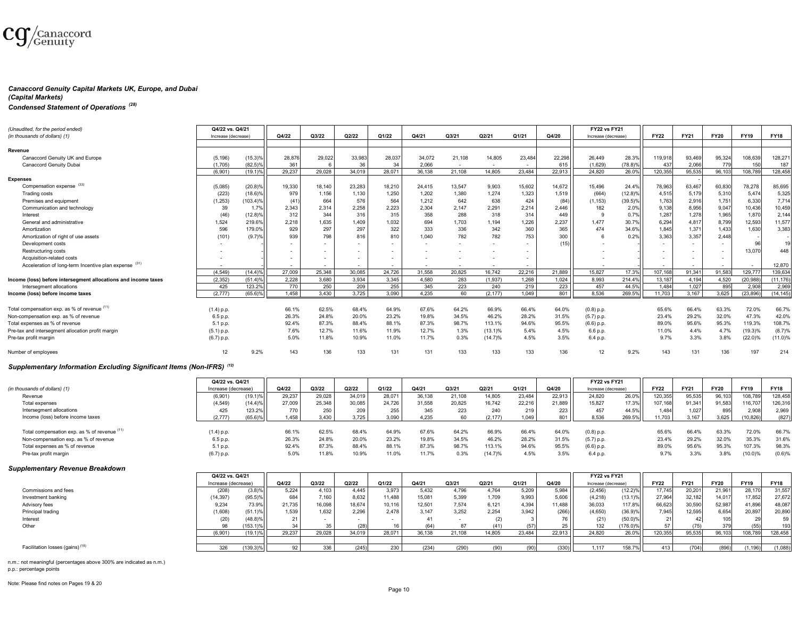

#### *Canaccord Genuity Capital Markets UK, Europe, and Dubai*

#### *(Capital Markets)*

# *Condensed Statement of Operations (28)*

| (Unaudited, for the period ended)                              | Q4/22 vs. Q4/21          |            |                          |                |                |        |        |        |            |                          |                  | <b>FY22 vs FY21</b> |                       |                          |             |             |             |             |
|----------------------------------------------------------------|--------------------------|------------|--------------------------|----------------|----------------|--------|--------|--------|------------|--------------------------|------------------|---------------------|-----------------------|--------------------------|-------------|-------------|-------------|-------------|
| (in thousands of dollars) (1)                                  | Increase (decrease)      |            | Q4/22                    | Q3/22          | Q2/22          | Q1/22  | Q4/21  | Q3/21  | Q2/21      | Q1/21                    | Q4/20            | Increase (decrease) |                       | <b>FY22</b>              | <b>FY21</b> | <b>FY20</b> | <b>FY19</b> | <b>FY18</b> |
| Revenue                                                        |                          |            |                          |                |                |        |        |        |            |                          |                  |                     |                       |                          |             |             |             |             |
| Canaccord Genuity UK and Europe                                | (5, 196)                 | (15.3)%    | 28,876                   | 29.022         | 33,983         | 28,037 | 34,072 | 21.108 | 14,805     | 23,484                   | 22,298           | 26,449              | 28.3%                 | 119,918                  | 93,469      | 95,324      | 108,639     | 128,271     |
| Canaccord Genuity Dubai                                        | (1.705)                  | $(82.5)\%$ | 361                      | 6              | 36             | 34     | 2.066  |        | $\sim$     | $\sim$                   | 615              | (1.629)             | $(78.8)$ <sup>9</sup> | 437                      | 2.066       | 779         | 150         | 187         |
|                                                                | (6.901)                  | $(19.1)$ % | 29.237                   | 29.028         | 34.019         | 28.071 | 36,138 | 21.108 | 14.805     | 23.484                   | 22.913           | 24,820              | 26.0%                 | 120.355                  | 95.535      | 96,103      | 108,789     | 128,458     |
| <b>Expenses</b>                                                |                          |            |                          |                |                |        |        |        |            |                          |                  |                     |                       |                          |             |             |             |             |
| Compensation expense (33)                                      | (5,085)                  | (20.8)%    | 19.330                   | 18.140         | 23,283         | 18,210 | 24.415 | 13.547 | 9.903      | 15,602                   | 14.672           | 15.496              | 24.4%                 | 78,963                   | 63,467      | 60,830      | 78.278      | 85,695      |
| Trading costs                                                  | (223)                    | $(18.6)$ % | 979                      | 1.156          | 1.130          | 1.250  | 1.202  | 1.380  | 1.274      | 1.323                    | 1.519            | (664)               | (12.8)%               | 4,515                    | 5,179       | 5,310       | 5.474       | 5,325       |
| Premises and equipment                                         | (1, 253)                 | 103.4)%    | (41)                     | 664            | 576            | 564    | 1.212  | 642    | 638        | 424                      | (84)             | (1, 153)            | $(39.5)\%$            | 1.763                    | 2,916       | 1,751       | 6.330       | 7.714       |
| Communication and technology                                   | 39                       | 1.7%       | 2.343                    | 2,314          | 2.258          | 2.223  | 2.304  | 2.147  | 2.291      | 2.214                    | 2.446            | 182                 | 2.0%                  | 9.138                    | 8,956       | 9,047       | 10.436      | 10,459      |
| Interest                                                       | (46)                     | (12.8)%    | 312                      | 344            | 316            | 315    | 358    | 288    | 318        | 314                      | 449              | <b>q</b>            | 0.7%                  | 1,287                    | 1,278       | 1,965       | 1.870       | 2,144       |
| General and administrative                                     | 1,524                    | 219.6%     | 2.218                    | 1,635          | 1.409          | 1.032  | 694    | 1.703  | 1,194      | 1.226                    | 2,237            | 1.477               | 30.7%                 | 6,294                    | 4,817       | 8,799       | 12,593      | 11,577      |
| Amortization                                                   | 596                      | 179.0%     | 929                      | 297            | 297            | 322    | 333    | 336    | 342        | 360                      | 365              | 474                 | 34.6%                 | 1.845                    | 1,371       | 1.433       | 1.630       | 3,383       |
| Amortization of right of use assets                            | (101)                    | (9.7)%     | 939                      | 798            | 816            | 810    | 1.040  | 782    | 782        | 753                      | 300 <sub>1</sub> |                     | 0.2%                  | 3,363                    | 3,357       | 2.448       |             |             |
| Development costs                                              | $\sim$                   |            |                          | $\sim$         | $\overline{a}$ | $\sim$ |        |        |            | $\sim$                   | (15)             |                     |                       | $\overline{\phantom{a}}$ | $\sim$      | $\sim$      | 96          | 19          |
| Restructuring costs                                            |                          |            | $\sim$                   |                | $\overline{a}$ | $\sim$ |        |        |            | $\sim$                   |                  |                     |                       | $\overline{\phantom{a}}$ | $\sim$      |             | 13,070      | 448         |
| Acquisition-related costs                                      |                          |            | $\overline{\phantom{a}}$ | $\overline{a}$ | $\overline{a}$ | $\sim$ |        |        |            | $\overline{\phantom{a}}$ |                  |                     |                       | $\overline{\phantom{a}}$ | $\sim$      |             |             |             |
| Acceleration of long-term Incentive plan expense (31)          | $\overline{\phantom{a}}$ |            |                          |                | $\sim$         |        |        |        | $\sim$     | $\sim$                   |                  |                     |                       |                          |             |             |             | 12,870      |
|                                                                | (4.549)                  | (14.4)%    | 27,009                   | 25.348         | 30.085         | 24,726 | 31.558 | 20,825 | 16.742     | 22,216                   | 21.889           | 15,827              | 17.3%                 | 107,168                  | 91,341      | 91.583      | 129,777     | 139,634     |
| Income (loss) before intersegment allocations and income taxes | (2.352)                  | (51.4)%    | 2.228                    | 3,680          | 3,934          | 3,345  | 4.580  | 283    | (1, 937)   | 1.268                    | 1.024            | 8.993               | 214.4%                | 13.187                   | 4.194       | 4.520       | (20, 988)   | (11, 176)   |
| Intersegment allocations                                       | 425                      | 123.2%     | 770                      | 250            | 209            | 255    | 345    | 223    | 240        | 219                      | 223              | 457                 | 44.5%                 | 1.484                    | 1.027       | 895         | 2.908       | 2,969       |
| Income (loss) before income taxes                              | (2, 777)                 | (65.6)%    | 1.458                    | 3.430          | 3.725          | 3.090  | 4.235  | 60     | (2, 177)   | 1.049                    | 801              | 8.536               | 269.5%                | 11.703                   | 3.167       | 3.625       | (23.896)    | (14, 145)   |
|                                                                |                          |            |                          |                |                |        |        |        |            |                          |                  |                     |                       |                          |             |             |             |             |
| Total compensation exp. as % of revenue (11)                   | $(1.4)$ p.p.             |            | 66.1%                    | 62.5%          | 68.4%          | 64.9%  | 67.6%  | 64.2%  | 66.9%      | 66.4%                    | 64.0%            | $(0.8)$ p.p.        |                       | 65.6%                    | 66.4%       | 63.3%       | 72.0%       | 66.7%       |
| Non-compensation exp. as % of revenue                          | 6.5 p.p.                 |            | 26.3%                    | 24.8%          | 20.0%          | 23.2%  | 19.8%  | 34.5%  | 46.2%      | 28.2%                    | 31.5%            | $(5.7)$ p.p.        |                       | 23.4%                    | 29.2%       | 32.0%       | 47.3%       | 42.0%       |
| Total expenses as % of revenue                                 | 5.1 p.p.                 |            | 92.4%                    | 87.3%          | 88.4%          | 88.1%  | 87.3%  | 98.7%  | 113.1%     | 94.6%                    | 95.5%            | $(6.6)$ p.p.        |                       | 89.0%                    | 95.6%       | 95.3%       | 119.3%      | 108.7%      |
| Pre-tax and intersegment allocation profit margin              | $(5.1)$ p.p.             |            | 7.6%                     | 12.7%          | 11.6%          | 11.9%  | 12.7%  | 1.3%   | $(13.1)$ % | 5.4%                     | 4.5%             | 6.6 p.p.            |                       | 11.0%                    | 4.4%        | 4.7%        | (19.3)%     | (8.7)%      |
| Pre-tax profit margin                                          | (6.7) p.p.               |            | 5.0%                     | 11.8%          | 10.9%          | 11.0%  | 11.7%  | 0.3%   | (14.7)%    | 4.5%                     | 3.5%             | 6.4 p.p.            |                       | 9.7%                     | 3.3%        | 3.8%        | $(22.0)\%$  | (11.0)%     |
| Number of employees                                            | 12                       | 9.2%       | 143                      | 136            | 133            | 131    | 131    | 133    | 133        | 133                      | 136              | 12                  | 9.2%                  | 143                      | 131         | 136         | 197         | 214         |

## *Supplementary Information Excluding Significant Items (Non-IFRS) (12)*

|                                              | Q4/22 vs. Q4/21     |            |        |        |        |        |        |        |         |        |        | <b>FY22 vs FY21</b> |        |             |             |             |             |             |
|----------------------------------------------|---------------------|------------|--------|--------|--------|--------|--------|--------|---------|--------|--------|---------------------|--------|-------------|-------------|-------------|-------------|-------------|
| (in thousands of dollars) (1)                | Increase (decrease) |            | Q4/22  | Q3/22  | Q2/22  | Q1/22  | Q4/21  | Q3/21  | Q2/21   | Q1/21  | Q4/20  | Increase (decrease) |        | <b>FY22</b> | <b>FY21</b> | <b>FY20</b> | <b>FY19</b> | <b>FY18</b> |
| Revenue                                      | (6,901)             | 19.1)%     | 29,237 | 29,028 | 34,019 | 28,071 | 36,138 | 21.108 | 14,805  | 23,484 | 22,913 | 24,820              | 26.0%  | 120,355     | 95,535      | 96,103      | 108,789     | 128,458     |
| Total expenses                               | (4, 549)            | $(14.4)\%$ | 27,009 | 25,348 | 30,085 | 24,726 | 31,558 | 20,825 | 16,742  | 22,21  | 21,889 | 15,827              | 17.3%  | 107,168     | 91,341      | 91,583      | 116,7071    | 126,316     |
| Intersegment allocations                     | 425                 | 123.2%     | 770    | 250    | 209    | 255    | 345    | 223    | 240     | 219    | 223    | 457                 | 44.5%  | 1,484       | 1,027       | 895         | 2,908       | 2,969       |
| Income (loss) before income taxes            | (2.777)             | $(65.6)$ % | 1,458  | 3,430  | 3.725  | 3,090  | 4.235  | 60     | (2.177) | 1.049  | 801 II | 8,536               | 269.5% | 11,703      | 3.167       | 3,625       | (10, 826)   | (827)       |
|                                              |                     |            |        |        |        |        |        |        |         |        |        |                     |        |             |             |             |             |             |
| Total compensation exp. as % of revenue (11) | $(1.4)$ p.p.        |            | 66.1%  | 62.5%  | 68.4%  | 64.9%  | 67.6%  | 64.2%  | 66.9%   | 66.4%  | 64.0%  | $(0.8)$ p.p.        |        | 65.6%       | 66.4%       | 63.3%       | 72.0%       | 66.7%       |
| Non-compensation exp. as % of revenue        | 6.5 p.p.            |            | 26.3%  | 24.8%  | 20.0%  | 23.2%  | 19.8%  | 34.5%  | 46.2%   | 28.2%  | 31.5%  | (5.7) p.p.          |        | 23.4%       | 29.2%       | 32.0%       | 35.3%       | 31.6%       |
| Total expenses as % of revenue               | 5.1 p.p.            |            | 92.4%  | 87.3%  | 88.4%  | 88.1%  | 87.3%  | 98.7%  | 113.1%  | 94.6%  | 95.5%  | $(6.6)$ p.p.        |        | 89.0%       | 95.6%       | 95.3%       | 107.3%      | 98.3%       |
| Pre-tax profit margin                        | (6.7) p.p.          |            | 5.0%   | 11.8%  | 10.9%  | 11.0%  | 11.7%  | 0.3%   | (14.7)% | 4.5%   | 3.5%   | 6.4 p.p.            |        | 9.7%        | 3.3%        | 3.8%        | (10.0)%     | (0.6)%      |
|                                              |                     |            |        |        |        |        |        |        |         |        |        |                     |        |             |             |             |             |             |

#### *Supplementary Revenue Breakdown*

|                                             | Q4/22 vs. Q4/21     |             |        |        |        |        |        |        |        |        |        | <b>FY22 vs FY21</b> |            |             |             |             |             |             |
|---------------------------------------------|---------------------|-------------|--------|--------|--------|--------|--------|--------|--------|--------|--------|---------------------|------------|-------------|-------------|-------------|-------------|-------------|
|                                             | Increase (decrease) |             | Q4/22  | Q3/22  | Q2/22  | Q1/22  | Q4/21  | Q3/21  | Q2/21  | Q1/21  | Q4/20  | Increase (decrease) |            | <b>FY22</b> | <b>FY21</b> | <b>FY20</b> | <b>FY19</b> | <b>FY18</b> |
| Commissions and fees                        | (208)               | (3.8)%      | 5.224  | 4.103  | 4.445  | 3,973  | 5.432  | 4,796  | 4,764  | 5.209  | 5,984  | (2, 456)            | (12.2)%    | 17,745      | 20,201      | 21,961      | 28.170      | 31,557      |
| Investment banking                          | (14, 397)           | (95.5)%     | 684    | 7.160  | 8,632  | 11,488 | 15,081 | 5,399  | 1,709  | 9,993  | 5,606  | (4, 218)            | $(13.1)\%$ | 27,964      | 32,182      | 14,017      | 17,852      | 27,672      |
| Advisory fees                               | 9,234               | 73.9%       | 21,735 | 16,098 | 18,674 | 10,116 | 12,501 | 7,574  | 6,121  | 4.394  | 11,488 | 36,033              | 117.8%     | 66,623      | 30,590      | 52,987      | 41,896      | 48,087      |
| Principal trading                           | (1,608)             | $(51.1)$ %  | 1,539  | 1,632  | 2.296  | 2.478  | 3,147  | 3,252  | 2,254  | 3,942  | (266)  | (4,650)             | (36.9)%    | 7,945       | 12,595      | 6,654       | 20,897      | 20,890      |
| Interest                                    |                     | (48.8)%     |        |        |        |        |        |        | (2)    |        |        | (21)                | $(50.0)\%$ |             |             |             |             |             |
| Other                                       | 98                  | $153.1\%$   |        |        | (28)   | 16     |        |        | (41)   | (57)   |        | 132                 | 176.0)%    |             |             |             | (55)        | 193         |
|                                             | (6,901)             | $(19.1)\%$  | 29,237 | 29,028 | 34,019 | 28,071 | 36,138 | 21,108 | 14,805 | 23,484 | 22,913 | 24,820              | 26.0%      | 120,355     | 95,535      | 96,103      | 108,789     | 128,458     |
|                                             |                     |             |        |        |        |        |        |        |        |        |        |                     |            |             |             |             |             |             |
| Facilitation losses (gains) <sup>(18)</sup> | 326                 | $(139.3)\%$ |        |        | (245)  | 230    | (234)  | (290   |        |        | (330)  | 1.117               | 158.7%     | 413         | (704)       | (896)       | 1.1961      | (1,088)     |

n.m.: not meaningful (percentages above 300% are indicated as n.m.)

p.p.: percentage points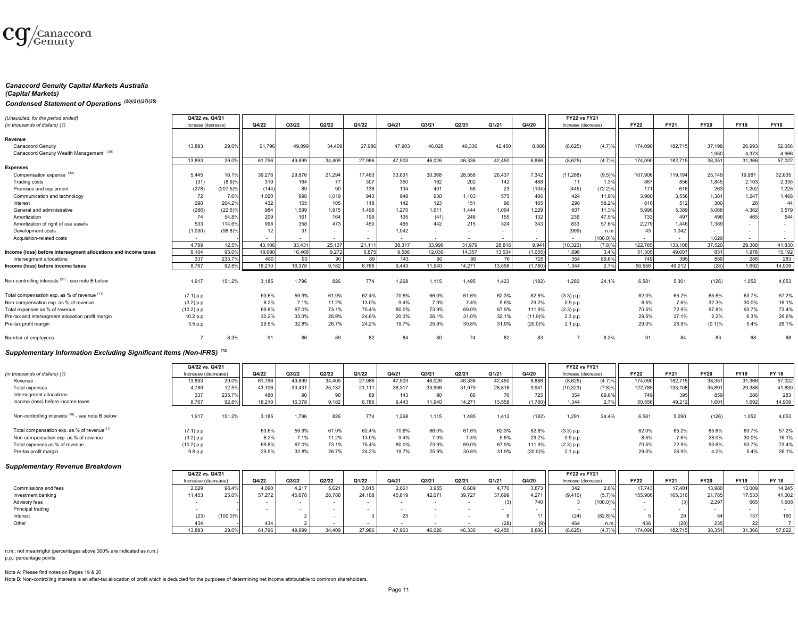

#### *Canaccord Genuity Capital Markets Australia*

#### *(Capital Markets)*

# *Condensed Statement of Operations (20)(21)(27)(35)*

| (Unaudited, for the period ended)                              | Q4/22 vs. Q4/21     |             |        |        |        |        |                          |        |        |        |            | <b>FY22 vs FY21</b> |                      |             |             |             |             |                          |
|----------------------------------------------------------------|---------------------|-------------|--------|--------|--------|--------|--------------------------|--------|--------|--------|------------|---------------------|----------------------|-------------|-------------|-------------|-------------|--------------------------|
| (in thousands of dollars) (1)                                  | Increase (decrease) |             | Q4/22  | Q3/22  | Q2/22  | Q1/22  | Q4/21                    | Q3/21  | Q2/21  | Q1/21  | Q4/20      | Increase (decrease) |                      | <b>FY22</b> | <b>FY21</b> | <b>FY20</b> | <b>FY19</b> | <b>FY18</b>              |
|                                                                |                     |             |        |        |        |        |                          |        |        |        |            |                     |                      |             |             |             |             |                          |
| Revenue                                                        |                     |             |        |        |        |        |                          |        |        |        |            |                     |                      |             |             |             |             |                          |
| <b>Canaccord Genuitv</b>                                       | 13.893              | 29.09       | 61,79  | 49.899 | 34,409 | 27,986 | 47,903                   | 46,026 | 46,336 | 42,450 | 8,886      | (8,625)             | (4.7)                | 174,090     | 182,715     | 37.198      | 26,993      | 52,056                   |
| Canaccord Genuity Wealth Management (36)                       |                     |             |        |        |        | $\sim$ | $\overline{\phantom{a}}$ |        |        |        | $\sim$     |                     |                      | $\sim$      | $\sim$      | 1.950       | 4,373       | 4,966                    |
|                                                                | 13.893              | 29.0%       | 61.796 | 49.899 | 34.409 | 27,986 | 47.903                   | 46.026 | 46.336 | 42.450 | 8.886      | (8.625)             | (4.7)%               | 174,090     | 182.715     | 38.351      | 31,366      | 57,022                   |
| <b>Expenses</b>                                                |                     |             |        |        |        |        |                          |        |        |        |            |                     |                      |             |             |             |             |                          |
| Compensation expense (33)                                      | 5.445               | 16.1%       | 39,276 | 29,87  | 21,294 | 17,460 | 33,831                   | 30,368 | 28,558 | 26,437 | 7,342      | (11, 288)           | $(9.5)$ <sup>9</sup> | 107,906     | 119,194     | 25,149      | 19,981      | 32,635                   |
| Trading costs                                                  | (31)                | (8.9)%      | 319    | 164    | 77     | 307    | 350                      | 162    | 202    | 142    | 488        | 11                  | 1.3%                 | 86          | 856         | 1.845       | 2,103       | 2,335                    |
| Premises and equipment                                         | (278)               | $(207.5)\%$ | (144)  | 89     | 90     | 136    | 134                      | 401    | 58     | 23     | (104)      | (445)               | $(72.2)\%$           | 17'         | 616         | 263         | 1,202       | 1,225                    |
| Communication and technology                                   | 72                  | 7.6%        | 1,020  | 998    | 1.019  | 943    | 948                      | 930    | 1,103  | 575    | 406        | 424                 | 11.9%                | 3.980       | 3,556       | 1.381       | 1.247       | 1,468                    |
| Interest                                                       | 290                 | 204.2%      | 432    | 155    | 105    | 118    | 142                      | 123    | 151    | 96     | 105        | 298                 | 58.2%                | 810         | 512         | 300         | 28          | 44                       |
| General and administrative                                     | (286)               | $(22.5)$ %  | 984    | 1,599  | 1.915  | 1.498  | 1.270                    | 1.611  | 1.444  | 1.064  | 1,229      | 607                 | 11.3%                | 5,996       | 5,389       | 5.068       | 4,362       | 3,579                    |
| Amortization                                                   | 74                  | 54.8%       | 209    | 161    | 164    | 199    | 135                      | (41)   | 248    | 155    | 132        | 236                 | 47.5%                | 733         | 497         | 496         | 465         | 544                      |
| Amortization of right of use assets                            | 533                 | 114.6%      | 998    | 358    | 473    | 450    | 465                      | 442    | 215    | 324    | 343        | 833                 | 57.6%                | 2.279       | 1.446       | 1.389       | $\sim$      | $\overline{\phantom{a}}$ |
| Development costs                                              | (1,030)             | $(98.8)$ %  | 12     | 31     |        | $\sim$ | 1,042                    |        |        |        | ۰          | (999)               | n.m.                 | 43          | 1.042       |             | $\sim$      |                          |
| Acquisition-related costs                                      | $\sim$              |             |        |        | $\sim$ | $\sim$ | $\sim$                   |        | $\sim$ |        | $\sim$     |                     | $(100.0)$ %          | $\sim$      | $\sim$      | 1.629       | $\sim$      |                          |
|                                                                | 4.789               | 12.5%       | 43.106 | 33.431 | 25.137 | 21.11' | 38.317                   | 33.996 | 31.979 | 28.816 | 9.941      | (10.323)            | (7.8)%               | 122.785     | 133,108     | 37.520      | 29,388      | 41,830                   |
| Income (loss) before intersegment allocations and income taxes | 9.104               | 95.0%       | 18,690 | 16.468 | 9.272  | 6.875  | 9.586                    | 12.030 | 14.357 | 13.634 | (1.055)    | 1.698               | 3.4%                 | 51.305      | 49,607      | 831         | 1.978       | 15,192                   |
| Intersegment allocations                                       | 337                 | 235.79      | 480    | 90     | 90     | 89     | 143                      | 90     | 86     | 76     | 725        | 354                 | 89.6%                | 749         | 395         | 859         | 286         | 283                      |
| Income (loss) before income taxes                              | 8.767               | 92.8%       | 18.210 | 16.378 | 9.182  | 6.786  | 9.443                    | 11.940 | 14.271 | 13.558 | (1.780)    | 1.344               | 2.7%                 | 50.556      | 49.212      | (28)        | 1.692       | 14,909                   |
| Non-controlling interests (38) - see note B below              | 1.917               | 151.2%      | 3.185  | 1.796  | 826    | 774    | 1.268                    | 1.115  | 1.495  | 1.423  | (182)      | 1.280               | 24.1%                | 6,581       | 5.301       | (126)       | 1,052       | 4,053                    |
| Total compensation exp. as % of revenue (11)                   | $(7.1)$ p.p.        |             | 63.6%  | 59.9%  | 61.9%  | 62.4%  | 70.6%                    | 66.0%  | 61.6%  | 62.3%  | 82.6%      | $(3.3)$ p.p.        |                      | 62.0%       | 65.2%       | 65.6%       | 63.7%       | 57.2%                    |
| Non-compensation exp. as % of revenue                          | (3.2) p.p.          |             | 6.2%   | 7.1%   | 11.2%  | 13.0%  | 9.4%                     | 7.9%   | 7.4%   | 5.6%   | 29.2%      | 0.9 p.p.            |                      | 8.5%        | 7.6%        | 32.3%       | 30.0%       | 16.1%                    |
| Total expenses as % of revenue                                 | (10.2) p.p.         |             | 69.8%  | 67.0%  | 73.1%  | 75.4%  | 80.0%                    | 73.9%  | 69.0%  | 67.9%  | 111.9%     | $(2.3)$ p.p.        |                      | 70.5%       | 72.9%       | 97.8%       | 93.7%       | 73.4%                    |
| Pre-tax and intersegment allocation profit margin              | 10.2 p.p.           |             | 30.2%  | 33.0%  | 26.9%  | 24.6%  | 20.0%                    | 26.1%  | 31.0%  | 32.1%  | (11.9)%    | 2.3 p.p.            |                      | 29.5%       | 27.1%       | 2.2%        | 6.3%        | 26.6%                    |
| Pre-tax profit margin                                          | 3.5 p.p.            |             | 29.5%  | 32.8%  | 26.7%  | 24.2%  | 19.7%                    | 25.9%  | 30.8%  | 31.9%  | $(20.0)\%$ | 2.1 p.p.            |                      | 29.0%       | 26.9%       | (0.1)%      | 5.4%        | 26.1%                    |
| Number of employees                                            |                     | 8.3%        | 91     | 86     | 89     | 82     | 84                       | 80     | 74     | 82     | 83         |                     | 8.3%                 | 91          | 84          | 83          | 68          | 68                       |

## *Supplementary Information Excluding Significant Items (Non-IFRS) (12)*

|                                                         | Q4/22 vs. Q4/21     |        |        |        |        |        |        |        |        |        |            | <b>FY22 vs FY21</b> |        |             |             |             |             |        |
|---------------------------------------------------------|---------------------|--------|--------|--------|--------|--------|--------|--------|--------|--------|------------|---------------------|--------|-------------|-------------|-------------|-------------|--------|
| 'in thousands of dollars) (1)                           | Increase (decrease) |        | Q4/22  | Q3/22  | Q2/22  | Q1/22  | Q4/21  | Q3/21  | Q2/21  | Q1/21  | Q4/20      | Increase (decrease) |        | <b>FY22</b> | <b>FY21</b> | <b>FY20</b> | <b>FY19</b> | FY 18  |
| Revenue                                                 | 13,893              | 29.0%  | 61,796 | 49,899 | 34,409 | 27,986 | 47,903 | 46,026 | 46,336 | 42.450 | 8,886      | (8,625)             | (4.7)% | 174,090     | 182,715     | 38,351      | 31,366      | 57,022 |
| Total expenses                                          | 4,789               | 12.5%  | 43,106 | 33,431 | 25,137 | 21,111 | 38,317 | 33,996 | 31,979 | 28,816 | 9,941      | (10, 323)           | (7.8)% | 122,785     | 133,108     | 35,891      | 29,388      | 41,830 |
| Intersegment allocations                                | 337                 | 235.7% | 480    | 90     |        | 89     | 143    | 90     | 86     |        | 725        | 354                 | 89.6%  | <b>749</b>  | 395         | 859         | 286         | 283    |
| Income (loss) before income taxes                       | 8.767               | 92.8%  | 18.210 | 16,378 | Q 183  | 6.786  | 9.443  | 11.940 | 14.271 | 13.558 | (1,780)    | 1.344               | 27%    | 50,556      | 49.212      | 1.601       | 1,692       | 14,909 |
| Non-controlling interests (38) - see note B below       | 1,917               | 151.2% | 3,185  | 1,796  | 826    | 774    | 1,268  | 1,115  | 1,495  | 1.412  | (182)      | 1,291               | 24.4%  | 6,581       | 5,290       | (126)       | 1,052       | 4,053  |
| Total compensation exp. as % of revenue <sup>(11)</sup> | $(7.1)$ p.p.        |        | 63.6%  | 59.9%  | 61.9%  | 62.4%  | 70.6%  | 66.0%  | 61.6%  | 62.3%  | 82.6%      | $(3.3)$ p.p.        |        | 62.0%       | 65.2%       | 65.6%       | 63.7%       | 57.2%  |
| Non-compensation exp. as % of revenue                   | $(3.2)$ p.p.        |        | 6.2%   | 7.1%   | 11.2%  | 13.0%  | 9.4%   | 7.9%   | 7.4%   | 5.6%   | 29.2%      | 0.9 p.p.            |        | 8.5%        | 7.6%        | 28.0%       | 30.0%       | 16.1%  |
| Total expenses as % of revenue                          | (10.2) p.p.         |        | 69.8%  | 67.0%  | 73.1%  | 75.4%  | 80.0%  | 73.9%  | 69.0%  | 67.9%  | 111.9%     | $(2.3)$ p.p.        |        | 70.5%       | 72.9%       | 93.6%       | 93.7%       | 73.4%  |
| Pre-tax profit margin                                   | 9.8 p.p.            |        | 29.5%  | 32.8%  | 26.7%  | 24.2%  | 19.7%  | 25.9%  | 30.8%  | 31.9%  | $(20.0)\%$ | 2.1 p.p.            |        | 29.0%       | 26.9%       | 4.2%        | 5.4%        | 26.1%  |

#### *Supplementary Revenue Breakdown*

|                      | Q4/22 vs. Q4/21<br>Increase (decrease) |         | Q4/22  | Q3/22  | Q2/22  | Q1/22  | Q4/21  | Q3/21  | Q2/21  | Q1/21  | Q4/20   | <b>FY22 vs FY21</b><br>Increase (decrease) |            | <b>FY22</b> | FY21    | <b>FY20</b> | <b>FY19</b> | FY 18  |
|----------------------|----------------------------------------|---------|--------|--------|--------|--------|--------|--------|--------|--------|---------|--------------------------------------------|------------|-------------|---------|-------------|-------------|--------|
|                      |                                        |         |        |        |        |        |        |        |        |        |         |                                            |            |             |         |             |             |        |
| Commissions and fees | 2,029                                  | 98.4%   | 4,090  | 4.217  | 5,621  | 3,815  | 2,061  | 3,955  | 6,609  | 4.776  | 3,873   | 342                                        | 2.0%       | 17,743      | 17,401  | 13,980      | 13,009      | 14,245 |
| Investment banking   | 11,453                                 | 25.0%   | 57.272 | 45.678 | 28,788 | 24.168 | 45.819 | 42,071 | 39,727 | 37,699 | $4,271$ | (9, 410)                                   | (5.7)%     | 155,906     | 165,316 | 21,785      | 17,533      | 41,002 |
| Advisory fees        |                                        |         |        |        |        |        |        |        |        |        | 740     |                                            | (100.0)%   |             |         | 2,297       | 665         | 1,608  |
| Principal trading    |                                        |         |        |        |        |        |        |        |        |        |         |                                            |            |             |         |             |             |        |
| Interest             | (23)                                   | 100.0)% |        |        |        |        |        |        |        |        | 11 L    | (24)                                       | $(82.8)$ % |             | 29      |             |             | 160    |
| Other                | 434                                    |         | 434    |        |        |        |        |        |        |        |         |                                            |            |             | (28)    | 235         |             |        |
|                      | 13.893                                 | 29.0%   | 51,796 | 49.899 | 34,409 | 27,986 | 47.903 | 46,026 | 46.336 | 42.450 | 8,886   | (8,625)                                    |            | 174,090     | 182,715 | 38,351      | 31.366      | 57,022 |

n.m.: not meaningful (percentages above 300% are indicated as n.m.)

p.p.: percentage points

Note A: Please find notes on Pages 19 & 20

Note B: Non-controlling interests is an after-tax allocation of profit which is deducted for the purposes of determining net income attributable to common shareholders.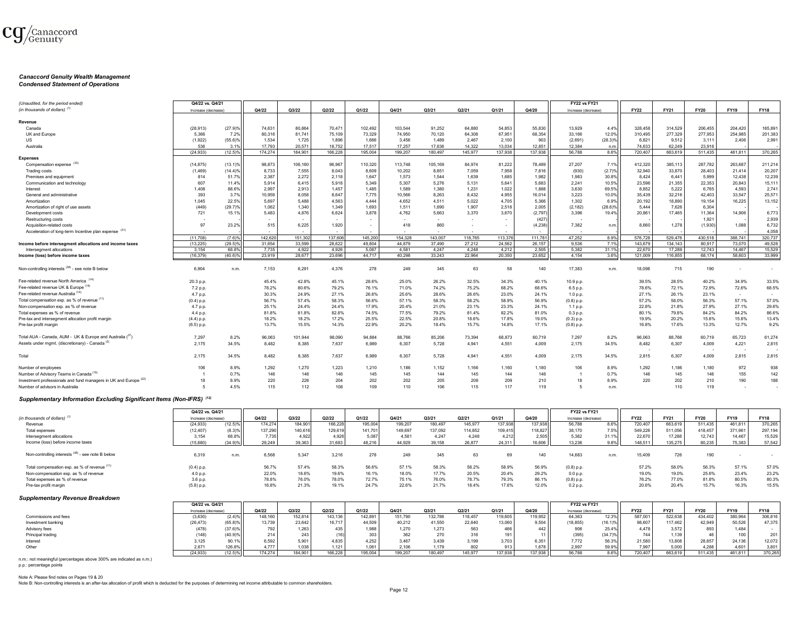

# *Canaccord Genuity Wealth Management Condensed Statement of Operations*

| (Unaudited, for the period ended)                                | Q4/22 vs. Q4/21     |            |         |         |         |         |         |         |         |         |         | <b>FY22 vs FY21</b> |            |             |             |             |             |             |
|------------------------------------------------------------------|---------------------|------------|---------|---------|---------|---------|---------|---------|---------|---------|---------|---------------------|------------|-------------|-------------|-------------|-------------|-------------|
| (in thousands of dollars) <sup>(1)</sup>                         | Increase (decrease) |            | Q4/22   | Q3/22   | Q2/22   | Q1/22   | Q4/21   | Q3/21   | Q2/21   | Q1/21   | Q4/20   | Increase (decrease) |            | <b>FY22</b> | <b>FY21</b> | <b>FY20</b> | <b>FY19</b> | <b>FY18</b> |
|                                                                  |                     |            |         |         |         |         |         |         |         |         |         |                     |            |             |             |             |             |             |
| Revenue                                                          |                     |            |         |         |         |         |         |         |         |         |         |                     |            |             |             |             |             |             |
| Canada                                                           | (28, 913)           | (27.9)%    | 74,631  | 80,864  | 70,471  | 102,492 | 103,544 | 91,252  | 64,880  | 54,853  | 55,830  | 13,929              | 4.4%       | 328,458     | 314,529     | 206,455     | 204,420     | 165,891     |
| UK and Europe                                                    | 5,366               | 7.2%       | 80,316  | 81,741  | 75,109  | 73,329  | 74,950  | 70,120  | 64,308  | 67,951  | 68,354  | 33,166              | 12.0%      | 310,495     | 277,329     | 277,953     | 254,985     | 201,383     |
| US                                                               | (1,922)             | (55.6)%    | 1,534   | 1,725   | 1,896   | 1,666   | 3,456   | 1,489   | 2,467   | 2,100   | 903     | (2,691)             | $(28.3)\%$ | 6,821       | 9,512       | 3,111       | 2,406       | 2,991       |
| Australia                                                        | 536                 | 3.1%       | 17.793  | 20.57   | 18,752  | 17,517  | 17,257  | 17.636  | 14.322  | 13.034  | 12.851  | 12,384              | n.m.       | 74.633      | 62,249      | 23.916      |             |             |
|                                                                  | (24.933)            | $(12.5)\%$ | 174.274 | 184.901 | 166.228 | 195.004 | 199.207 | 180.497 | 145,977 | 137.938 | 137,938 | 56,788              | 8.6%       | 720,407     | 663,619     | 511.435     | 461.811     | 370,265     |
| <b>Expenses</b>                                                  |                     |            |         |         |         |         |         |         |         |         |         |                     |            |             |             |             |             |             |
| Compensation expense (33)                                        | (14, 875)           | $(13.1)\%$ | 98,873  | 106,160 | 96,967  | 110,320 | 113,748 | 105,169 | 84,974  | 81,222  | 78,489  | 27,207              | 7.1%       | 412,320     | 385,113     | 287,782     | 263,687     | 211,214     |
| <b>Trading costs</b>                                             | (1,469)             | (14.4)%    | 8,733   | 7,555   | 8,043   | 8,609   | 10,202  | 8,651   | 7,059   | 7,958   | 7,816   | (930)               | (2.7)%     | 32,940      | 33,870      | 28,403      | 21,414      | 20,207      |
|                                                                  | 814                 |            | 2,387   | 2,272   | 2,118   | 1,647   | 1.573   | 1,544   | 1,639   | 1,685   | 1,982   | 1,983               | 30.8%      | 8,424       |             | 5,999       | 12,438      | 12,239      |
| Premises and equipment                                           |                     | 51.7%      |         |         |         |         | 5,307   |         |         | 5,641   |         |                     | 10.5%      |             | 6,441       | 22,353      |             |             |
| Communication and technology                                     | 607                 | 11.4%      | 5,914   | 6,415   | 5,918   | 5,349   |         | 5,276   | 5,131   |         | 5,683   | 2,241               |            | 23,596      | 21,355      |             | 20,843      | 15,111      |
| Interest                                                         | 1,408               | 88.6%      | 2,997   | 2,913   | 1,457   | 1,485   | 1,589   | 1,380   | 1,231   | 1,022   | 1,888   | 3,630               | 69.5%      | 8,852       | 5,222       | 6,765       | 4,593       | 2,741       |
| General and administrative                                       | 393                 | 3.7%       | 10,959  | 8,058   | 8,647   | 7,775   | 10,566  | 8,263   | 8,432   | 4,955   | 16,014  | 3,223               | 10.0%      | 35,439      | 32,216      | 42,403      | 33,547      | 25,571      |
| Amortization                                                     | 1,045               | 22.5%      | 5,697   | 5,488   | 4,563   | 4,444   | 4.652   | 4.511   | 5,022   | 4,705   | 5,366   | 1,302               | 6.9%       | 20,192      | 18,890      | 19,154      | 16,225      | 13,152      |
| Amortization of right of use assets                              | (449)               | (29.7)%    | 1,062   | 1,340   | 1,349   | 1,693   | 1,511   | 1,690   | 1,907   | 2,518   | 2,005   | (2, 182)            | $(28.6)\%$ | 5,444       | 7,626       | 6,304       |             |             |
| Development costs                                                | 721                 | 15.1%      | 5,483   | 4,876   | 6,624   | 3,878   | 4,762   | 5,663   | 3,370   | 3,670   | (2,797) | 3,396               | 19.4%      | 20,861      | 17,465      | 11,364      | 14,906      | 6,773       |
| Restructuring costs                                              |                     |            |         |         |         |         |         |         | ٠       |         | (427)   |                     |            |             |             | 1,921       |             | 2,939       |
| Acquisition-related costs                                        | 97                  | 23.2%      | 515     | 6,225   | 1,920   |         | 418     | 860     |         | ٠       | (4,238) | 7,382               | n.m.       | 8,660       | 1,278       | (1,930)     | 1,088       | 6,732       |
| Acceleration of long-term Incentive plan expense (31)            |                     |            |         |         |         |         |         |         |         |         |         |                     |            |             |             |             |             | 4.058       |
|                                                                  | (11.708)            | (7.6)%     | 142,620 | 151.302 | 137.60  | 145,200 | 154.328 | 143,007 | 118.765 | 113,376 | 111.781 | 47.252              | 8.9%       | 576.728     | 529.476     | 430.518     | 388.741     | 320.737     |
| Income before intersegment allocations and income taxes          | (13.225)            | $(29.5)\%$ | 31.654  | 33,599  | 28.622  | 49.804  | 44.879  | 37,490  | 27.212  | 24.562  | 26.157  | 9.536               | 7.1%       | 143.679     | 134.143     | 80.917      | 73,070      | 49.528      |
| Intersegment allocations                                         | 3.154               | 68.8%      | 7.735   | 4.922   | 4.926   | 5.087   | 4.581   | 4.247   | 4.248   | 4,212   | 2.505   | 5,382               | 31.1%      | 22.670      | 17.288      | 12,743      | 14 4 67     | 15,529      |
| Income (loss) before income taxes                                | (16.379)            | (40.6)%    | 23,919  | 28.677  | 23.696  | 44.717  | 40.298  | 33.243  | 22.964  | 20,350  | 23.652  | 4.154               | 3.6%       | 121.009     | 116,855     | 68.174      | 58,603      | 33.999      |
|                                                                  |                     |            |         |         |         |         |         |         |         |         |         |                     |            |             |             |             |             |             |
| Non-controlling interests (38) - see note B below                | 6.904               | n.m.       | 7,153   | 6,291   | 4,376   | 278     | 249     | 345     | 63      | 58      | 140     | 17,383              | n.m.       | 18.098      | 715         | 190         |             |             |
| Fee-related revenue North America                                | 20.3 p.p.           |            | 45.4%   | 42.8%   | 45.1%   | 28.6%   | 25.0%   | 26.2%   | 32.5%   | 34.3%   | 40.1%   | 10.9 p.p.           |            | 39.5%       | 28.5%       | 40.2%       | 34.9%       | 33.5%       |
| Fee-related revenue UK & Europe (14)                             | 7.2 p.p.            |            | 78.2%   | 80.6%   | 79.2%   | 76.1%   | 71.0%   | 74.2%   | 75.2%   | 68.2%   | 68.6%   | 6.5 p.p.            |            | 78.6%       | 72.1%       | 72.9%       | 72.6%       | 68.5%       |
| Fee-related revenue Australia <sup>(14)</sup>                    | 4.7 p.p.            |            | 30.3%   | 24.9%   | 27.1%   | 26.6%   | 25.6%   | 28.6%   | 26.6%   | 23.0%   | 24.1%   | 1.0 p.p.            |            | 27.1%       | 26.1%       | 23.1%       | $\sim$      |             |
| Total compensation exp. as % of revenue (11)                     | $(0.4)$ p.p.        |            | 56.7%   | 57.4%   | 58.3%   | 56.6%   | 57.1%   | 58.3%   | 58.2%   | 58.9%   | 56.9%   | $(0.8)$ p.p.        |            | 57.2%       | 58.0%       | 56.3%       | 57.1%       | 57.0%       |
| Non-compensation exp. as % of revenue                            | 4.7 p.p.            |            | 25.1%   | 24.4%   | 24.4%   | 17.9%   | 20.4%   | 21.0%   | 23.1%   | 23.3%   | 24.1%   | 1.1 p.p.            |            | 22.8%       | 21.8%       | 27.9%       | 27.1%       | 29.6%       |
| Total expenses as % of revenue                                   |                     |            | 81.8%   | 81.8%   | 82.8%   | 74.5%   | 77.5%   | 79.2%   | 81.4%   | 82.2%   | 81.0%   |                     |            | 80.1%       | 79.8%       | 84.2%       | 84.2%       | 86.6%       |
|                                                                  | 4.4 p.p.            |            | 18.2%   | 18.2%   | 17.2%   | 25.5%   | 22.5%   | 20.8%   | 18.6%   | 17.8%   | 19.0%   | 0.3 p.p.            |            | 19.9%       | 20.2%       | 15.8%       | 15.8%       | 13.4%       |
| Pre-tax and intersegment allocation profit margin                | (4.4) p.p.          |            |         |         |         |         |         |         |         |         |         | $(0.3)$ p.p.        |            |             |             |             |             |             |
| Pre-tax profit margin                                            | $(6.5)$ p.p.        |            | 13.7%   | 15.5%   | 14.3%   | 22.9%   | 20.2%   | 18.4%   | 15.7%   | 14.8%   | 17.1%   | $(0.8)$ p.p.        |            | 16.8%       | 17.6%       | 13.3%       | 12.7%       | 9.2%        |
| Total AUA - Canada, AUM - UK & Europe and Australia (37)         | 7,297               | 8.2%       | 96,063  | 101,944 | 98,090  | 94,884  | 88,766  | 85,206  | 73,394  | 68,873  | 60,719  | 7,297               | 8.2%       | 96,063      | 88,766      | 60,719      | 65,723      | 61,274      |
| Assets under mgmt. (discretionary) - Canada <sup>(2)</sup>       | 2,175               | 34.5%      | 8,482   | 8,385   | 7,637   | 6,989   | 6,307   | 5,728   | 4,941   | 4,551   | 4,009   | 2,175               | 34.5%      | 8,482       | 6,307       | 4,009       | 4,221       | 2,815       |
|                                                                  |                     |            |         |         |         |         |         |         |         |         |         |                     |            |             |             |             |             |             |
| Total                                                            | 2,175               | 34.5%      | 8,482   | 8,385   | 7,637   | 6,989   | 6,307   | 5,728   | 4,941   | 4,551   | 4,009   | 2,175               | 34.5%      | 2,815       | 6,307       | 4,009       | 2,815       | 2,815       |
| Number of employees                                              | 106                 | 8.9%       | 1,292   | 1,270   | 1,223   | 1,210   | 1,186   | 1,152   | 1,166   | 1,160   | 1,180   | 106                 | 8.9%       | 1,292       | 1,186       | 1,180       | 972         | 938         |
| Number of Advisory Teams in Canada <sup>(15)</sup>               |                     | 0.7%       | 146     | 146     | 146     | 145     | 145     | 144     | 145     | 144     | 146     |                     | 0.7%       | 146         | 145         | 146         | 155         | 142         |
| Investment professionals and fund managers in UK and Europe (22) | 18                  | 8.9%       | 220     | 226     | 204     | 202     | 202     | 205     | 208     | 209     | 210     | 18                  | 8.9%       | 220         | 202         | 210         | 190         | 188         |
| Number of advisors in Australia                                  | $\sqrt{2}$          | 4.5%       | 115     | 112     | 108     | 109     | 110     | 106     | 115     | 117     | 119     | 5                   | n.m.       |             | 110         | 119         |             |             |
|                                                                  |                     |            |         |         |         |         |         |         |         |         |         |                     |            |             |             |             |             |             |

#### *Supplementary Information Excluding Significant Items (Non-IFRS) (12)*

|                                                   | Q4/22 vs. Q4/21     |            |         |         |         |         |         |         |         |         |         | <b>FY22 vs FY21</b> |       |             |             |             |             |             |
|---------------------------------------------------|---------------------|------------|---------|---------|---------|---------|---------|---------|---------|---------|---------|---------------------|-------|-------------|-------------|-------------|-------------|-------------|
| (in thousands of dollars) <sup>(1</sup>           | Increase (decrease) |            | Q4/22   | Q3/22   | Q2/22   | Q1/22   | Q4/21   | Q3/21   | Q2/21   | Q1/21   | Q4/20   | Increase (decrease) |       | <b>FY22</b> | <b>FY21</b> | <b>FY20</b> | <b>FY19</b> | <b>FY18</b> |
| Revenue                                           | (24, 933)           | (12.5)%    | 174.274 | 184.901 | 166.228 | 195,004 | 199.207 | 180.497 | 145.977 | 137.938 | 137.938 | 56.788              | 8.6%  | 720.407     | 663,619     | 511.435     | 461.811     | 370.265     |
| Total expenses                                    | (12, 407)           | (8.3)%     | 137,290 | 140,616 | 129,619 | 141,701 | 149,697 | 137,092 | 114,852 | 109,415 | 118,827 | 38,170              | 7.5%  | 549,226     | 511,056     | 418.457     | 371,961     | 297,194     |
| Intersegment allocations                          | 3.154               | 68.8%      | 7.735   | 4.922   | 4.926   | 5,087   | 4.581   | 4.247   | 4,248   | 4.212   | 2.505   | 5.382               | 31.1% | 22.670      | 17.288      | 12.743      | 14.467      | 15,529      |
| Income (loss) before income taxes                 | (15,680)            | $(34.9)^6$ | 29,249  | 39,363  | 31,683  | 48,216  | 44.929  | 39.158  | 26,877  | 24,311  | 16,606  | 13.236              | 9.8%  | 148,511     | 135,275     | 80,235      | 75,383      | 57,542      |
| Non-controlling interests (38) - see note B below | 6,319               | n.m.       | 6,568   | 5,347   | 3,216   | 278     | 249     | 345     |         | 69      | 140     | 14,683              | n.m.  | 15,409      | 726         | 190         |             |             |
| Total compensation exp. as % of revenue (11)      | $(0.4)$ p.p.        |            | 56.7%   | 57.4%   | 58.3%   | 56.6%   | 57.1%   | 58.3%   | 58.2%   | 58.9%   | 56.9%   | $(0.8)$ p.p.        |       | 57.2%       | 58.0%       | 56.3%       | 57.1%       | 57.0%       |
| Non-compensation exp. as % of revenue             | 4.0 p.p.            |            | 22.0%   | 18.6%   | 19.6%   | 16.1%   | 18.0%   | 17.7%   | 20.5%   | 20.4%   | 29.2%   | 0.0 p.p             |       | 19.0%       | 19.0%       | 25.6%       | 23.4%       | 23.2%       |
| Total expenses as % of revenue                    | 3.6 p.p.            |            | 78.8%   | 76.0%   | 78.0%   | 72.7%   | 75.1%   | 76.0%   | 78.7%   | 79.3%   | 86.1%   | $(0.8)$ p.p.        |       | 76.2%       | 77.0%       | 81.8%       | 80.5%       | 80.3%       |
| Pre-tax profit margin                             | $(5.8)$ p.p.        |            | 16.8%   | 21.3%   | 19.1%   | 24.7%   | 22.6%   | 21.7%   | 18.4%   | 17.6%   | 12.0%   | 0.2 p.p.            |       | 20.6%       | 20.4%       | 15.7%       | 16.3%       | 15.5%       |
|                                                   |                     |            |         |         |         |         |         |         |         |         |         |                     |       |             |             |             |             |             |

#### *Supplementary Revenue Breakdown*

|                      | Q4/22 vs. Q4/21     |                       |         |         |         |                |         |         |         |         |                        | <b>FY22 vs FY21</b> |            |             |             |         |         |             |
|----------------------|---------------------|-----------------------|---------|---------|---------|----------------|---------|---------|---------|---------|------------------------|---------------------|------------|-------------|-------------|---------|---------|-------------|
|                      | Increase (decrease) |                       | Q4/22   | Q3/22   | Q2/22   | Q1/22          | Q4/21   | Q3/21   | Q2/21   | Q1/2    | Q4/20                  | Increase (decrease) |            | <b>FY22</b> | <b>FY21</b> | FY20    | FY19    | <b>FY18</b> |
| Commissions and fees | (3,630)             |                       | 148,160 | 152,814 | 43,136  | 142,891        | 151,790 | 132,786 | 118,457 | 119,605 | 119,952                | 64,363              | 12.3%      | 587,001     | 522,638     | 434,402 | 380,964 | 306,816     |
| Investment banking   | (26, 473)           |                       | 13,739  | 23,642  | 16,717  | 44,509         | 40,212  | 41,550  | 22,640  | 13,060  | 9,504                  | (18, 855)           | $(16.1)\%$ | 98,607      | 117,462     | 42,949  | 50,526  | 47,375      |
| Advisory fees        | (478)               | $(37.6)$ <sup>o</sup> | 792     | 1,263   | 435     | 1,988          | .270    | 1.273   | 563     | 466     | $442$                  | 906                 | 25.4%      | 4.478       | 3.572       | 893     | 1.484   |             |
| Principal trading    | (148)               | $(40.9)^{o}$          |         |         |         | JU.            |         | 270     | 316     | 191     |                        | (395)               | $(34.7)\%$ | 744         |             |         |         | 201 I       |
| Interest             | 3,125               | 90.1%                 | 6,592   | 5,901   | 4,835   | 4.252          | 3.467   | 3,439   | 3,199   | 3.703   | $6.351$ $\blacksquare$ | 7.772               | 56.3%      | 21,580      | 13,808      | 28,857  | 24,136  | 12.072      |
| Other                | 2.671               | 126.8%                | 4.777   | 1,038   | 1,121   | $1,06^{\circ}$ | 2.106   | 1.179   |         | 012     | 1.678                  | 2,997               | 59.9%      | 7,997       | 5,000       | 4,288   | 4,601   | 3,801       |
|                      | (24.933)            | (12.5)%               | 174,274 | 184.901 | 166,228 | 195,004        | 199.207 | 180.497 | 145.977 | 137.938 | 137.938                | 56,788              | 8.6%       | 720.407     | 663,619     | 511.435 | 461.811 | 370,265     |

n.m.: not meaningful (percentages above 300% are indicated as n.m.) p.p.: percentage points

Note A: Please find notes on Pages 19 & 20

Note B: Non-controlling interests is an after-tax allocation of profit which is deducted for the purposes of determining net income attributable to common shareholders.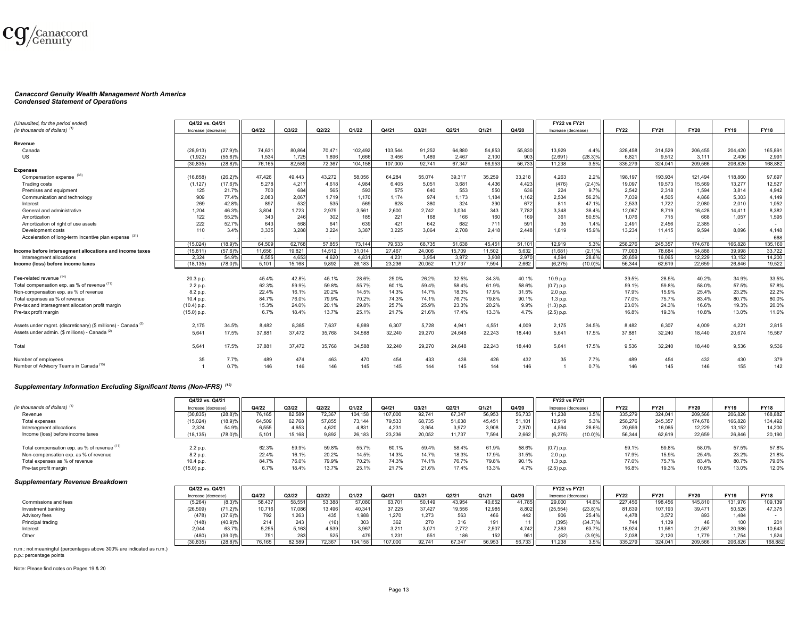

# *Canaccord Genuity Wealth Management North America Condensed Statement of Operations*

| (Unaudited, for the period ended)                                        | Q4/22 vs. Q4/21    |            |        |        |        |         |         |        |        |        |        | <b>FY22 vs FY21</b> |            |             |             |             |             |             |
|--------------------------------------------------------------------------|--------------------|------------|--------|--------|--------|---------|---------|--------|--------|--------|--------|---------------------|------------|-------------|-------------|-------------|-------------|-------------|
| (in thousands of dollars)                                                | Increase (decrease |            | Q4/22  | Q3/22  | Q2/22  | Q1/22   | Q4/21   | Q3/21  | Q2/21  | Q1/21  | Q4/20  | Increase (decrease) |            | <b>FY22</b> | <b>FY21</b> | <b>FY20</b> | <b>FY19</b> | <b>FY18</b> |
| Revenue                                                                  |                    |            |        |        |        |         |         |        |        |        |        |                     |            |             |             |             |             |             |
|                                                                          |                    |            |        |        |        |         |         |        |        |        |        |                     |            |             |             |             |             |             |
| Canada                                                                   | (28, 913)          | (27.9)%    | 74,631 | 80,864 | 70,471 | 102,492 | 103,544 | 91,252 | 64,880 | 54,853 | 55,830 | 13,929              | 4.4%       | 328,458     | 314,529     | 206,455     | 204,420     | 165,891     |
| US                                                                       | (1,922)            | $(55.6)\%$ | 1,534  | 1.725  | 1.896  | 1.666   | 3.456   | 1.489  | 2.467  | 2,100  | 903    | (2,691)             | $(28.3)\%$ | 6,821       | 9.512       | 3.111       | 2.406       | 2,991       |
|                                                                          | (30.835)           | $(28.8)\%$ | 76.165 | 82.589 | 72.367 | 104.158 | 107,000 | 92.741 | 67.347 | 56.953 | 56.733 | 11.238              | 3.5%       | 335.279     | 324.041     | 209.566     | 206,826     | 168,882     |
| Expenses                                                                 |                    |            |        |        |        |         |         |        |        |        |        |                     |            |             |             |             |             | 97.697      |
| Compensation expense (33)                                                | (16, 858)          | (26.2)%    | 47.426 | 49.443 | 43,272 | 58.056  | 64.284  | 55.074 | 39.317 | 35,259 | 33,218 | 4.263               | 2.2%       | 198.197     | 193.934     | 121.494     | 118,860     |             |
| Trading costs                                                            | (1, 127)           | (17.6)%    | 5,278  | 4,217  | 4,618  | 4.984   | 6.405   | 5,051  | 3,681  | 4,436  | 4,423  | (476)               | (2.4)%     | 19.097      | 19.573      | 15.569      | 13,277      | 12,527      |
| Premises and equipment                                                   | 125                | 21.7%      | 700    | 684    | 565    | 593     | 575     | 640    | 553    | 550    | 636    | 224                 | 9.7%       | 2,542       | 2,318       | 1.594       | 3,814       | 4,942       |
| Communication and technology                                             | 909                | 77.4%      | 2,083  | 2,06   | 1,719  | 1,170   | 1.174   | 974    | 1,173  | 1,184  | 1,162  | 2,534               | 56.2%      | 7,039       | 4,505       | 4.866       | 5,303       | 4,149       |
| Interest                                                                 | 269                | 42.8%      | 897    | 532    | 535    | 569     | 628     | 380    | 324    | 390    | 672    | 811                 | 47.1%      | 2,533       | 1,722       | 2.080       | 2,010       | 1,052       |
| General and administrative                                               | 1.204              | 46.3%      | 3,804  | 1,723  | 2,979  | 3,561   | 2.600   | 2.742  | 3.034  | 343    | 7,782  | 3,348               | 38.4%      | 12,067      | 8.719       | 16.428      | 14,411      | 8,382       |
| Amortization                                                             | 122                | 55.2%      | 343    | 246    | 302    | 185     | 221     | 168    | 166    | 160    | 169    | 361                 | 50.5%      | 1,076       | 715         | 668         | 1,057       | 1,595       |
| Amortization of right of use assets                                      | 222                | 52.7%      | 643    | 568    | 641    | 639     | 421     | 642    | 682    | 711    | 591    | 35                  | 1.4%       | 2.491       | 2,456       | 2.385       | $\sim$      |             |
| Development costs                                                        | 110                | 3.4%       | 3,335  | 3.288  | 3.224  | 3.387   | 3.225   | 3,064  | 2.708  | 2.418  | 2.448  | 1.819               | 15.9%      | 13.234      | 11.415      | 9.594       | 8,096       | 4.148       |
| Acceleration of long-term Incentive plan expense (31)                    | $\sim$             |            |        |        |        |         |         | $\sim$ | $\sim$ | $\sim$ | $\sim$ |                     |            |             | $\sim$      |             | $\sim$      | 668         |
|                                                                          | (15, 024)          | (18.9)%    | 64,509 | 62.768 | 57,855 | 73.144  | 79.533  | 68.735 | 51,638 | 45.451 | 51,101 | 12.919              | 5.3%       | 258,276     | 245,357     | 174,678     | 166.828     | 135,160     |
| Income before intersegment allocations and income taxes                  | (15, 811)          | (57.6)%    | 11.656 | 19.821 | 14.512 | 31.014  | 27.467  | 24,006 | 15,709 | 11,502 | 5.632  | (1,681)             | (2.1)%     | 77,003      | 78,684      | 34,888      | 39.998      | 33,722      |
| Intersegment allocations                                                 | 2.324              | 54.9%      | 6,555  | 4.653  | 4.620  | 4.831   | 4.231   | 3.954  | 3.972  | 3.908  | 2,970  | 4.594               | 28.6%      | 20,659      | 16.065      | 12.229      | 13.152      | 14,200      |
| Income (loss) before income taxes                                        | (18, 135)          | $(78.0)\%$ | 5,101  | 15,168 | 9,892  | 26,183  | 23.236  | 20,052 | 11,737 | 7,594  | 2,662  | (6,275)             | $(10.0)\%$ | 56,344      | 62,619      | 22.659      | 26,846      | 19,522      |
|                                                                          |                    |            |        |        |        |         |         |        |        |        |        |                     |            |             |             |             |             |             |
| Fee-related revenue (14)                                                 | 20.3 p.p.          |            | 45.4%  | 42.8%  | 45.1%  | 28.6%   | 25.0%   | 26.2%  | 32.5%  | 34.3%  | 40.1%  | 10.9 p.p.           |            | 39.5%       | 28.5%       | 40.2%       | 34.9%       | 33.5%       |
| Total compensation exp. as % of revenue (11)                             | 2.2 p.p.           |            | 62.3%  | 59.9%  | 59.8%  | 55.7%   | 60.1%   | 59.4%  | 58.4%  | 61.9%  | 58.6%  | $(0.7)$ p.p.        |            | 59.1%       | 59.8%       | 58.0%       | 57.5%       | 57.8%       |
| Non-compensation exp, as % of revenue                                    | 8.2 p.p.           |            | 22.4%  | 16.1%  | 20.2%  | 14.5%   | 14.3%   | 14.7%  | 18.3%  | 17.9%  | 31.5%  | 2.0 p.p.            |            | 17.9%       | 15.9%       | 25.4%       | 23.2%       | 22.2%       |
| Total expenses as % of revenue                                           | 10.4 p.p.          |            | 84.7%  | 76.0%  | 79.9%  | 70.2%   | 74.3%   | 74.1%  | 76.7%  | 79.8%  | 90.1%  | 1.3 p.p.            |            | 77.0%       | 75.7%       | 83.4%       | 80.7%       | 80.0%       |
| Pre-tax and intersegment allocation profit margin                        | (10.4) p.p         |            | 15.3%  | 24.0%  | 20.1%  | 29.8%   | 25.7%   | 25.9%  | 23.3%  | 20.2%  | 9.9%   | $(1.3)$ p.p.        |            | 23.0%       | 24.3%       | 16.6%       | 19.3%       | 20.0%       |
| Pre-tax profit margin                                                    | (15.0) p.p         |            | 6.7%   | 18.4%  | 13.7%  | 25.1%   | 21.7%   | 21.6%  | 17.4%  | 13.3%  | 4.7%   | $(2.5)$ p.p.        |            | 16.8%       | 19.3%       | 10.8%       | 13.0%       | 11.6%       |
|                                                                          |                    |            |        |        |        |         |         |        |        |        |        |                     |            |             |             |             |             |             |
| Assets under mgmt. (discretionary) (\$ millions) - Canada <sup>(2)</sup> | 2.175              | 34.5%      | 8,482  | 8.385  | 7,637  | 6,989   | 6,307   | 5,728  | 4.941  | 4,551  | 4.009  | 2,175               | 34.5%      | 8.482       | 6.307       | 4,009       | 4,221       | 2,815       |
| Assets under admin. (\$ millions) - Canada (2)                           | 5.641              | 17.5%      | 37,881 | 37,472 | 35,768 | 34,588  | 32,240  | 29,270 | 24,648 | 22,243 | 18,440 | 5,641               | 17.5%      | 37,881      | 32,240      | 18,440      | 20,674      | 15,567      |
|                                                                          |                    |            |        |        |        |         |         |        |        |        |        |                     |            | $\sim$      |             |             |             |             |
| Total                                                                    | 5.641              | 17.5%      | 37,881 | 37.472 | 35,768 | 34.588  | 32.240  | 29,270 | 24.648 | 22,243 | 18,440 | 5.641               | 17.5%      | 9.536       | 32.240      | 18,440      | 9.536       | 9,536       |
| Number of employees                                                      | 35                 | 7.7%       | 489    | 474    | 463    | 470     | 454     | 433    | 438    | 426    | 432    | 35                  | 7.7%       | 489         | 454         | 432         | 430         | 379         |
| Number of Advisory Teams in Canada (15)                                  |                    | 0.7%       | 146    | 146    | 146    | 145     | 145     | 144    | 145    | 144    | 146    |                     | 0.7%       | 146         | 145         | 146         | 155         | 142         |
|                                                                          |                    |            |        |        |        |         |         |        |        |        |        |                     |            |             |             |             |             |             |

#### *Supplementary Information Excluding Significant Items (Non-IFRS) (12)*

|                                              | Q4/22 vs. Q4/21     |        |        |        |        |         |         |        |        |        |        | <b>FY22 vs FY21</b> |            |             |             |             |             |             |
|----------------------------------------------|---------------------|--------|--------|--------|--------|---------|---------|--------|--------|--------|--------|---------------------|------------|-------------|-------------|-------------|-------------|-------------|
| (in thousands of dollars)                    | Increase (decrease) |        | Q4/22  | Q3/22  | Q2/22  | Q1/22   | Q4/21   | Q3/21  | Q2/21  | Q1/21  | Q4/20  | Increase (decrease) |            | <b>FY22</b> | <b>FY21</b> | <b>FY20</b> | <b>FY19</b> | <b>FY18</b> |
| Revenue                                      | (30, 835)           | (28.8) | 76,165 | 82,589 | 72,367 | 104,158 | 107,000 | 92,741 | 67.347 | 56,953 | 56,733 | 11,238              | 3.5%       | 335,279     | 324.041     | 209,566     | 206,826     | 168,882     |
| Total expenses                               | (15, 024)           | (18.9) | 64,509 | 62,768 | 57,855 | 73,144  | 79,533  | 68,735 | 51,638 | 45,451 | 51.101 | 12,919              | 5.3%       | 258,276     | 245,357     | 174.678     | 166,828     | 134,492     |
| Intersegment allocations                     | 2.324               | 54.9%  | 6,555  | 4,653  | 4,620  | 4,831   | 4,231   | 3,954  | 3,972  | 3,908  | 2,970  | 4,594               | 28.6%      | 20,659      | 16.065      | 12,229      | 13,152      | 14,200      |
| Income (loss) before income taxes            | (18, 135)           | (78.0) | 5,101  | 15.168 | 9,892  | 26,183  | 23.236  | 20.052 | 11.737 | 7,594  | 2,662  | (6.275)             | $(10.0)\%$ | 56,344      | 62.619      | 22,659      | 26,846      | 20,190      |
|                                              |                     |        |        |        |        |         |         |        |        |        |        |                     |            |             |             |             |             |             |
| Total compensation exp. as % of revenue (11) | 2.2 p.p.            |        | 62.3%  | 59.9%  | 59.8%  | 55.7%   | 60.1%   | 59.4%  | 58.4%  | 61.9%  | 58.6%  | $(0.7)$ p.p.        |            | 59.1%       | 59.8%       | 58.0%       | 57.5%       | 57.8%       |
| Non-compensation exp. as % of revenue        | 8.2 p.p.            |        | 22.4%  | 16.1%  | 20.2%  | 14.5%   | 14.3%   | 14.7%  | 18.3%  | 17.9%  | 31.5%  | 2.0 p.p.            |            | 17.9%       | 15.9%       | 25.4%       | 23.2%       | 21.8%       |
| Total expenses as % of revenue               | 10.4 p.p.           |        | 84.7%  | 76.0%  | 79.9%  | 70.2%   | 74.3%   | 74.1%  | 76.7%  | 79.8%  | 90.1%  | 1.3 p.p.            |            | 77.0%       | 75.7%       | 83.4%       | 80.7%       | 79.6%       |
| Pre-tax profit margin                        | '15.0) p.p.         |        | 6.7%   | 18.4%  | 13.7%  | 25.1%   | 21.7%   | 21.6%  | 17.4%  | 13.3%  | 4.7%   | $(2.5)$ p.p.        |            | 16.8%       | 19.3%       | 10.8%       | 13.0%       | 12.0%       |
|                                              |                     |        |        |        |        |         |         |        |        |        |        |                     |            |             |             |             |             |             |

#### *Supplementary Revenue Breakdown*

|                      | Q4/22 vs. Q4/21     |                       |        |        |        |         |         |        |        |        |        | <b>FY22 vs FY21</b> |            |             |             |             |             |             |
|----------------------|---------------------|-----------------------|--------|--------|--------|---------|---------|--------|--------|--------|--------|---------------------|------------|-------------|-------------|-------------|-------------|-------------|
|                      | Increase (decrease) |                       | Q4/22  | Q3/22  | Q2/22  | Q1/22   | Q4/21   | Q3/21  | Q2/21  | Q1/21  | Q4/20  | Increase (decrease) |            | <b>FY22</b> | <b>FY21</b> | <b>FY20</b> | <b>FY19</b> | <b>FY18</b> |
| Commissions and fees | (5,264)             | $(8.3)$ <sup>9</sup>  | 58,437 | 58,551 | 53,388 | 57,080  | 63,701  | 50,149 | 43,954 | 40,652 | 41,785 | 29,000              | 14.6%      | 227,456     | 198,456     | 145,810     | 131,976     | 109,139     |
| Investment banking   | (26, 509)           | (71.2)%               | 10,716 | 17,086 | 13,496 | 40,341  | 37,225  | 37,427 | 19,556 | 12,985 | 8,802  | (25, 554)           | $(23.8)\%$ | 81,639      | 107,193     | 39,471      | 50,526      | 47,375      |
| Advisory fees        | (478)               | (37.6)%               | 792    | 1,263  | 435    | 1,988   | ,270    | 1,273  | 563    | 466    | 442    | 906                 | 25.4%      | 4.478       | 3,572       | 893         | 1.484       |             |
| Principal trading    | (148)               | $(40.9)$ <sup>9</sup> | 214    | 243    |        |         | 362     | 270    | 316    | 191    |        | (395)               | $(34.7)\%$ | 744         | 1.139       |             | 100         | 201         |
| Interest             | 2,044               | 63.7%                 | 5,255  | 5,163  | 4,539  | 3,967   | 3,21    | 3,071  | 2,772  | 2,507  | 4.742  | 7,363               | 63.7%      | 18,924      | 11,56       | 21,567      | 20,986      | 10,643      |
| Other                | 480.                | $(39.0)$ <sup>9</sup> | 751    | 283    | 525    |         | i,231   | 551    | 186    | 152    |        | (82)                | (3.9)%     | 2,038       | 2,120       | 1.779       | 1,754       | 1,524       |
|                      | (30, 835)           | $(28.8)$ <sup>9</sup> | 6,165  | 82,589 | 72,367 | 104,158 | 107,000 | 92,741 | 67.347 | 56,953 | 56,733 | 11,238              | 3.5%       | 335,279     | 324,041     | 209,566     | 206,826     | 168,882     |

n.m.: not meaningful (percentages above 300% are indicated as n.m.)

p.p.: percentage points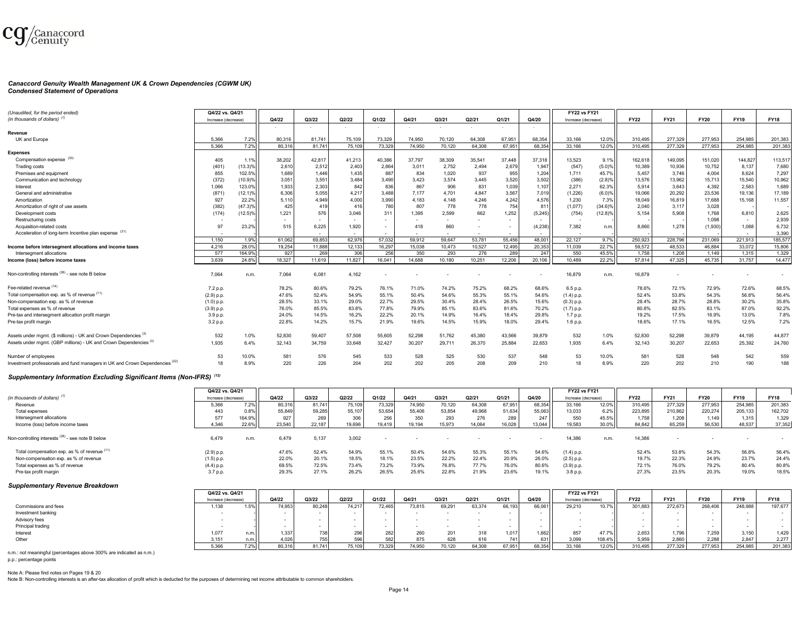

#### *Canaccord Genuity Wealth Management UK & Crown Dependencies (CGWM UK) Condensed Statement of Operations*

| (Unaudited, for the period ended)                                            | Q4/22 vs. Q4/21     |            |        |        |                          |        |        |        |                          |                          |          | <b>FY22 vs FY21</b> |            |             |             |             |             |             |
|------------------------------------------------------------------------------|---------------------|------------|--------|--------|--------------------------|--------|--------|--------|--------------------------|--------------------------|----------|---------------------|------------|-------------|-------------|-------------|-------------|-------------|
| (in thousands of dollars) <sup>(1)</sup>                                     | Increase (decrease) |            | Q4/22  | Q3/22  | Q2/22                    | Q1/22  | Q4/21  | Q3/21  | Q2/21                    | Q1/21                    | Q4/20    | Increase (decrease  |            | <b>FY22</b> | <b>FY21</b> | <b>FY20</b> | <b>FY19</b> | <b>FY18</b> |
|                                                                              |                     |            |        |        | $\sim$                   | $\sim$ |        |        |                          | $\sim$                   | $\sim$   |                     |            |             |             |             |             |             |
| Revenue                                                                      |                     |            |        |        |                          |        |        |        |                          |                          |          |                     |            |             |             |             |             |             |
| UK and Europe                                                                | 5,366               | 7.2%       | 80,316 | 81.741 | 75,109                   | 73,329 | 74.950 | 70.120 | 64.308                   | 67,951                   | 68,354   | 33,166              | 12.09      | 310,495     | 277,329     | 277,953     | 254.985     | 201,383     |
|                                                                              | 5.366               | 7.2%       | 80.316 | 81.741 | 75,109                   | 73,329 | 74.950 | 70,120 | 64.308                   | 67.95                    | 68,354   | 33.166              | 12.0%      | 310.495     | 277,329     | 277.953     | 254.985     | 201,383     |
| <b>Expenses</b>                                                              |                     |            |        |        |                          |        |        |        |                          |                          |          |                     |            |             |             |             |             |             |
| Compensation expense (33)                                                    | 405                 | 1.1%       | 38,202 | 42,817 | 41,213                   | 40,386 | 37.797 | 38,309 | 35,541                   | 37,448                   | 37,318   | 13,523              | 9.1%       | 162,618     | 149,095     | 151,020     | 144,827     | 113,517     |
| Trading costs                                                                | (401)               | $(13.3)\%$ | 2,610  | 2,512  | 2,40                     | 2,86   | 3,011  | 2,752  | 2,494                    | 2,67                     | 1,947    | (547)               | $(5.0)\%$  | 10,389      | 10,936      | 10.752      | 8,137       | 7,680       |
| Premises and equipment                                                       | 855                 | 102.5%     | 1,689  | 1,446  | 1,435                    | 887    | 834    | 1,020  | 937                      | 955                      | 1,204    | 1,711               | 45.7%      | 5,457       | 3.746       | 4.004       | 8,624       | 7,297       |
| Communication and technology                                                 | (372)               | (10.9)%    | 3,051  | 3,551  | 3,484                    | 3,490  | 3,423  | 3,574  | 3,445                    | 3,520                    | 3,502    | (386)               | (2.8)%     | 13,576      | 13,962      | 15,713      | 15,540      | 10,962      |
| Interest                                                                     | 1,066               | 123.0%     | 1,933  | 2,303  | 842                      | 836    | 867    | 906    | 831                      | 1,039                    | 1,107    | 2,271               | 62.3%      | 5.914       | 3.643       | 4.392       | 2,583       | 1,689       |
| General and administrative                                                   | (871                | $(12.1)\%$ | 6,306  | 5,055  | 4,217                    | 3,488  | 7,177  | 4,701  | 4,847                    | 3,567                    | 7,019    | (1, 226)            | (6.0)%     | 19,066      | 20,292      | 23,536      | 19,136      | 17,189      |
| Amortization                                                                 | 927                 | 22.2%      | 5,110  | 4,949  | 4,000                    | 3,990  | 4,183  | 4,148  | 4,246                    | 4,242                    | 4,576    | 1,230               | 7.3%       | 18,049      | 16,819      | 17,688      | 15,168      | 11,557      |
| Amortization of right of use assets                                          | (382)               | $(47.3)\%$ | 425    | 419    | 416                      | 780    | 807    | 778    | 778                      | 754                      | 811      | (1,077)             | $(34.6)\%$ | 2,040       | 3,117       | 3,028       |             |             |
| Development costs                                                            | (174)               | $(12.5)\%$ | 1,221  | 576    | 3,046                    | 311    | 1,395  | 2,599  | 662                      | 1,252                    | (5, 245) | (754)               | $(12.8)\%$ | 5,154       | 5,908       | 1.768       | 6,810       | 2,625       |
| Restructuring costs                                                          |                     |            | $\sim$ |        | $\sim$                   | $\sim$ |        |        |                          | $\overline{\phantom{a}}$ |          |                     |            |             |             | 1,098       | $\sim$      | 2,939       |
| Acquisition-related costs                                                    | 97                  | 23.2%      | 515    | 6,225  | 1,920                    | $\sim$ | 418    | 860    |                          | $\overline{\phantom{a}}$ | (4,238)  | 7,382               | n.m.       | 8,660       | 1,278       | (1,930)     | 1,088       | 6,732       |
| Acceleration of long-term Incentive plan expense (31)                        |                     |            |        | $\sim$ | $\overline{\phantom{a}}$ | $\sim$ |        | $\sim$ | $\overline{\phantom{a}}$ | $\sim$                   | . .      |                     |            |             |             |             | $\sim$      | 3,390       |
|                                                                              | 1.150               | 1.9%       | 61.062 | 69.853 | 62,976                   | 57,032 | 59,912 | 59.647 | 53,781                   | 55.456                   | 48.00    | 22.127              | 9.7%       | 250,923     | 228,796     | 231.069     | 221.913     | 185,577     |
| Income before intersegment allocations and income taxes                      | 4.216               | 28.0%      | 19,254 | 11,888 | 12,133                   | 16,297 | 15.038 | 10,473 | 10,527                   | 12,495                   | 20,353   | 11.039              | 22.7%      | 59.572      | 48.533      | 46.884      | 33.072      | 15,806      |
| Intersegment allocations                                                     | 577                 | 164.9%     | 927    | 269    | 306                      | 256    | 350    | 293    | 276                      | 289                      | 247      | 550                 | 45.5%      | 1,758       | 1,208       | 1.149       | 1,315       | 1,329       |
| Income (loss) before income taxes                                            | 3,639               | 24.8%      | 18,327 | 11,619 | 11,827                   | 16,041 | 14,688 | 10,180 | 10,251                   | 12,206                   | 20,106   | 10,489              | 22.2%      | 57,814      | 47,325      | 45.735      | 31,757      | 14,477      |
| Non-controlling interests (38) - see note B below                            | 7.064               | n.m.       | 7,064  | 6.081  | 4.162                    |        |        |        |                          |                          |          | 16,879              | n.m        | 16.879      |             |             |             |             |
| Fee-related revenue (14)                                                     | 7.2 p.p.            |            | 78.2%  | 80.6%  | 79.2%                    | 76.1%  | 71.0%  | 74.2%  | 75.2%                    | 68.2%                    | 68.6%    | 6.5 p.p.            |            | 78.6%       | 72.1%       | 72.9%       | 72.6%       | 68.5%       |
| Total compensation exp. as % of revenue (11)                                 | (2.9) p.p.          |            | 47.6%  | 52.4%  | 54.9%                    | 55.1%  | 50.4%  | 54.6%  | 55.3%                    | 55.1%                    | 54.6%    | (1.4) p.p.          |            | 52.4%       | 53.8%       | 54.3%       | 56.8%       | 56.4%       |
| Non-compensation exp. as % of revenue                                        | $(1.0)$ p.p.        |            | 28.5%  | 33.1%  | 29.0%                    | 22.7%  | 29.5%  | 30.4%  | 28.4%                    | 26.5%                    | 15.6%    | $(0.3)$ p.p.        |            | 28.4%       | 28.7%       | 28.8%       | 30.2%       | 35.8%       |
| Total expenses as % of revenue                                               | (3.9) p.p.          |            | 76.0%  | 85.5%  | 83.8%                    | 77.8%  | 79.9%  | 85.1%  | 83.6%                    | 81.6%                    | 70.2%    | $(1.7)$ p.p.        |            | 80.8%       | 82.5%       | 83.1%       | 87.0%       | 92.2%       |
| Pre-tax and intersegment allocation profit margin                            | 3.9 p.p.            |            | 24.0%  | 14.5%  | 16.2%                    | 22.2%  | 20.1%  | 14.9%  | 16.4%                    | 18.4%                    | 29.8%    | 1.7 p.p.            |            | 19.2%       | 17.5%       | 16.9%       | 13.0%       | 7.8%        |
| Pre-tax profit margin                                                        | 3.2 p.p.            |            | 22.8%  | 14.2%  | 15.7%                    | 21.9%  | 19.6%  | 14.5%  | 15.9%                    | 18.0%                    | 29.4%    | 1.6 p.p.            |            | 18.6%       | 17.1%       | 16.5%       | 12.5%       | 7.2%        |
| Assets under mgmt. (\$ millions) - UK and Crown Dependencies <sup>(3)</sup>  | 532                 | 1.0%       | 52,830 | 59,407 | 57,508                   | 55,605 | 52,298 | 51,762 | 45,380                   | 43,566                   | 39,879   | 532                 | 1.0%       | 52,830      | 52,298      | 39,879      | 44,195      | 44,877      |
| Assets under mgmt. (GBP millions) - UK and Crown Dependencies <sup>(3)</sup> | 1.935               | 6.4%       | 32,143 | 34,759 | 33,648                   | 32,427 | 30,207 | 29,711 | 26,370                   | 25,884                   | 22,653   | 1,935               | 6.4%       | 32,143      | 30,207      | 22,653      | 25,392      | 24,760      |
| Number of emplovees                                                          | 53                  | 10.0%      | 581    | 576    | 545                      | 533    | 528    | 525    | 530                      | 537                      | 548      | 53                  | 10.0%      | 581         | 528         | 548         | 542         | 559         |
| Investment professionals and fund managers in UK and Crown Dependencies (22) | 18                  | 8.9%       | 220    | 226    | 204                      | 202    | 202    | 205    | 208                      | 209                      | 210      | 18                  | 8.9%       | 220         | 202         | 210         | 190         | 188         |
|                                                                              |                     |            |        |        |                          |        |        |        |                          |                          |          |                     |            |             |             |             |             |             |

#### *Supplementary Information Excluding Significant Items (Non-IFRS) (12)*

|                                                   | Q4/22 vs. Q4/21     |         |        |        |        |        |        |        |        |        |        | <b>FY22 vs FY21</b> |       |             |             |             |             |             |
|---------------------------------------------------|---------------------|---------|--------|--------|--------|--------|--------|--------|--------|--------|--------|---------------------|-------|-------------|-------------|-------------|-------------|-------------|
| (in thousands of dollars) <sup>(1</sup>           | Increase (decrease) |         | Q4/22  | Q3/22  | Q2/22  | Q1/22  | Q4/21  | Q3/21  | Q2/21  | Q1/21  | Q4/20  | Increase (decrease) |       | <b>FY22</b> | <b>FY21</b> | <b>FY20</b> | <b>FY19</b> | <b>FY18</b> |
| Revenue                                           | 5,366               | $7.2\%$ | 80,316 | 81,741 | 75,109 | 73,329 | 74,950 | 70,120 | 64,308 | 67,951 | 68,354 | 33,166              | 12.0% | 310,495     | 277,329     | 277,953     | 254,985     | 201,383     |
| Total expenses                                    | 443                 | 0.8%    | 55,849 | 59,285 | 55.107 | 53,654 | 55,406 | 53,854 | 49,968 | 51,634 | 55,063 | 13,033              | 6.2%  | 223,895     | 210,862     | 220,274     | 205,133     | 162,702     |
| Intersegment allocations                          | 577                 | 164.9%  | 927    | 269    | 306    | 256    | 350    | 293    | 276    | 289    | 247    | 550                 | 45.5% | 1,758       | 1,208       | 1.149       | 1,315       | 1,329       |
| Income (loss) before income taxes                 | 4.346               | 22.69   | 23,540 | 22.187 | 19.696 | 19.419 | 19.194 | 15.973 | 14.064 | 16.028 | 13.044 | 19,583              | 30.0% | 84,842      | 65,259      | 56.530      | 48,537      | 37,352      |
| Non-controlling interests (38) - see note B below | 6,479               | n.m     | 6,479  | 5,137  | 3,002  |        |        |        |        |        |        | 14,386              | n.m.  | 14,386      |             |             |             |             |
| Total compensation exp. as % of revenue (11)      | (2.9) p.p.          |         | 47.6%  | 52.4%  | 54.9%  | 55.1%  | 50.4%  | 54.6%  | 55.3%  | 55.1%  | 54.6%  | (1.4) p.p.          |       | 52.4%       | 53.8%       | 54.3%       | 56.8%       | 56.4%       |
| Non-compensation exp. as % of revenue             | $(1.5)$ p.p.        |         | 22.0%  | 20.1%  | 18.5%  | 18.1%  | 23.5%  | 22.2%  | 22.4%  | 20.9%  | 26.0%  | $(2.5)$ p.p.        |       | 19.7%       | 22.3%       | 24.9%       | 23.7%       | 24.4%       |
| Total expenses as % of revenue                    | (4.4) p.p.          |         | 69.5%  | 72.5%  | 73.4%  | 73.2%  | 73.9%  | 76.8%  | 77.7%  | 76.0%  | 80.6%  | (3.9) p.p.          |       | 72.1%       | 76.0%       | 79.2%       | 80.4%       | 80.8%       |
| Pre-tax profit margin                             | 3.7 p.p.            |         | 29.3%  | 27.1%  | 26.2%  | 26.5%  | 25.6%  | 22.8%  | 21.9%  | 23.6%  | 19.1%  | 3.8 p.p.            |       | 27.3%       | 23.5%       | 20.3%       | 19.0%       | 18.5%       |

#### *Supplementary Revenue Breakdown*

|                      | Q4/22 vs. Q4/21     |      |        |                    |        |        |            |        |        |        |        | <b>FY22 vs FY21</b> |        |             |             |             |             |             |
|----------------------|---------------------|------|--------|--------------------|--------|--------|------------|--------|--------|--------|--------|---------------------|--------|-------------|-------------|-------------|-------------|-------------|
|                      | Increase (decrease) |      | Q4/22  | Q3/22              | Q2/22  | Q1/22  | Q4/21      | Q3/21  | Q2/21  | Q1/21  | Q4/20  | Increase (decrease) |        | <b>FY22</b> | <b>FY21</b> | <b>FY20</b> | <b>FY19</b> | <b>FY18</b> |
| Commissions and fees | 1,138               | 1.5% | 74.953 | 80,248             | 74.217 | 72,465 | 73,815     | 69,291 | 63,374 | 66,193 | 66,061 | 29,210              | 10.7%  | 301,883     | 272,673     | 268,406     | 248,988     | 197,677     |
| Investment banking   |                     |      |        |                    |        |        |            |        |        |        |        |                     |        |             |             |             |             |             |
| Advisory fees        |                     |      |        |                    |        |        |            |        |        |        |        |                     |        |             |             |             |             |             |
| Principal trading    |                     |      |        |                    |        |        |            |        |        |        |        |                     |        |             |             |             |             |             |
| Interest             | 1,07                |      | 1,337  |                    |        |        | <b>260</b> | 201    | 318    | 1.017  | .662   | 857                 | 17.7%  | 2.653       | .796        | 7,259       | 3 150       | 1,429       |
| Other                | 3,151               |      | 4,026  | 755                |        |        |            | 628    |        | 741    | 631    | 3,099               | 108.4% | 5,959       | 2,860       | 2,288       | 2,84        | 2,277       |
|                      | 5,366               | 7.2% | 80,316 | 81 74 <sup>-</sup> |        | 73,329 | 74,950     | 70,120 | 64,308 | 67,951 | 68,354 | 33,166              | 12.0%  | 310,495     | 277,329     | 277.953     | 254,985     | 201,383     |

n.m.: not meaningful (percentages above 300% are indicated as n.m.)

p.p.: percentage points

Note A: Please find notes on Pages 19 & 20

Note B: Non-controlling interests is an after-tax allocation of profit which is deducted for the purposes of determining net income attributable to common shareholders.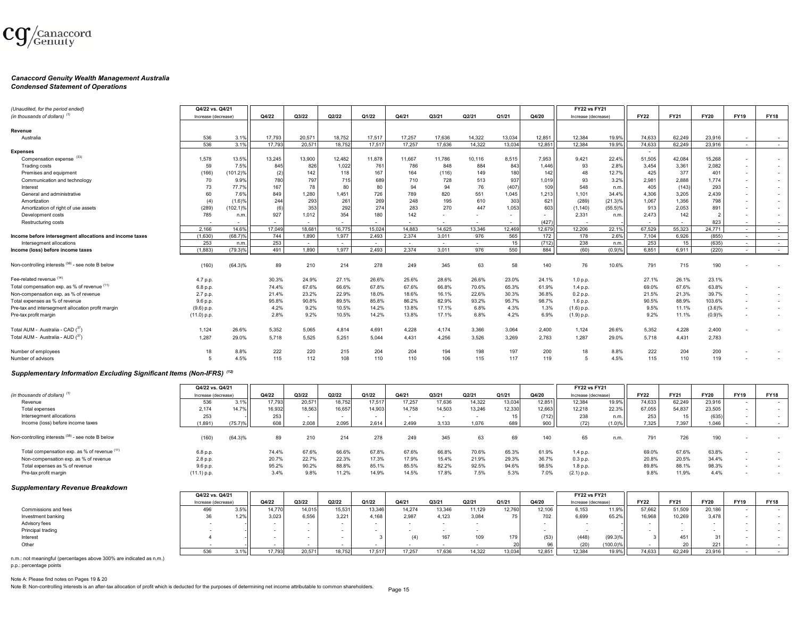

# *Canaccord Genuity Wealth Management Australia*

#### *Condensed Statement of Operations*

| (Unaudited, for the period ended)                       | Q4/22 vs. Q4/21     |             |                          |        |        |        |                          |                          |        |                |        | <b>FY22 vs FY21</b> |            |             |             |                |             |                          |
|---------------------------------------------------------|---------------------|-------------|--------------------------|--------|--------|--------|--------------------------|--------------------------|--------|----------------|--------|---------------------|------------|-------------|-------------|----------------|-------------|--------------------------|
| (in thousands of dollars) $(1)$                         | Increase (decrease) |             | Q4/22                    | Q3/22  | Q2/22  | Q1/22  | Q4/21                    | Q3/21                    | Q2/21  | Q1/21          | Q4/20  | Increase (decrease) |            | <b>FY22</b> | <b>FY21</b> | <b>FY20</b>    | <b>FY19</b> | <b>FY18</b>              |
|                                                         |                     |             |                          |        |        |        |                          |                          |        |                |        |                     |            |             |             |                |             |                          |
| Revenue                                                 |                     |             |                          |        |        |        |                          |                          |        |                |        |                     |            |             |             |                |             |                          |
| Australia                                               | 536                 | 3.1%        | 17.793                   | 20.571 | 18.752 | 17.517 | 17.257                   | 17.636                   | 14.322 | 13.034         | 12.851 | 12.384              | 19.9%      | 74.633      | 62.249      | 23,916         | $\sim$      | $\sim$                   |
|                                                         | 536                 | 3.1%        | 17.793                   | 20.571 | 18.752 | 17.517 | 17.257                   | 17.636                   | 14.322 | 13.034         | 12.85' | 12.384              | 19.9%      | 74.633      | 62.249      | 23.916         | $\sim$      | $\sim$                   |
| <b>Expenses</b>                                         |                     |             |                          |        |        |        |                          |                          |        |                |        |                     |            | $\sim$      |             |                |             |                          |
| Compensation expense (33)                               | 1.578               | 13.5%       | 13,245                   | 13,900 | 12.482 | 11.878 | 11.667                   | 11.786                   | 10.116 | 8,515          | 7,953  | 9,421               | 22.4%      | 51,505      | 42,084      | 15,268         | $\sim$      | $\overline{\phantom{a}}$ |
| <b>Trading costs</b>                                    | 59                  | 7.5%        | 845                      | 826    | 1,022  | 761    | 786                      | 848                      | 884    | 843            | 1.446  | 93                  | 2.8%       | 3,454       | 3,361       | 2,082          | $\sim$      | $\overline{\phantom{a}}$ |
| Premises and equipment                                  | (166)               | $(101.2)\%$ | (2)                      | 142    | 118    | 167    | 164                      | (116)                    | 149    | 180            | 142    | 48                  | 12.7%      | 425         | 377         | 401            | $\sim$      | $\overline{\phantom{a}}$ |
| Communication and technology                            | 70                  | 9.9%        | 780                      | 797    | 715    | 689    | 710                      | 728                      | 513    | 937            | 1,019  | 93                  | 3.2%       | 2,981       | 2,888       | 1,774          | $\sim$      | $\overline{a}$           |
| Interest                                                | 73                  | 77.7%       | 167                      | 78     | 80     | 80     | 94                       | 94                       | 76     | (407)          | 109    | 548                 | n.m.       | 405         | (143)       | 293            | $\sim$      | $\overline{a}$           |
| General and administrative                              | 60                  | 7.6%        | 849                      | 1,280  | 1,451  | 726    | 789                      | 820                      | 551    | 1.045          | 1,213  | 1.101               | 34.4%      | 4.306       | 3.205       | 2,439          | $\sim$      | $\overline{\phantom{a}}$ |
| Amortization                                            | (4)                 | (1.6)%      | 244                      | 293    | 261    | 269    | 248                      | 195                      | 610    | 303            | 621    | (289)               | (21.3)%    | 1,067       | 1.356       | 798            |             | $\overline{\phantom{a}}$ |
| Amortization of right of use assets                     | (289)               | $(102.1)\%$ |                          | 353    | 292    | 274    | 283                      | 270                      | 447    | 1,053          | 603    | (1, 140)            | $(55.5)\%$ | 913         | 2,053       | 891            | $\sim$      | $\overline{a}$           |
| Development costs                                       | 785                 | n.m.        | 927                      | 1,012  | 354    | 180    | 142                      | $\sim$                   |        | $\overline{a}$ | $\sim$ | 2,331               | n.m.       | 2,473       | 142         | $\overline{2}$ |             | $\overline{\phantom{a}}$ |
| Restructuring costs                                     | $\overline{a}$      | $\sim$      | $\overline{\phantom{a}}$ | $\sim$ | $\sim$ |        | $\overline{\phantom{a}}$ | $\overline{\phantom{a}}$ | $\sim$ | $\sim$         | (427)  |                     |            | $\sim$      |             | 823            |             | $\overline{a}$           |
|                                                         | 2.166               | 14.6%       | 17.049                   | 18,681 | 16,775 | 15.024 | 14,883                   | 14.625                   | 13.346 | 12.469         | 12,679 | 12.206              | 22.1%      | 67.529      | 55.323      | 24.771         | $\sim$      | $\sim$                   |
| Income before intersegment allocations and income taxes | (1.630)             | (68.7)%     | 744                      | 1.890  | 1.977  | 2.493  | 2.374                    | 3.011                    | 976    | 565            | 172    | 178                 | 2.6%       | 7.104       | 6.926       | (855)          | $\sim$      | $\sim$                   |
| Intersegment allocations                                | 253                 | n.m.        | 253                      | $\sim$ | $\sim$ | $\sim$ | $\sim$                   | $\sim$                   | $\sim$ | 15             | (712)  | 238                 | n.m.       | 253         | 15          | (635)          | $\sim$      | $\sim$                   |
| Income (loss) before income taxes                       | (1,883)             | $(79.3)\%$  | 491                      | 1,890  | 1.977  | 2.493  | 2.374                    | 3.011                    | 976    | 550            | 884    | (60)                | (0.9)%     | 6,851       | 6.911       | (220)          | $\sim$      | $\sim$                   |
| Non-controlling interests (38) - see note B below       | (160)               | $(64.3)\%$  | 89                       | 210    | 214    | 278    | 249                      | 345                      | 63     | 58             | 140    | 76                  | 10.6%      | 791         | 715         | 190            |             |                          |
| Fee-related revenue (14)                                | 4.7 p.p.            |             | 30.3%                    | 24.9%  | 27.1%  | 26.6%  | 25.6%                    | 28.6%                    | 26.6%  | 23.0%          | 24.1%  | 1.0 p.p.            |            | 27.1%       | 26.1%       | 23.1%          |             |                          |
| Total compensation exp. as % of revenue (11)            | 6.8 p.p.            |             | 74.4%                    | 67.6%  | 66.6%  | 67.8%  | 67.6%                    | 66.8%                    | 70.6%  | 65.3%          | 61.9%  | 1.4 p.p.            |            | 69.0%       | 67.6%       | 63.8%          |             | $\overline{a}$           |
| Non-compensation exp. as % of revenue                   | 2.7 p.p.            |             | 21.4%                    | 23.2%  | 22.9%  | 18.0%  | 18.6%                    | 16.1%                    | 22.6%  | 30.3%          | 36.8%  | 0.2 p.p.            |            | 21.5%       | 21.3%       | 39.7%          |             | $\overline{\phantom{a}}$ |
| Total expenses as % of revenue                          | 9.6 p.p.            |             | 95.8%                    | 90.8%  | 89.5%  | 85.8%  | 86.2%                    | 82.9%                    | 93.2%  | 95.7%          | 98.7%  | 1.6 p.p.            |            | 90.5%       | 88.9%       | 103.6%         |             | $\overline{a}$           |
| Pre-tax and intersegment allocation profit margin       | (9.6) p.p.          |             | 4.2%                     | 9.2%   | 10.5%  | 14.2%  | 13.8%                    | 17.1%                    | 6.8%   | 4.3%           | 1.3%   | $(1.6)$ p.p.        |            | 9.5%        | 11.1%       | (3.6)%         |             | $\overline{\phantom{a}}$ |
| Pre-tax profit margin                                   | (11.0) p.p.         |             | 2.8%                     | 9.2%   | 10.5%  | 14.2%  | 13.8%                    | 17.1%                    | 6.8%   | 4.2%           | 6.9%   | (1.9) p.p.          |            | 9.2%        | 11.1%       | (0.9)%         |             |                          |
| Total AUM - Australia - CAD (37)                        | 1,124               | 26.6%       | 5.352                    | 5,065  | 4,814  | 4.691  | 4,228                    | 4,174                    | 3.366  | 3,064          | 2.400  | 1,124               | 26.6%      | 5.352       | 4,228       | 2,400          |             |                          |
| Total AUM - Australia - AUD (37)                        | 1.287               | 29.0%       | 5.718                    | 5,525  | 5.251  | 5.044  | 4,431                    | 4,256                    | 3.526  | 3.269          | 2.783  | 1.287               | 29.0%      | 5.718       | 4.431       | 2,783          |             |                          |
| Number of employees                                     | 18                  | 8.8%        | 222                      | 220    | 215    | 204    | 204                      | 194                      | 198    | 197            | 200    | 18                  | 8.8%       | 222         | 204         | 200            |             |                          |
| Number of advisors                                      |                     | 4.5%        | 115                      | 112    | 108    | 110    | 110                      | 106                      | 115    | 117            | 119    | 5                   | 4.5%       | 115         | 110         | 119            |             |                          |

#### *Supplementary Information Excluding Significant Items (Non-IFRS) (12)*

|                                                   | Q4/22 vs. Q4/21     |            |        |        |        |        |        |        |        |        |        | <b>FY22 vs FY21</b> |        |             |             |             |             |             |
|---------------------------------------------------|---------------------|------------|--------|--------|--------|--------|--------|--------|--------|--------|--------|---------------------|--------|-------------|-------------|-------------|-------------|-------------|
| (in thousands of dollars) <sup>(1)</sup>          | Increase (decrease) |            | Q4/22  | Q3/22  | Q2/22  | Q1/22  | Q4/21  | Q3/21  | Q2/21  | Q1/21  | Q4/20  | Increase (decrease) |        | <b>FY22</b> | <b>FY21</b> | <b>FY20</b> | <b>FY19</b> | <b>FY18</b> |
| Revenue                                           | 536                 | $3.1\%$    | 17,793 | 20,571 | 18,752 | 17,517 | 17,257 | 17,636 | 14,322 | 13,034 | 12,851 | 12,384              | 19.9%  | 74,633      | 62,249      | 23,916      |             | $\sim$      |
| Total expenses                                    | 2.174               | 14.7%      | 16,932 | 18,563 | 16.657 | 14.903 | 14,758 | 14.503 | 13.246 | 12.330 | 12.663 | 12.218              | 22.3%  | 67,055      | 54.837      | 23,505      |             |             |
| Intersegment allocations                          | 253                 |            | 253    | $\sim$ |        | $\sim$ |        |        |        |        | (712)  | 238                 | n.m.   | 253         |             | (635)       |             |             |
| Income (loss) before income taxes                 | (1,891)             | (75.7)%    | 608    | 2,008  | 2,095  | 2,614  | 2,499  | 3,133  | 1,076  | 689    | 900    | (72)                | (1.0)% | 7,325       | 7,397       | 1,046       |             |             |
| Non-controlling interests (38) - see note B below | (160)               | $(64.3)\%$ | 89     | 210    | 214    | 278    | 249    | 345    | 63     | 69     | 140    | 65                  | n.m.   | 791         | 726         | 190         |             |             |
| Total compensation exp. as % of revenue (11)      | 6.8 p.p.            |            | 74.4%  | 67.6%  | 66.6%  | 67.8%  | 67.6%  | 66.8%  | 70.6%  | 65.3%  | 61.9%  | 1.4 p.p.            |        | 69.0%       | 67.6%       | 63.8%       |             |             |
| Non-compensation exp. as % of revenue             | 2.8 p.p.            |            | 20.7%  | 22.7%  | 22.3%  | 17.3%  | 17.9%  | 15.4%  | 21.9%  | 29.3%  | 36.7%  | 0.3 p.p.            |        | 20.8%       | 20.5%       | 34.4%       |             |             |
| Total expenses as % of revenue                    | 9.6 p.p.            |            | 95.2%  | 90.2%  | 88.8%  | 85.1%  | 85.5%  | 82.2%  | 92.5%  | 94.6%  | 98.5%  | 1.8 p.p.            |        | 89.8%       | 88.1%       | 98.3%       |             |             |
| Pre-tax profit margin                             | (11.1) p.p.         |            | 3.4%   | 9.8%   | 11.2%  | 14.9%  | 14.5%  | 17.8%  | 7.5%   | 5.3%   | 7.0%   | $(2.1)$ p.p.        |        | 9.8%        | 11.9%       | 4.4%        |             |             |

#### *Supplementary Revenue Breakdown*

|                      | Q4/22 vs. Q4/21     |         |        |        |        |        |        |        |        |        |        | <b>FY22 vs FY21</b> |             |             |             |             |             |             |
|----------------------|---------------------|---------|--------|--------|--------|--------|--------|--------|--------|--------|--------|---------------------|-------------|-------------|-------------|-------------|-------------|-------------|
|                      | Increase (decrease) |         | Q4/22  | Q3/22  | Q2/22  | Q1/22  | Q4/21  | Q3/21  | Q2/21  | Q1/21  | Q4/20  | Increase (decrease) |             | <b>FY22</b> | <b>FY21</b> | <b>FY20</b> | <b>FY19</b> | <b>FY18</b> |
| Commissions and fees | 496                 | 3.5%    | 14,770 | 14,015 | 15,531 | 13,346 | 14,274 | 13,346 | 11,129 | 12,760 | 12,106 | 6,153               | 11.9%       | 57,662      | 51,509      | 20,186      |             |             |
| Investment banking   | 36                  | $1.2%$  | 3,023  | 6,556  | 3,221  | 4,168  | 2,987  | 4,123  | 3,084  | 75     | 702    | 6,699               | 65.2%       | 16,968      | 10,269      | 3,478       |             |             |
| Advisory fees        |                     |         |        |        |        |        |        |        |        |        |        |                     |             |             |             |             |             |             |
| Principal trading    |                     |         |        |        |        |        |        |        |        |        |        |                     |             |             |             |             |             |             |
| Interest             |                     |         |        |        |        |        | (4)    | 167    | 109    | 179    | (53)   | (448)               | $(99.3)\%$  |             | 451         |             |             |             |
| Other                |                     |         |        |        |        |        |        |        |        |        |        | (20)                | $(100.0)\%$ |             |             | 221         |             |             |
|                      | 536                 | $3.1\%$ | 17.793 | 20,571 | 18.752 | 17.517 | 17.257 | 17.636 | 14.322 | 13,034 | 12.851 | 12.384              | 19.9%       | 74,633      | 62,249      | 23,916      |             |             |

n.m.: not meaningful (percentages above 300% are indicated as n.m.) p.p.: percentage points

Note A: Please find notes on Pages 19 & 20

Note B: Non-controlling interests is an after-tax allocation of profit which is deducted for the purposes of determining net income attributable to common shareholders.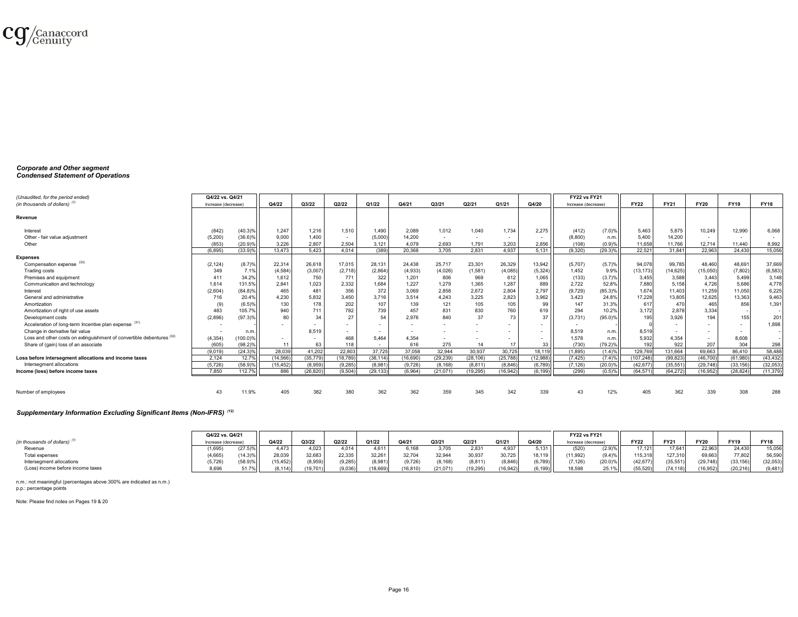

#### *Corporate and Other segment Condensed Statement of Operations*

| (Unaudited, for the period ended)                                     | Q4/22 vs. Q4/21     |             |           |           |           |                          |           |           |           |                          |          | <b>FY22 vs FY21</b>      |            |             |             |             |             |             |
|-----------------------------------------------------------------------|---------------------|-------------|-----------|-----------|-----------|--------------------------|-----------|-----------|-----------|--------------------------|----------|--------------------------|------------|-------------|-------------|-------------|-------------|-------------|
| (in thousands of dollars) $(1)$                                       | Increase (decrease) |             | Q4/22     | Q3/22     | Q2/22     | Q1/22                    | Q4/21     | Q3/21     | Q2/21     | Q1/21                    | Q4/20    | Increase (decrease       |            | <b>FY22</b> | <b>FY21</b> | <b>FY20</b> | <b>FY19</b> | <b>FY18</b> |
|                                                                       |                     |             |           |           |           |                          |           |           |           |                          |          |                          |            |             |             |             |             |             |
| Revenue                                                               |                     |             |           |           |           |                          |           |           |           |                          |          |                          |            |             |             |             |             |             |
|                                                                       |                     |             |           |           |           |                          |           |           |           |                          |          |                          |            |             |             |             |             |             |
| Interest                                                              | (842)               | (40.3)%     | 1,247     | 1.216     | 1,510     | 1.490                    | 2,089     | 1,012     | 1.040     | 1.734                    | 2,275    | (412)                    | (7.0)%     | 5,463       | 5,875       | 10,249      | 12,990      | 6,068       |
| Other - fair value adjustment                                         | (5, 200)            | $(36.6)\%$  | 9.000     | 1.400     | $\sim$    | (5,000)                  | 14,200    |           | $\sim$    | $\sim$                   | $\sim$   | (8,800)                  | n.m.       | 5.400       | 14,200      | $\sim$      |             | $\sim$      |
| Other                                                                 | (853)               | (20.9)%     | 3.226     | 2.807     | 2.504     | 3.121                    | 4.079     | 2.693     | 1.791     | 3.203                    | 2.856    | (108)                    | (0.9)%     | 11.658      | 11.766      | 12.714      | 11.440      | 8,992       |
|                                                                       | (6, 895)            | $(33.9)\%$  | 13,473    | 5.423     | 4.014     | (389)                    | 20,368    | 3,705     | 2,831     | 4,937                    | 5,131    | (9,320)                  | $(29.3)\%$ | 22,521      | 31,841      | 22,963      | 24,430      | 15,056      |
| <b>Expenses</b>                                                       |                     |             |           |           |           |                          |           |           |           |                          |          |                          |            |             |             |             |             |             |
| Compensation expense (33)                                             | (2, 124)            | (8.7)%      | 22,314    | 26.618    | 17,015    | 28,131                   | 24,438    | 25,717    | 23,301    | 26,329                   | 13,942   | (5,707)                  | (5.7)%     | 94,078      | 99,785      | 48.460      | 48,691      | 37,669      |
| <b>Trading costs</b>                                                  | 349                 | 7.1%        | (4,584)   | (3,007)   | (2,718)   | (2,864)                  | (4,933)   | (4,026)   | (1,581)   | (4,085)                  | (5, 324) | 1,452                    | 9.9%       | (13, 173)   | (14, 625)   | (15,050)    | (7, 802)    | (6,583)     |
| Premises and equipment                                                | 411                 | 34.2%       | 1.612     | 750       | 771       | 322                      | 1,201     | 806       | 969       | 612                      | 1,065    | (133)                    | (3.7)%     | 3,455       | 3,588       | 3.443       | 5,499       | 3.148       |
| Communication and technology                                          | 1.614               | 131.5%      | 2,841     | 1,023     | 2,332     | 1,684                    | 1,227     | 1,279     | 1,365     | 1,287                    | 889      | 2,722                    | 52.8%      | 7,880       | 5,158       | 4,726       | 5,686       | 4.778       |
| Interest                                                              | (2,604)             | $(84.8)\%$  | 465       | 481       | 356       | 372                      | 3.069     | 2,858     | 2,672     | 2,804                    | 2,797    | (9,729)                  | $(85.3)\%$ | 1,674       | 11,403      | 11,259      | 11,050      | 6.225       |
| General and administrative                                            | 716                 | 20.4%       | 4,230     | 5,832     | 3,450     | 3.716                    | 3,514     | 4.243     | 3,225     | 2,823                    | 3,962    | 3,423                    | 24.8%      | 17,228      | 13,805      | 12,625      | 13,363      | 9,463       |
| Amortization                                                          |                     | (6.5)%      | 130       | 178       | 202       | 107                      | 139       | 121       | 105       | 105                      | 99       | 147                      | 31.3%      | 617         | 470         | 465         | 856         | 1,391       |
| Amortization of right of use assets                                   | 483                 | 105.7%      | 940       | 711       | 782       | 739                      | 457       | 831       | 830       | 760                      | 619      | 294                      | 10.2%      | 3,172       | 2,878       | 3,334       |             | $\sim$      |
| Development costs                                                     | (2,896)             | $(97.3)\%$  | 80        | 34        | 27        | 54                       | 2,976     | 840       | 37        | 73                       | 37       | (3,731)                  | $(95.0)\%$ | 195         | 3.926       | 194         | 155         | 201         |
| Acceleration of long-term Incentive plan expense (31)                 |                     |             |           |           | $\sim$    |                          | $\sim$    |           |           | $\sim$                   |          | $\overline{\phantom{a}}$ |            |             | $\sim$      |             |             | 1.898       |
| Change in derivative fair value                                       |                     | n.m.        |           | 8.519     | $\sim$    | ۰                        | $\sim$    |           |           | $\sim$                   |          | 8,519                    | n.m.       | 8,519       | $\sim$      | $\sim$      |             |             |
| Loss and other costs on extinguishment of convertible debentures (32) | (4, 354)            | $(100.0)\%$ |           | $\sim$    | 468       | 5.464                    | 4,354     |           |           | $\overline{\phantom{a}}$ |          | 1,578                    | n.m.       | 5,932       | 4,354       | $\sim$      | 8,608       |             |
| Share of (gain) loss of an associate                                  | (605)               | $(98.2)\%$  | 11        | 63        | 118       | $\overline{\phantom{a}}$ | 616       | 275       | 14        | 17                       | 33       | (730)                    | $(79.2)\%$ | 192         | 922         | 207         | 304         | 298         |
|                                                                       | (9,019)             | $(24.3)\%$  | 28.039    | 41.202    | 22,803    | 37.725                   | 37,058    | 32.944    | 30.937    | 30,725                   | 18.119   | (1,895)                  | (1.4)%     | 129,769     | 131,664     | 69.663      | 86.410      | 58,488      |
| Loss before intersegment allocations and income taxes                 | 2.124               | 12.7%       | (14, 566) | (35, 779) | (18, 789) | (38, 114)                | (16, 690) | (29, 239) | (28, 106) | (25, 788)                | (12,988) | (7.425)                  | (7.4)%     | 107,248     | (99, 823)   | (46, 700)   | (61,980)    | (43, 432)   |
| Intersegment allocations                                              | (5.726)             | (58.9)%     | (15, 452) | (8.959)   | (9.285)   | (8.981)                  | (9.726)   | (8, 168)  | (8, 811)  | (8, 846)                 | (6.789)  | (7, 126)                 | $(20.0)\%$ | (42.677     | (35, 551)   | (29.748)    | (33, 156)   | (32,053)    |
| Income (loss) before income taxes                                     | 7,850               | 112.7%      | 886       | (26.820)  | (9,504)   | (29.133)                 | (6,964)   | (21,071)  | (19, 295) | (16, 942)                | (6, 199) | (299)                    | (0.5)%     | (64, 571)   | (64, 272)   | (16, 952)   | (28, 824)   | (11, 379)   |
|                                                                       |                     |             |           |           |           |                          |           |           |           |                          |          |                          |            |             |             |             |             |             |
|                                                                       |                     |             |           |           |           |                          |           |           |           |                          |          |                          |            |             |             |             |             |             |
| Number of employees                                                   | 43                  | 11.9%       | 405       | 382       | 380       | 362                      | 362       | 359       | 345       | 342                      | 339      | 43                       | 12%        |             | 362         | 339         | 308         | 288         |

#### *Supplementary Information Excluding Significant Items (Non-IFRS) (12)*

|                                   | Q4/22 vs. Q4/21     |             |          |         |         |         |          |          |          |          |         | <b>FY22 vs FY21</b> |            |          |          |          |           |                     |  |             |                 |      |             |             |
|-----------------------------------|---------------------|-------------|----------|---------|---------|---------|----------|----------|----------|----------|---------|---------------------|------------|----------|----------|----------|-----------|---------------------|--|-------------|-----------------|------|-------------|-------------|
| (in thousands of dollars) $(1)$   | Increase (decrease) |             |          |         |         |         |          |          | Q4/22    | Q3/22    | Q2/22   | Q1/22               | Q4/21      | Q3/21    | $Q2/2^2$ | Q1/21    | Q4/20     | Increase (decrease) |  | <b>FY22</b> | FY <sub>2</sub> | EVOO | <b>FY19</b> | <b>FY18</b> |
| Revenue                           | (1,695)             | $'27.5$ %   | 4.473    | 4.023   | 4.014   |         | .168     | 3.705    | 2.831    | 4.937    | $5.131$ | (520)               | (2.9)      | 17.121   | 17,641   | 22.96    | 24.430    | 15,056              |  |             |                 |      |             |             |
| Total expenses                    | (4,665)             | (14.3)%     | 28,039   | 32,683  | 22,335  | 32,26'  | 32,704   | 32,944   | 30,937   | 30,725   | 8,119   | (11, 992)           | $(9.4)\%$  | 115,318  | 127,310  | 69,663   | 77,802    | 56,590              |  |             |                 |      |             |             |
| Intersegment allocations          | 5,726)              | $(58.9) \%$ | (15.452) | (8,959) | (9,285) | (8.981) | (9.726)  | (8.168)  | (8, 811) | (8, 846) | (6.789) | (7, 126)            | $(20.0)$ % | (42.677) | 35,551)  | (29.748) | (33, 156) | (32,053)            |  |             |                 |      |             |             |
| (Loss) income before income taxes | 8.696               | 51 7%       | (8.114)  | 19.701  | (9.036) | (18.669 | (16.810) | (21.071) | (19.295) | (16.942) | (6.199) | 18.598              |            | (55.520) | 74.118)  | 16.952   | (20.216)  | (9.481)             |  |             |                 |      |             |             |

n.m.: not meaningful (percentages above 300% are indicated as n.m.) p.p.: percentage points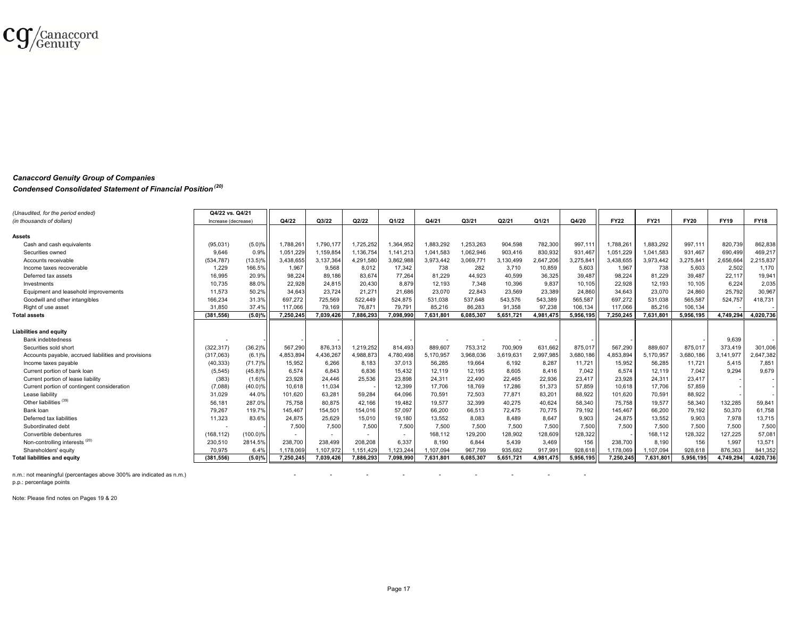

### *Canaccord Genuity Group of Companies*

#### *Condensed Consolidated Statement of Financial Position (20)*

| (Unaudited, for the period ended)                    | Q4/22 vs. Q4/21     |            |           | Q3/22                    | Q2/22     | Q1/22     | Q4/21     |           | Q2/21     |           | Q4/20     | <b>FY22</b> | <b>FY21</b> | <b>FY20</b> | <b>FY19</b> |             |
|------------------------------------------------------|---------------------|------------|-----------|--------------------------|-----------|-----------|-----------|-----------|-----------|-----------|-----------|-------------|-------------|-------------|-------------|-------------|
| (in thousands of dollars)                            | Increase (decrease) |            | Q4/22     |                          |           |           |           | Q3/21     |           | Q1/21     |           |             |             |             |             | <b>FY18</b> |
| <b>Assets</b>                                        |                     |            |           |                          |           |           |           |           |           |           |           |             |             |             |             |             |
|                                                      |                     |            |           |                          |           |           | 1.883.292 | 1.253.263 |           |           | 997.111   |             |             | 997.111     |             |             |
| Cash and cash equivalents                            | (95,031)            | (5.0)%     | 1,788,261 | 1,790,177                | 1,725,252 | 1,364,952 |           |           | 904.598   | 782,300   |           | 1,788,261   | 1,883,292   |             | 820,739     | 862,838     |
| Securities owned                                     | 9.646               | 0.9%       | 1,051,229 | 1,159,854                | 1,136,754 | 1,141,213 | 1.041.583 | 1,062,946 | 903,416   | 830,932   | 931.467   | 1.051.229   | 1,041,583   | 931.467     | 690,499     | 469.217     |
| Accounts receivable                                  | (534,787)           | $(13.5)\%$ | 3,438,655 | 3.137.364                | 4.291.580 | 3,862,988 | 3,973,442 | 3,069,771 | 3,130,499 | 2,647,206 | 3,275,841 | 3,438,655   | 3,973,442   | 3.275.841   | 2,656,664   | 2,215,837   |
| Income taxes recoverable                             | 1.229               | 166.5%     | 1,967     | 9,568                    | 8,012     | 17,342    | 738       | 282       | 3.710     | 10,859    | 5,603     | 1.967       | 738         | 5.603       | 2,502       | 1.170       |
| Deferred tax assets                                  | 16,995              | 20.9%      | 98,224    | 89,186                   | 83,674    | 77,264    | 81.229    | 44,923    | 40,599    | 36,325    | 39,487    | 98,224      | 81,229      | 39.487      | 22,117      | 19,941      |
| Investments                                          | 10,735              | 88.0%      | 22,928    | 24,815                   | 20.430    | 8,879     | 12,193    | 7,348     | 10,396    | 9.837     | 10.105    | 22,928      | 12.193      | 10.105      | 6,224       | 2,035       |
| Equipment and leasehold improvements                 | 11,573              | 50.2%      | 34,643    | 23,724                   | 21,27'    | 21,686    | 23,070    | 22,843    | 23,569    | 23,389    | 24,860    | 34,643      | 23,070      | 24,860      | 25,792      | 30,967      |
| Goodwill and other intangibles                       | 166.234             | 31.3%      | 697,272   | 725.569                  | 522.449   | 524,875   | 531.038   | 537.648   | 543.576   | 543,389   | 565,587   | 697.272     | 531.038     | 565.587     | 524.757     | 418.731     |
| Right of use asset                                   | 31.850              | 37.4%      | 117.066   | 79.169                   | 76.871    | 79.791    | 85,216    | 86.283    | 91.358    | 97.238    | 106,134   | 117.066     | 85.216      | 106.134     |             |             |
| <b>Total assets</b>                                  | (381, 556)          | (5.0)%     | 7,250,245 | 7,039,426                | 7,886,293 | 7,098,990 | 7,631,801 | 6,085,307 | 5,651,721 | 4,981,475 | 5,956,195 | 7,250,245   | 7,631,801   | 5,956,195   | 4,749,294   | 4,020,736   |
|                                                      |                     |            |           |                          |           |           |           |           |           |           |           |             |             |             |             |             |
| <b>Liabilities and equity</b>                        |                     |            |           |                          |           |           |           |           |           |           |           |             |             |             |             |             |
| Bank indebtedness                                    |                     |            |           |                          |           |           |           |           |           |           |           |             |             |             | 9,639       |             |
| Securities sold short                                | (322, 317)          | (36.2)%    | 567,290   | 876,313                  | 1,219,252 | 814,493   | 889,607   | 753,312   | 700,909   | 631,662   | 875,017   | 567,290     | 889,607     | 875,017     | 373,419     | 301,006     |
| Accounts payable, accrued liabilities and provisions | (317,063)           | (6.1)%     | 4,853,894 | 4,436,267                | 1,988,873 | 4,780,498 | 5,170,957 | 3,968,036 | 3,619,631 | 2,997,985 | 3,680,186 | 1,853,894   | 5,170,957   | 3,680,186   | 3,141,977   | 2,647,382   |
| Income taxes pavable                                 | (40, 333)           | (71.7)%    | 15.952    | 6.266                    | 8.183     | 37,013    | 56.285    | 19.664    | 6.192     | 8,287     | 11.721    | 15.952      | 56.285      | 11.721      | 5.415       | 7.851       |
| Current portion of bank loan                         | (5, 545)            | $(45.8)\%$ | 6.574     | 6.843                    | 6,836     | 15,432    | 12.119    | 12.195    | 8.605     | 8,416     | 7,042     | 6.574       | 12,119      | 7.042       | 9.294       | 9.679       |
| Current portion of lease liability                   | (383)               | (1.6)%     | 23,928    | 24,446                   | 25,536    | 23,898    | 24,311    | 22,490    | 22,465    | 22,936    | 23,417    | 23,928      | 24,311      | 23,417      |             |             |
| Current portion of contingent consideration          | (7,088)             | $(40.0)\%$ | 10,618    | 11,034                   |           | 12,399    | 17,706    | 18,769    | 17,286    | 51,373    | 57,859    | 10,618      | 17,706      | 57.859      |             |             |
| Lease liability                                      | 31,029              | 44.0%      | 101,620   | 63,281                   | 59,284    | 64,096    | 70,591    | 72,503    | 77,871    | 83,201    | 88,922    | 101,620     | 70,591      | 88,922      |             |             |
| Other liabilities <sup>(39)</sup>                    | 56,181              | 287.0%     | 75,758    | 80,875                   | 42,166    | 19,482    | 19,577    | 32,399    | 40,275    | 40,624    | 58,340    | 75,758      | 19,577      | 58,340      | 132,285     | 59,841      |
| Bank loan                                            | 79.267              | 119.7%     | 145,467   | 154.501                  | 154.016   | 57,097    | 66.200    | 66,513    | 72.475    | 70,775    | 79,192    | 145,467     | 66.200      | 79.192      | 50,370      | 61.758      |
| Deferred tax liabilities                             | 11,323              | 83.6%      | 24,875    | 25,629                   | 15,010    | 19,180    | 13,552    | 8.083     | 8.489     | 8,647     | 9,903     | 24,875      | 13,552      | 9.903       | 7,978       | 13,715      |
| Subordinated debt                                    |                     |            | 7,500     | 7,500                    | 7,500     | 7,500     | 7.500     | 7,500     | 7.500     | 7,500     | 7,500     | 7.500       | 7,500       | 7.500       | 7.500       | 7.500       |
| Convertible debentures                               | (168, 112)          | (100.0)%   |           | $\overline{\phantom{a}}$ |           | $\sim$    | 168,112   | 129,200   | 128,902   | 128,609   | 128,322   |             | 168,112     | 128,322     | 127,225     | 57,081      |
| Non-controlling interests <sup>(20)</sup>            | 230,510             | 2814.5%    | 238,700   | 238,499                  | 208,208   | 6,337     | 8,190     | 6.844     | 5,439     | 3,469     | 156       | 238,700     | 8.190       | 156         | 1,997       | 13,571      |
| Shareholders' equity                                 | 70.975              | 6.4%       | 1.178.069 | 1.107.972                | .151.429  | .123.24   | 1.107.094 | 967.799   | 935.682   | 917.991   | 928.618   | .178.069    | 1.107.094   | 928.618     | 876.363     | 841,352     |
| <b>Total liabilities and equity</b>                  | (381.556)           | (5.0)%     | 7.250.245 | 7.039.426                | 7.886.293 | 7.098.990 | 7.631.801 | 6.085.307 | 5.651.721 | 4.981.475 | 5.956.195 | 7.250.245   | 7.631.801   | 5.956.195   | 4.749.294   | 4.020.736   |
|                                                      |                     |            |           |                          |           |           |           |           |           |           |           |             |             |             |             |             |

n.m.: not meaningful (percentages above 300% are indicated as n.m.)

p.p.: percentage points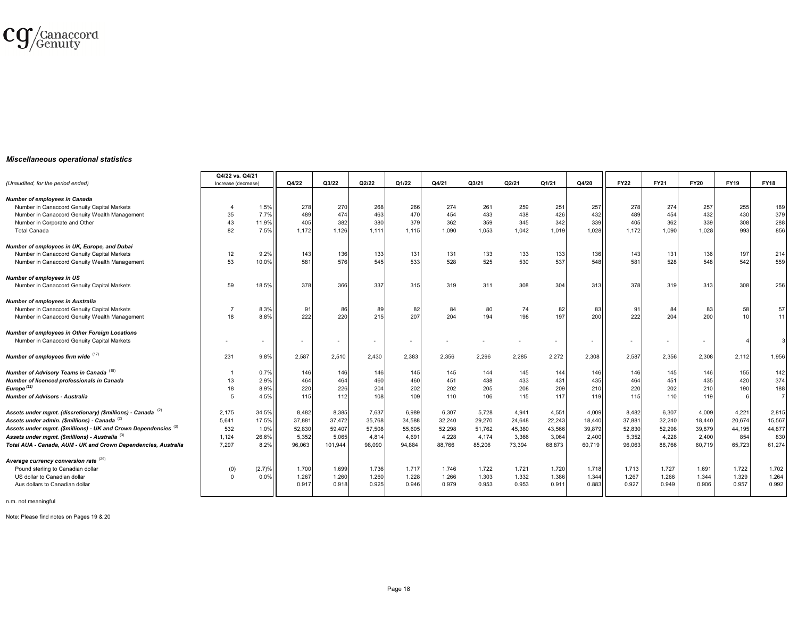

#### *Miscellaneous operational statistics*

|                                                                            | Q4/22 vs. Q4/21 |                     |        |         |                          |        |        |        |        |                          |        |             |             |             |             |                |
|----------------------------------------------------------------------------|-----------------|---------------------|--------|---------|--------------------------|--------|--------|--------|--------|--------------------------|--------|-------------|-------------|-------------|-------------|----------------|
| (Unaudited, for the period ended)                                          |                 | Increase (decrease) |        | Q3/22   | Q2/22                    | Q1/22  | Q4/21  | Q3/21  | Q2/21  | Q1/21                    | Q4/20  | <b>FY22</b> | <b>FY21</b> | <b>FY20</b> | <b>FY19</b> | <b>FY18</b>    |
| <b>Number of employees in Canada</b>                                       |                 |                     |        |         |                          |        |        |        |        |                          |        |             |             |             |             |                |
| Number in Canaccord Genuity Capital Markets                                |                 | 1.5%                | 278    | 270     | 268                      | 266    | 274    | 261    | 259    | 251                      | 257    | 278         | 274         | 257         | 255         | 189            |
| Number in Canaccord Genuity Wealth Management                              | 35              | 7.7%                | 489    | 474     | 463                      | 470    | 454    | 433    | 438    | 426                      | 432    | 489         | 454         | 432         | 430         | 379            |
| Number in Corporate and Other                                              | 43              | 11.9%               | 405    | 382     | 380                      | 379    | 362    | 359    | 345    | 342                      | 339    | 405         | 362         | 339         | 308         | 288            |
| <b>Total Canada</b>                                                        | 82              | 7.5%                | 1,172  | 1,126   | 1,111                    | 1,115  | 1,090  | 1,053  | 1,042  | 1,019                    | 1,028  | 1,172       | 1,090       | 1.028       | 993         | 856            |
| Number of employees in UK, Europe, and Dubai                               |                 |                     |        |         |                          |        |        |        |        |                          |        |             |             |             |             |                |
| Number in Canaccord Genuity Capital Markets                                | 12              | 9.2%                | 143    | 136     | 133                      | 131    | 131    | 133    | 133    | 133                      | 136    | 143         | 131         | 136         | 197         | 214            |
| Number in Canaccord Genuity Wealth Management                              | 53              | 10.0%               | 581    | 576     | 545                      | 533    | 528    | 525    | 530    | 537                      | 548    | 581         | 528         | 548         | 542         | 559            |
| <b>Number of employees in US</b>                                           |                 |                     |        |         |                          |        |        |        |        |                          |        |             |             |             |             |                |
| Number in Canaccord Genuity Capital Markets                                | 59              | 18.5%               | 378    | 366     | 337                      | 315    | 319    | 311    | 308    | 304                      | 313    | 378         | 319         | 313         | 308         | 256            |
| <b>Number of employees in Australia</b>                                    |                 |                     |        |         |                          |        |        |        |        |                          |        |             |             |             |             |                |
| Number in Canaccord Genuity Capital Markets                                |                 | 8.3%                | 91     | 86      | 89                       | 82     | 84     | 80     | 74     | 82                       | 83     | 91          | 84          | 83          | 58          | 57             |
| Number in Canaccord Genuity Wealth Management                              | 18              | 8.8%                | 222    | 220     | 215                      | 207    | 204    | 194    | 198    | 197                      | 200    | 222         | 204         | 200         | 10          | 11             |
| <b>Number of employees in Other Foreign Locations</b>                      |                 |                     |        |         |                          |        |        |        |        |                          |        |             |             |             |             |                |
| Number in Canaccord Genuity Capital Markets                                |                 |                     |        |         | $\overline{\phantom{a}}$ |        |        |        |        | $\overline{\phantom{a}}$ |        |             |             |             |             |                |
| Number of employees firm wide (17)                                         | 231             | 9.8%                | 2,587  | 2,510   | 2,430                    | 2,383  | 2,356  | 2,296  | 2,285  | 2,272                    | 2,308  | 2,587       | 2,356       | 2,308       | 2,112       | 1,956          |
| Number of Advisory Teams in Canada <sup>(15)</sup>                         |                 | 0.7%                | 146    | 146     | 146                      | 145    | 145    | 144    | 145    | 144                      | 146    | 146         | 145         | 146         | 155         | 142            |
| Number of licenced professionals in Canada                                 | 13              | 2.9%                | 464    | 464     | 460                      | 460    | 451    | 438    | 433    | 431                      | 435    | 464         | 451         | 435         | 420         | 374            |
| Europe $(22)$                                                              | 18              | 8.9%                | 220    | 226     | 204                      | 202    | 202    | 205    | 208    | 209                      | 210    | 220         | 202         | 210         | 190         | 188            |
| <b>Number of Advisors - Australia</b>                                      | -5              | 4.5%                | 115    | 112     | 108                      | 109    | 110    | 106    | 115    | 117                      | 119    | 115         | 110         | 119         |             | $\overline{7}$ |
| Assets under mgmt. (discretionary) (\$millions) - Canada (2)               | 2,175           | 34.5%               | 8,482  | 8,385   | 7,637                    | 6,989  | 6,307  | 5.728  | 4.941  | 4,551                    | 4,009  | 8,482       | 6,307       | 4,009       | 4,221       | 2,815          |
| Assets under admin. (\$millions) - Canada (2)                              | 5,641           | 17.5%               | 37,881 | 37,472  | 35,768                   | 34,588 | 32,240 | 29,270 | 24,648 | 22,243                   | 18,440 | 37,881      | 32,240      | 18,440      | 20,674      | 15,567         |
| Assets under mgmt. (\$millions) - UK and Crown Dependencies <sup>(3)</sup> | 532             | 1.0%                | 52,830 | 59,407  | 57,508                   | 55,605 | 52,298 | 51,762 | 45,380 | 43,566                   | 39,879 | 52,830      | 52,298      | 39,879      | 44,195      | 44,877         |
| Assets under mgmt. (\$millions) - Australia (3)                            | 1,124           | 26.6%               | 5,352  | 5,065   | 4,814                    | 4,691  | 4,228  | 4,174  | 3,366  | 3,064                    | 2,400  | 5,352       | 4,228       | 2,400       | 854         | 830            |
| Total AUA - Canada, AUM - UK and Crown Dependencies, Australia             | 7.297           | 8.2%                | 96,063 | 101,944 | 98,090                   | 94,884 | 88,766 | 85,206 | 73,394 | 68,873                   | 60,719 | 96,063      | 88.766      | 60,719      | 65,723      | 61,274         |
| Average currency conversion rate (29)                                      |                 |                     |        |         |                          |        |        |        |        |                          |        |             |             |             |             |                |
| Pound sterling to Canadian dollar                                          | (0)             | (2.7)%              | 1.700  | 1.699   | 1.736                    | 1.717  | 1.746  | 1.722  | 1.721  | 1.720                    | 1.718  | 1.713       | 1.727       | 1.691       | 1.722       | 1.702          |
| US dollar to Canadian dollar                                               | $\Omega$        | 0.0%                | 1.267  | 1.260   | 1.260                    | 1.228  | 1.266  | 1.303  | 1.332  | 1.386                    | 1.344  | 1.267       | 1.266       | 1.344       | 1.329       | 1.264          |
| Aus dollars to Canadian dollar                                             |                 |                     | 0.917  | 0.918   | 0.925                    | 0.946  | 0.979  | 0.953  | 0.953  | 0.911                    | 0.883  | 0.927       | 0.949       | 0.906       | 0.957       | 0.992          |
| المكسومات والمتواطنة والمناسب                                              |                 |                     |        |         |                          |        |        |        |        |                          |        |             |             |             |             |                |

n.m. not meaningful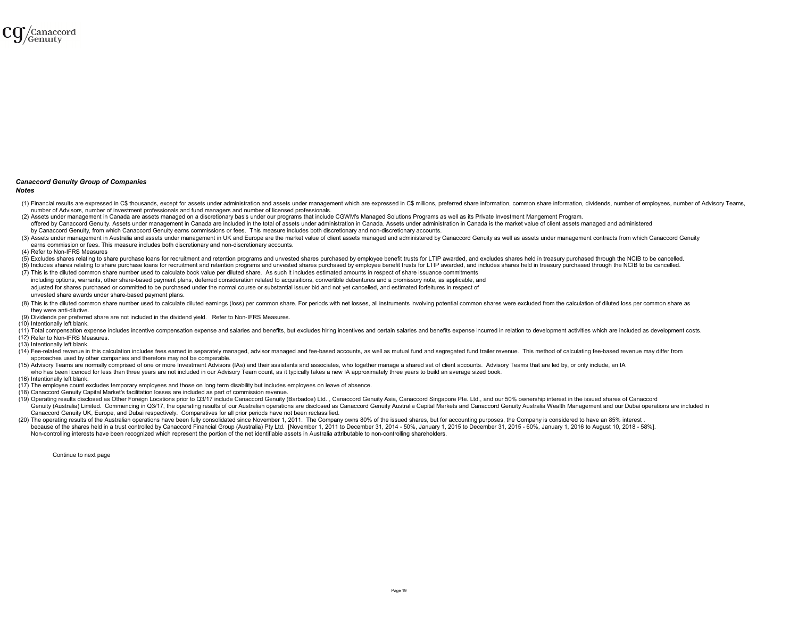

#### *Canaccord Genuity Group of Companies*

#### *Notes*

- (1) Financial results are expressed in C\$ thousands, except for assets under administration and assets under management which are expressed in C\$ millions, preferred share information, common share information, dividends, number of Advisors, number of investment professionals and fund managers and number of licensed professionals.
- (2) Assets under management in Canada are assets managed on a discretionary basis under our programs that include CGWM's Managed Solutions Programs as well as its Private Investment Mangement Program. offered by Canaccord Genuity, Assets under management in Canada are included in the total of assets under administration in Canada, Assets under administration in Canada is the market value of client assets managed and adm by Canaccord Genuity, from which Canaccord Genuity earns commissions or fees. This measure includes both discretionary and non-discretionary accounts.
- (3) Assets under management in Australia and assets under management in UK and Europe are the market value of client assets managed and administered by Canaccord Genuity as well as assets under management contracts from wh earns commission or fees. This measure includes both discretionary and non-discretionary accounts.

(4) Refer to Non-IFRS Measures

- (5) Excludes shares relating to share purchase loans for recruitment and retention programs and unvested shares purchased by employee benefit trusts for LTIP awarded, and excludes shares held in treasury purchased through
- (6) Includes shares relating to share purchase loans for recruitment and retention programs and unvested shares purchased by employee benefit trusts for LTIP awarded, and includes shares held in treasury purchased through
- (7) This is the diluted common share number used to calculate book value per diluted share. As such it includes estimated amounts in respect of share issuance commitments

including options, warrants, other share-based payment plans, deferred consideration related to acquisitions, convertible debentures and a promissory note, as applicable, and adjusted for shares purchased or committed to be purchased under the normal course or substantial issuer bid and not yet cancelled, and estimated forfeitures in respect of unvested share awards under share-based payment plans.

- (8) This is the diluted common share number used to calculate diluted earnings (loss) per common share. For periods with net losses, all instruments involving potential common shares were excluded from the calculation of d they were anti-dilutive.
- (9) Dividends per preferred share are not included in the dividend yield. Refer to Non-IFRS Measures.
- (10) Intentionally left blank.
- (11) Total compensation expense includes incentive compensation expense and salaries and benefits, but excludes hiring incentives and certain salaries and benefits expense incurred in relation to development activities whi (12) Refer to Non-IFRS Measures.
- (13) Intentionally left blank.
- (14) Fee-related revenue in this calculation includes fees earned in separately managed, advisor managed and fee-based accounts, as well as mutual fund and segregated fund trailer revenue. This method of calculating fee-ba approaches used by other companies and therefore may not be comparable.
- (15) Advisory Teams are normally comprised of one or more Investment Advisors (IAs) and their assistants and associates, who together manage a shared set of client accounts. Advisory Teams that are led by, or only include, who has been licenced for less than three years are not included in our Advisory Team count, as it typically takes a new IA approximately three years to build an average sized book.
- (16) Intentionally left blank.
- (17) The employee count excludes temporary employees and those on long term disability but includes employees on leave of absence.
- (18) Canaccord Genuity Capital Market's facilitation losses are included as part of commission revenue.
- (19) Operating results disclosed as Other Foreign Locations prior to O3/17 include Canaccord Genuity (Barbados) Ltd. Canaccord Genuity Asia. Canaccord Singapore Pte. Ltd., and our 50% ownership interest in the issued share Genuity (Australia) Limited. Commencing in Q3/17, the operating results of our Australian operations are disclosed as Canaccord Genuity Australia Capital Markets and Canaccord Genuity Australia Wealth Management and our Du Canaccord Genuity UK, Europe, and Dubai respectively. Comparatives for all prior periods have not been reclassified. (20) The operating results of the Australian operations have been fully consolidated since November 1, 2011. The Company owns 80% of the issued shares, but for accounting purposes, the Company is considered to have an 85%
- because of the shares held in a trust controlled by Canaccord Financial Group (Australia) Pty Ltd. [November 1, 2011 to December 31, 2014 50%, January 1, 2015 to December 31, 2015 to December 31, 2015 to December 31, 201 Non-controlling interests have been recognized which represent the portion of the net identifiable assets in Australia attributable to non-controlling shareholders.

Continue to next page